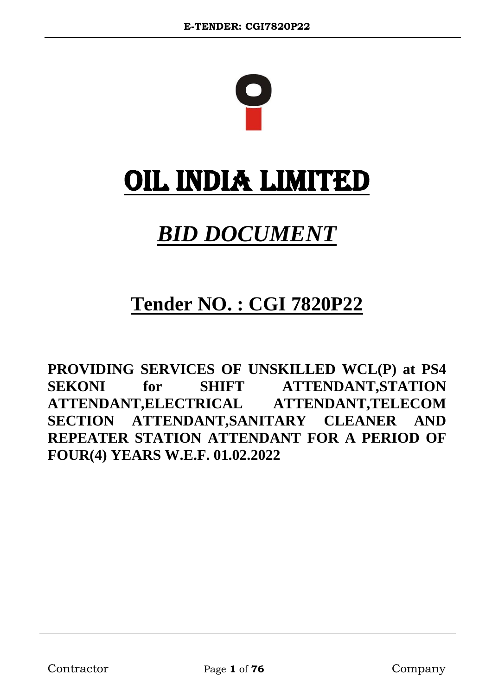

# OIL INDIA LIMITED

# *BID DOCUMENT*

## **Tender NO. : CGI 7820P22**

**PROVIDING SERVICES OF UNSKILLED WCL(P) at PS4 SEKONI for SHIFT ATTENDANT,STATION ATTENDANT,ELECTRICAL ATTENDANT,TELECOM SECTION ATTENDANT,SANITARY CLEANER AND REPEATER STATION ATTENDANT FOR A PERIOD OF FOUR(4) YEARS W.E.F. 01.02.2022**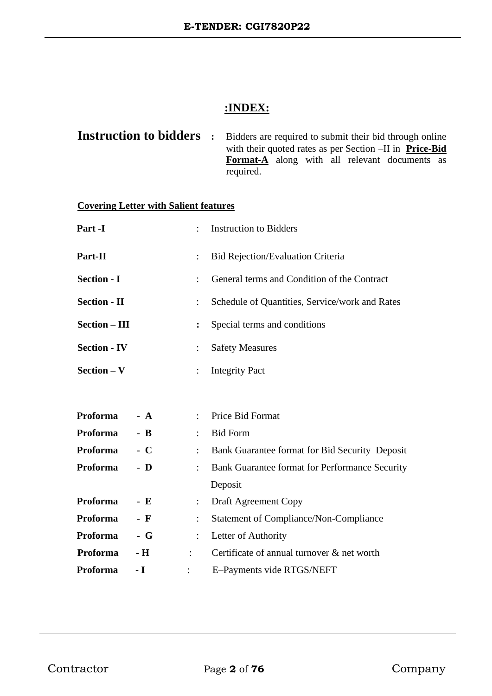### **:INDEX:**

|  | <b>Instruction to bidders</b> : Bidders are required to submit their bid through online |
|--|-----------------------------------------------------------------------------------------|
|  | with their quoted rates as per Section -II in Price-Bid                                 |
|  | <b>Format-A</b> along with all relevant documents as                                    |
|  | required.                                                                               |

### **Covering Letter with Salient features**

| Part -I             |       |                      | <b>Instruction to Bidders</b>                  |  |
|---------------------|-------|----------------------|------------------------------------------------|--|
| Part-II             |       |                      | <b>Bid Rejection/Evaluation Criteria</b>       |  |
| <b>Section - I</b>  |       |                      | General terms and Condition of the Contract    |  |
| <b>Section - II</b> |       |                      | Schedule of Quantities, Service/work and Rates |  |
| Section - III       |       | $\ddot{\cdot}$       | Special terms and conditions                   |  |
| <b>Section - IV</b> |       | $\ddot{\cdot}$       | <b>Safety Measures</b>                         |  |
| $Section - V$       |       | $\ddot{\phantom{a}}$ | <b>Integrity Pact</b>                          |  |
|                     |       |                      |                                                |  |
| Proforma            | $- A$ |                      | Price Bid Format                               |  |
| <b>Proforma</b>     | $-$ B | $\ddot{\phantom{a}}$ | <b>Bid Form</b>                                |  |
| <b>Proforma</b>     | $-$ C | $\ddot{\phantom{a}}$ | Bank Guarantee format for Bid Security Deposit |  |
| Proforma            | - D   |                      | Bank Guarantee format for Performance Security |  |
|                     |       |                      | Deposit                                        |  |
| Proforma            | - E   | $\ddot{\phantom{a}}$ | Draft Agreement Copy                           |  |
| Proforma            | - F   |                      | <b>Statement of Compliance/Non-Compliance</b>  |  |
| Proforma            | $-$ G | $\ddot{\cdot}$       | Letter of Authority                            |  |
| Proforma            | - H   | $\ddot{\phantom{a}}$ | Certificate of annual turnover & net worth     |  |
| Proforma            | - I   |                      | E-Payments vide RTGS/NEFT                      |  |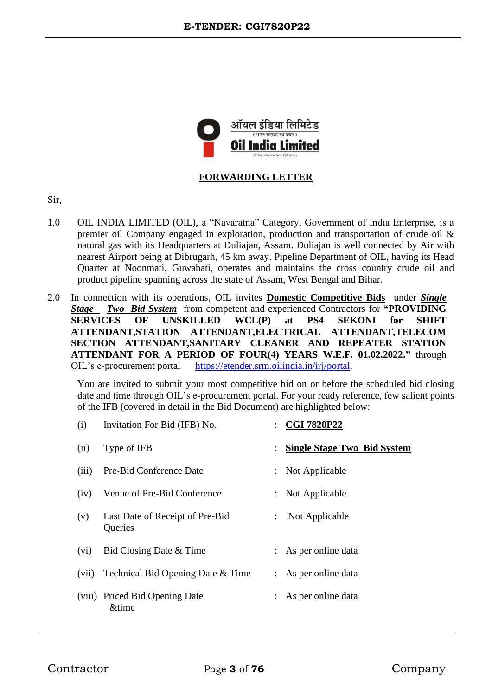

#### **FORWARDING LETTER**

- Sir,
- 1.0 OIL INDIA LIMITED (OIL), a "Navaratna" Category, Government of India Enterprise, is a premier oil Company engaged in exploration, production and transportation of crude oil & natural gas with its Headquarters at Duliajan, Assam. Duliajan is well connected by Air with nearest Airport being at Dibrugarh, 45 km away. Pipeline Department of OIL, having its Head Quarter at Noonmati, Guwahati, operates and maintains the cross country crude oil and product pipeline spanning across the state of Assam, West Bengal and Bihar.
- 2.0 In connection with its operations, OIL invites **Domestic Competitive Bids** under *Single Stage Two Bid System* from competent and experienced Contractors for **"PROVIDING SERVICES OF UNSKILLED WCL(P) at PS4 SEKONI for SHIFT ATTENDANT,STATION ATTENDANT,ELECTRICAL ATTENDANT,TELECOM SECTION ATTENDANT,SANITARY CLEANER AND REPEATER STATION ATTENDANT FOR A PERIOD OF FOUR(4) YEARS W.E.F. 01.02.2022."** through OIL's e-procurement portal [https://etender.srm.oilindia.in/irj/portal.](https://etender.srm.oilindia.in/irj/portal)

You are invited to submit your most competitive bid on or before the scheduled bid closing date and time through OIL's e-procurement portal. For your ready reference, few salient points of the IFB (covered in detail in the Bid Document) are highlighted below:

| (i)   | Invitation For Bid (IFB) No.               |                           | $\therefore$ CGI 7820P22           |
|-------|--------------------------------------------|---------------------------|------------------------------------|
| (ii)  | Type of IFB                                |                           | <b>Single Stage Two Bid System</b> |
| (iii) | Pre-Bid Conference Date                    |                           | : Not Applicable                   |
| (iv)  | Venue of Pre-Bid Conference                |                           | : Not Applicable                   |
| (v)   | Last Date of Receipt of Pre-Bid<br>Queries | $\mathbb{Z}^{\mathbb{Z}}$ | Not Applicable                     |
| (vi)  | Bid Closing Date & Time                    |                           | : As per online data               |
| (vii) | Technical Bid Opening Date & Time          |                           | : As per online data               |
|       | (viii) Priced Bid Opening Date<br>&time    |                           | : As per online data               |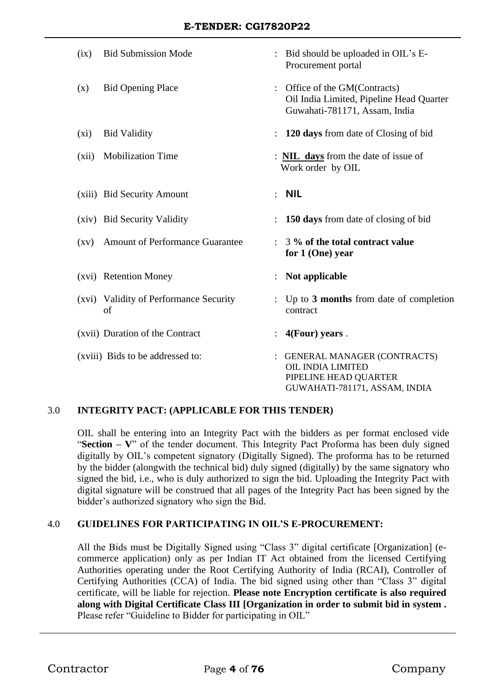| (ix)               | <b>Bid Submission Mode</b>                   |                | : Bid should be uploaded in OIL's E-<br>Procurement portal                                                               |
|--------------------|----------------------------------------------|----------------|--------------------------------------------------------------------------------------------------------------------------|
| (x)                | <b>Bid Opening Place</b>                     |                | Office of the GM(Contracts)<br>Oil India Limited, Pipeline Head Quarter<br>Guwahati-781171, Assam, India                 |
| $(x_i)$            | <b>Bid Validity</b>                          |                | 120 days from date of Closing of bid                                                                                     |
| (xii)              | <b>Mobilization Time</b>                     |                | : <b>NIL days</b> from the date of issue of<br>Work order by OIL                                                         |
|                    | (xiii) Bid Security Amount                   | $\ddot{\cdot}$ | <b>NIL</b>                                                                                                               |
|                    | (xiv) Bid Security Validity                  |                | 150 days from date of closing of bid                                                                                     |
| $\left( xy\right)$ | Amount of Performance Guarantee              | $\ddot{\cdot}$ | 3 % of the total contract value<br>for 1 (One) year                                                                      |
|                    | (xvi) Retention Money                        |                | Not applicable                                                                                                           |
|                    | (xvi) Validity of Performance Security<br>of |                | Up to 3 months from date of completion<br>contract                                                                       |
|                    | (xvii) Duration of the Contract              |                | 4(Four) years.                                                                                                           |
|                    | (xviii) Bids to be addressed to:             |                | <b>GENERAL MANAGER (CONTRACTS)</b><br><b>OIL INDIA LIMITED</b><br>PIPELINE HEAD QUARTER<br>GUWAHATI-781171, ASSAM, INDIA |

#### 3.0 **INTEGRITY PACT: (APPLICABLE FOR THIS TENDER)**

OIL shall be entering into an Integrity Pact with the bidders as per format enclosed vide "**Section – V**" of the tender document. This Integrity Pact Proforma has been duly signed digitally by OIL's competent signatory (Digitally Signed). The proforma has to be returned by the bidder (alongwith the technical bid) duly signed (digitally) by the same signatory who signed the bid, i.e., who is duly authorized to sign the bid. Uploading the Integrity Pact with digital signature will be construed that all pages of the Integrity Pact has been signed by the bidder's authorized signatory who sign the Bid.

#### 4.0 **GUIDELINES FOR PARTICIPATING IN OIL'S E-PROCUREMENT:**

All the Bids must be Digitally Signed using "Class 3" digital certificate [Organization] (ecommerce application) only as per Indian IT Act obtained from the licensed Certifying Authorities operating under the Root Certifying Authority of India (RCAI), Controller of Certifying Authorities (CCA) of India. The bid signed using other than "Class 3" digital certificate, will be liable for rejection. **Please note Encryption certificate is also required along with Digital Certificate Class III [Organization in order to submit bid in system .** Please refer "Guideline to Bidder for participating in OIL"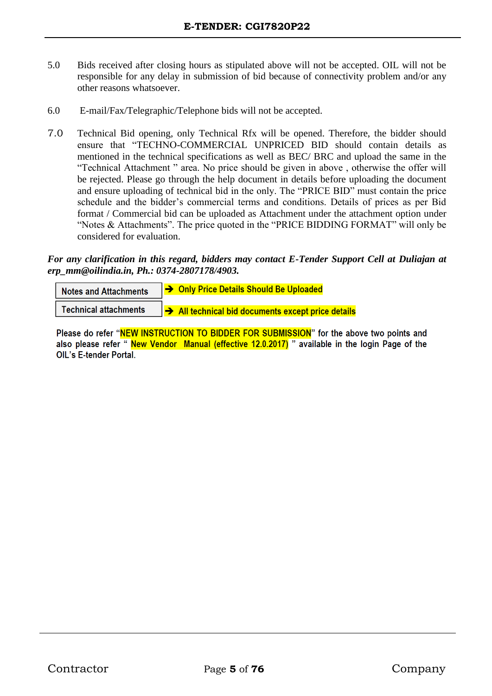- 5.0 Bids received after closing hours as stipulated above will not be accepted. OIL will not be responsible for any delay in submission of bid because of connectivity problem and/or any other reasons whatsoever.
- 6.0 E-mail/Fax/Telegraphic/Telephone bids will not be accepted.
- 7.0 Technical Bid opening, only Technical Rfx will be opened. Therefore, the bidder should ensure that "TECHNO-COMMERCIAL UNPRICED BID should contain details as mentioned in the technical specifications as well as BEC/ BRC and upload the same in the "Technical Attachment " area. No price should be given in above , otherwise the offer will be rejected. Please go through the help document in details before uploading the document and ensure uploading of technical bid in the only. The "PRICE BID" must contain the price schedule and the bidder's commercial terms and conditions. Details of prices as per Bid format / Commercial bid can be uploaded as Attachment under the attachment option under "Notes & Attachments". The price quoted in the "PRICE BIDDING FORMAT" will only be considered for evaluation.

#### *For any clarification in this regard, bidders may contact E-Tender Support Cell at Duliajan at erp\_mm@oilindia.in, Ph.: 0374-2807178/4903.*

| <b>Notes and Attachments</b> | → Only Price Details Should Be Uploaded          |
|------------------------------|--------------------------------------------------|
| <b>Technical attachments</b> | All technical bid documents except price details |

Please do refer "NEW INSTRUCTION TO BIDDER FOR SUBMISSION" for the above two points and also please refer "New Vendor Manual (effective 12.0.2017) " available in the login Page of the **OIL's E-tender Portal.**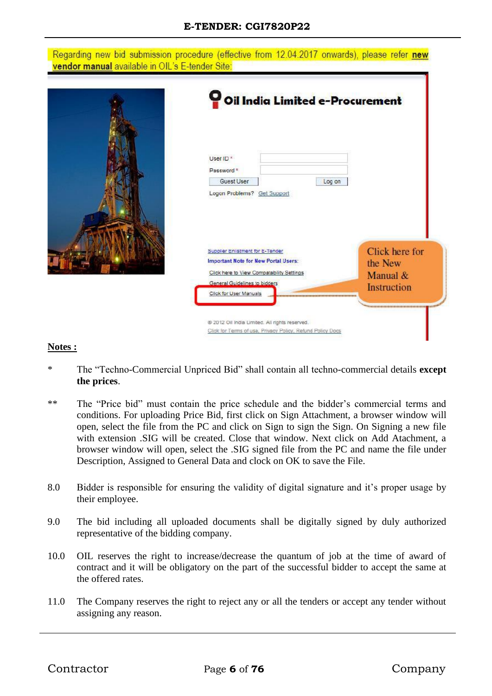#### **E-TENDER: CGI7820P22**

#### Regarding new bid submission procedure (effective from 12.04.2017 onwards), please refer new vendor manual available in OIL's E-tender Site:



#### **Notes :**

- \* The "Techno-Commercial Unpriced Bid" shall contain all techno-commercial details **except the prices**.
- \*\* The "Price bid" must contain the price schedule and the bidder's commercial terms and conditions. For uploading Price Bid, first click on Sign Attachment, a browser window will open, select the file from the PC and click on Sign to sign the Sign. On Signing a new file with extension .SIG will be created. Close that window. Next click on Add Atachment, a browser window will open, select the .SIG signed file from the PC and name the file under Description, Assigned to General Data and clock on OK to save the File.
- 8.0 Bidder is responsible for ensuring the validity of digital signature and it's proper usage by their employee.
- 9.0 The bid including all uploaded documents shall be digitally signed by duly authorized representative of the bidding company.
- 10.0 OIL reserves the right to increase/decrease the quantum of job at the time of award of contract and it will be obligatory on the part of the successful bidder to accept the same at the offered rates.
- 11.0 The Company reserves the right to reject any or all the tenders or accept any tender without assigning any reason.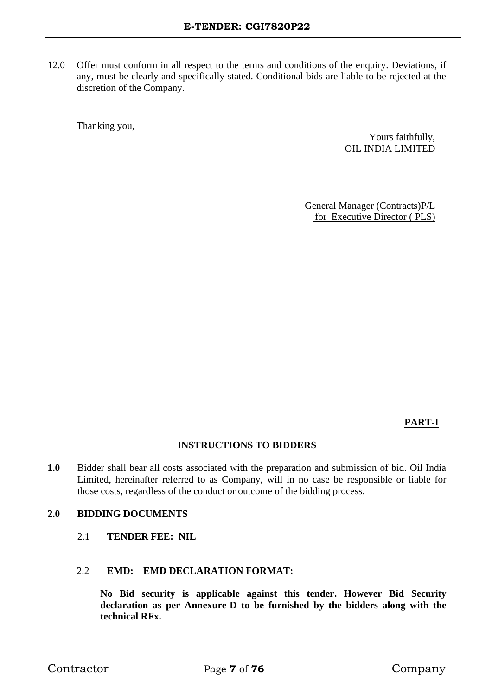12.0 Offer must conform in all respect to the terms and conditions of the enquiry. Deviations, if any, must be clearly and specifically stated. Conditional bids are liable to be rejected at the discretion of the Company.

Thanking you,

Yours faithfully, OIL INDIA LIMITED

General Manager (Contracts)P/L for Executive Director ( PLS)

**PART-I**

#### **INSTRUCTIONS TO BIDDERS**

**1.0** Bidder shall bear all costs associated with the preparation and submission of bid. Oil India Limited, hereinafter referred to as Company, will in no case be responsible or liable for those costs, regardless of the conduct or outcome of the bidding process.

#### **2.0 BIDDING DOCUMENTS**

2.1 **TENDER FEE: NIL**

#### 2.2 **EMD: EMD DECLARATION FORMAT:**

**No Bid security is applicable against this tender. However Bid Security declaration as per Annexure-D to be furnished by the bidders along with the technical RFx.**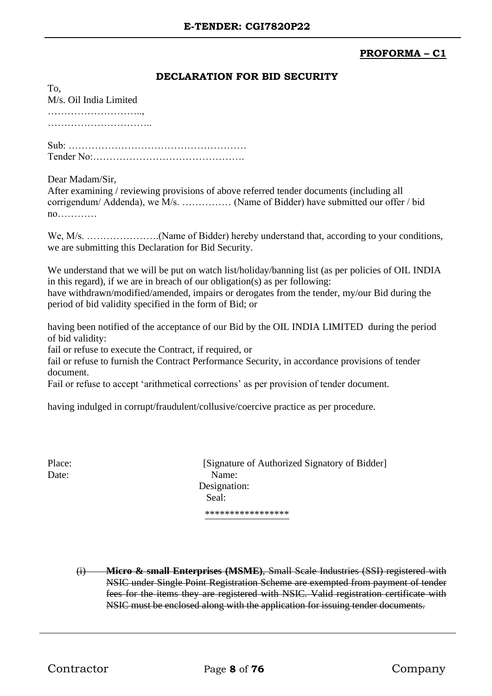#### **PROFORMA – C1**

#### **DECLARATION FOR BID SECURITY**

M/s. Oil India Limited ……………………….., …………………………..

Sub: ……………………………………………… Tender No:……………………………………….

Dear Madam/Sir,

To,

After examining / reviewing provisions of above referred tender documents (including all corrigendum/ Addenda), we M/s. …………… (Name of Bidder) have submitted our offer / bid no…………

We, M/s. .............................(Name of Bidder) hereby understand that, according to your conditions, we are submitting this Declaration for Bid Security.

We understand that we will be put on watch list/holiday/banning list (as per policies of OIL INDIA in this regard), if we are in breach of our obligation(s) as per following: have withdrawn/modified/amended, impairs or derogates from the tender, my/our Bid during the period of bid validity specified in the form of Bid; or

having been notified of the acceptance of our Bid by the OIL INDIA LIMITED during the period of bid validity:

fail or refuse to execute the Contract, if required, or

fail or refuse to furnish the Contract Performance Security, in accordance provisions of tender document.

Fail or refuse to accept 'arithmetical corrections' as per provision of tender document.

having indulged in corrupt/fraudulent/collusive/coercive practice as per procedure.

Place: [Signature of Authorized Signatory of Bidder] Date: Name: Designation: Seal: \*\*\*\*\*\*\*\*\*\*\*\*\*\*\*\*\*

(i) **Micro & small Enterprises (MSME)**, Small Scale Industries (SSI) registered with NSIC under Single Point Registration Scheme are exempted from payment of tender fees for the items they are registered with NSIC. Valid registration certificate with NSIC must be enclosed along with the application for issuing tender documents.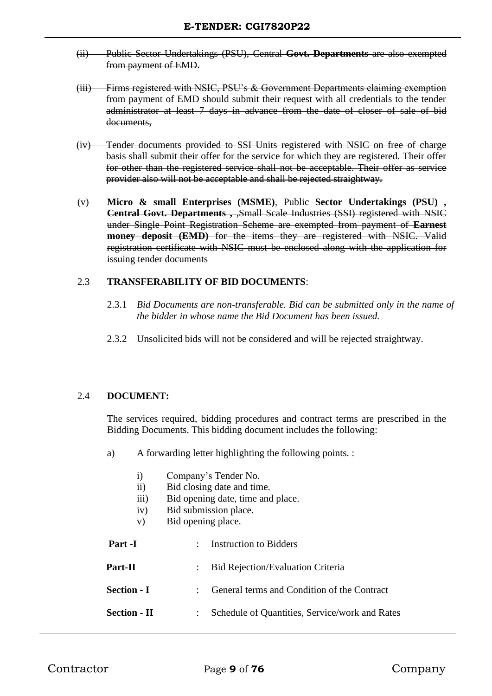- (ii) Public Sector Undertakings (PSU), Central **Govt. Departments** are also exempted from payment of EMD.
- (iii) Firms registered with NSIC, PSU's & Government Departments claiming exemption from payment of EMD should submit their request with all credentials to the tender administrator at least 7 days in advance from the date of closer of sale of bid documents,
- (iv) Tender documents provided to SSI Units registered with NSIC on free of charge basis shall submit their offer for the service for which they are registered. Their offer for other than the registered service shall not be acceptable. Their offer as service provider also will not be acceptable and shall be rejected straightway.
- (v) **Micro & small Enterprises (MSME)**, Public **Sector Undertakings (PSU) , Central Govt. Departments , Small Scale Industries (SSI) registered with NSIC** under Single Point Registration Scheme are exempted from payment of **Earnest money deposit (EMD)** for the items they are registered with NSIC. Valid registration certificate with NSIC must be enclosed along with the application for issuing tender documents

#### 2.3 **TRANSFERABILITY OF BID DOCUMENTS**:

- 2.3.1 *Bid Documents are non-transferable. Bid can be submitted only in the name of the bidder in whose name the Bid Document has been issued.*
- 2.3.2 Unsolicited bids will not be considered and will be rejected straightway.

#### 2.4 **DOCUMENT:**

The services required, bidding procedures and contract terms are prescribed in the Bidding Documents. This bidding document includes the following:

- a) A forwarding letter highlighting the following points. :
	- i) Company's Tender No.
	- ii) Bid closing date and time.
	- iii) Bid opening date, time and place.
	- iv) Bid submission place.
	- v) Bid opening place.

| Part -I             | $\mathbb{R}^n$ | Instruction to Bidders                         |
|---------------------|----------------|------------------------------------------------|
| Part-II             |                | <b>Bid Rejection/Evaluation Criteria</b>       |
| <b>Section - I</b>  |                | General terms and Condition of the Contract    |
| <b>Section - II</b> |                | Schedule of Quantities, Service/work and Rates |
|                     |                |                                                |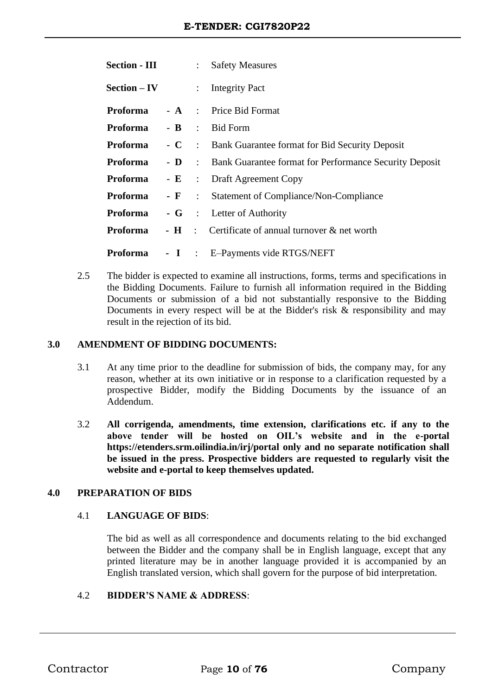| <b>Section - III</b>                  |  | : Safety Measures                                                   |
|---------------------------------------|--|---------------------------------------------------------------------|
| $Section - IV$                        |  | $:$ Integrity Pact                                                  |
| <b>Proforma</b>                       |  | - A : Price Bid Format                                              |
| <b>Proforma</b> - <b>B</b> : Bid Form |  |                                                                     |
| Proforma                              |  | - C : Bank Guarantee format for Bid Security Deposit                |
| <b>Proforma</b>                       |  | - <b>D</b> : Bank Guarantee format for Performance Security Deposit |
| Proforma                              |  | - E : Draft Agreement Copy                                          |
| Proforma                              |  | - F : Statement of Compliance/Non-Compliance                        |
| Proforma                              |  | - G : Letter of Authority                                           |
| Proforma                              |  | - $\mathbf{H}$ : Certificate of annual turnover $\&$ net worth      |
| <b>Proforma</b>                       |  | - I : E-Payments vide RTGS/NEFT                                     |

2.5 The bidder is expected to examine all instructions, forms, terms and specifications in the Bidding Documents. Failure to furnish all information required in the Bidding Documents or submission of a bid not substantially responsive to the Bidding Documents in every respect will be at the Bidder's risk  $\&$  responsibility and may result in the rejection of its bid.

#### **3.0 AMENDMENT OF BIDDING DOCUMENTS:**

- 3.1 At any time prior to the deadline for submission of bids, the company may, for any reason, whether at its own initiative or in response to a clarification requested by a prospective Bidder, modify the Bidding Documents by the issuance of an Addendum.
- 3.2 **All corrigenda, amendments, time extension, clarifications etc. if any to the above tender will be hosted on OIL's website and in the e-portal https://etenders.srm.oilindia.in/irj/portal only and no separate notification shall be issued in the press. Prospective bidders are requested to regularly visit the website and e-portal to keep themselves updated.**

#### **4.0 PREPARATION OF BIDS**

#### 4.1 **LANGUAGE OF BIDS**:

The bid as well as all correspondence and documents relating to the bid exchanged between the Bidder and the company shall be in English language, except that any printed literature may be in another language provided it is accompanied by an English translated version, which shall govern for the purpose of bid interpretation.

#### 4.2 **BIDDER'S NAME & ADDRESS**: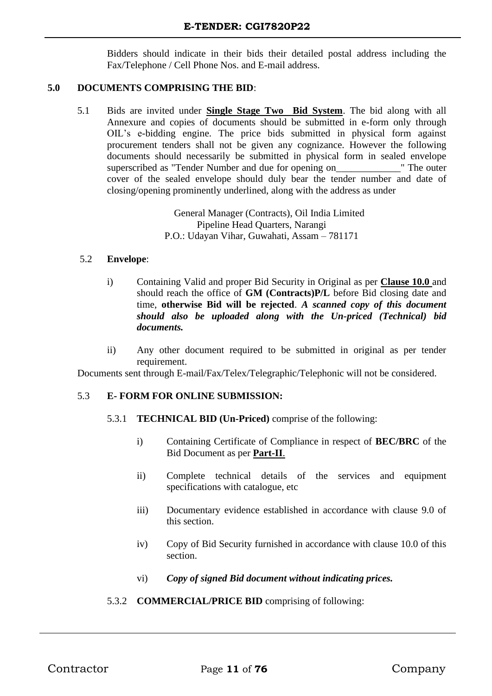Bidders should indicate in their bids their detailed postal address including the Fax/Telephone / Cell Phone Nos. and E-mail address.

#### **5.0 DOCUMENTS COMPRISING THE BID**:

5.1 Bids are invited under **Single Stage Two Bid System**. The bid along with all Annexure and copies of documents should be submitted in e-form only through OIL's e-bidding engine. The price bids submitted in physical form against procurement tenders shall not be given any cognizance. However the following documents should necessarily be submitted in physical form in sealed envelope superscribed as "Tender Number and due for opening on The outer cover of the sealed envelope should duly bear the tender number and date of closing/opening prominently underlined, along with the address as under

> General Manager (Contracts), Oil India Limited Pipeline Head Quarters, Narangi P.O.: Udayan Vihar, Guwahati, Assam – 781171

#### 5.2 **Envelope**:

- i) Containing Valid and proper Bid Security in Original as per **Clause 10.0** and should reach the office of **GM (Contracts)P/L** before Bid closing date and time, **otherwise Bid will be rejected**. *A scanned copy of this document should also be uploaded along with the Un-priced (Technical) bid documents.*
- ii) Any other document required to be submitted in original as per tender requirement.

Documents sent through E-mail/Fax/Telex/Telegraphic/Telephonic will not be considered.

#### 5.3 **E- FORM FOR ONLINE SUBMISSION:**

- 5.3.1 **TECHNICAL BID (Un-Priced)** comprise of the following:
	- i) Containing Certificate of Compliance in respect of **BEC/BRC** of the Bid Document as per **Part-II**.
	- ii) Complete technical details of the services and equipment specifications with catalogue, etc
	- iii) Documentary evidence established in accordance with clause 9.0 of this section.
	- iv) Copy of Bid Security furnished in accordance with clause 10.0 of this section.
	- vi) *Copy of signed Bid document without indicating prices.*

#### 5.3.2 **COMMERCIAL/PRICE BID** comprising of following: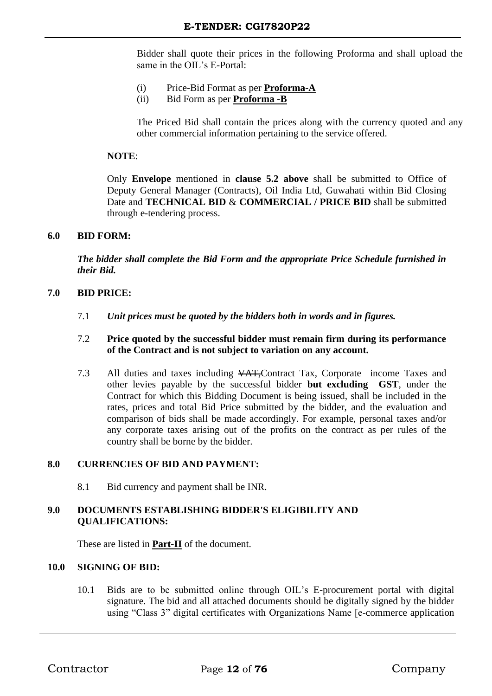Bidder shall quote their prices in the following Proforma and shall upload the same in the OIL's E-Portal:

- (i) Price-Bid Format as per **Proforma-A**
- (ii) Bid Form as per **Proforma -B**

The Priced Bid shall contain the prices along with the currency quoted and any other commercial information pertaining to the service offered.

#### **NOTE**:

Only **Envelope** mentioned in **clause 5.2 above** shall be submitted to Office of Deputy General Manager (Contracts), Oil India Ltd, Guwahati within Bid Closing Date and **TECHNICAL BID** & **COMMERCIAL / PRICE BID** shall be submitted through e-tendering process.

#### **6.0 BID FORM:**

*The bidder shall complete the Bid Form and the appropriate Price Schedule furnished in their Bid.*

#### **7.0 BID PRICE:**

7.1 *Unit prices must be quoted by the bidders both in words and in figures.* 

#### 7.2 **Price quoted by the successful bidder must remain firm during its performance of the Contract and is not subject to variation on any account.**

7.3 All duties and taxes including VAT,Contract Tax, Corporate income Taxes and other levies payable by the successful bidder **but excluding GST**, under the Contract for which this Bidding Document is being issued, shall be included in the rates, prices and total Bid Price submitted by the bidder, and the evaluation and comparison of bids shall be made accordingly. For example, personal taxes and/or any corporate taxes arising out of the profits on the contract as per rules of the country shall be borne by the bidder.

#### **8.0 CURRENCIES OF BID AND PAYMENT:**

8.1 Bid currency and payment shall be INR.

#### **9.0 DOCUMENTS ESTABLISHING BIDDER'S ELIGIBILITY AND QUALIFICATIONS:**

These are listed in **Part-II** of the document.

#### **10.0 SIGNING OF BID:**

10.1 Bids are to be submitted online through OIL's E-procurement portal with digital signature. The bid and all attached documents should be digitally signed by the bidder using "Class 3" digital certificates with Organizations Name [e-commerce application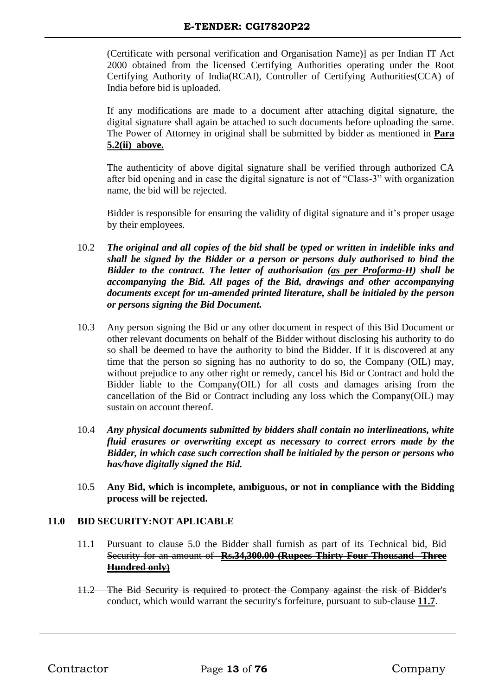(Certificate with personal verification and Organisation Name)] as per Indian IT Act 2000 obtained from the licensed Certifying Authorities operating under the Root Certifying Authority of India(RCAI), Controller of Certifying Authorities(CCA) of India before bid is uploaded.

If any modifications are made to a document after attaching digital signature, the digital signature shall again be attached to such documents before uploading the same. The Power of Attorney in original shall be submitted by bidder as mentioned in **Para 5.2(ii) above.** 

The authenticity of above digital signature shall be verified through authorized CA after bid opening and in case the digital signature is not of "Class-3" with organization name, the bid will be rejected.

Bidder is responsible for ensuring the validity of digital signature and it's proper usage by their employees.

- 10.2 *The original and all copies of the bid shall be typed or written in indelible inks and shall be signed by the Bidder or a person or persons duly authorised to bind the Bidder to the contract. The letter of authorisation (as per Proforma-H) shall be accompanying the Bid. All pages of the Bid, drawings and other accompanying documents except for un-amended printed literature, shall be initialed by the person or persons signing the Bid Document.*
- 10.3 Any person signing the Bid or any other document in respect of this Bid Document or other relevant documents on behalf of the Bidder without disclosing his authority to do so shall be deemed to have the authority to bind the Bidder. If it is discovered at any time that the person so signing has no authority to do so, the Company (OIL) may, without prejudice to any other right or remedy, cancel his Bid or Contract and hold the Bidder liable to the Company(OIL) for all costs and damages arising from the cancellation of the Bid or Contract including any loss which the Company(OIL) may sustain on account thereof.
- 10.4 *Any physical documents submitted by bidders shall contain no interlineations, white fluid erasures or overwriting except as necessary to correct errors made by the Bidder, in which case such correction shall be initialed by the person or persons who has/have digitally signed the Bid.*
- 10.5 **Any Bid, which is incomplete, ambiguous, or not in compliance with the Bidding process will be rejected.**

#### **11.0 BID SECURITY:NOT APLICABLE**

- 11.1 Pursuant to clause 5.0 the Bidder shall furnish as part of its Technical bid, Bid Security for an amount of **Rs.34,300.00 (Rupees Thirty Four Thousand Three Hundred only)**
- 11.2 The Bid Security is required to protect the Company against the risk of Bidder's conduct, which would warrant the security's forfeiture, pursuant to sub-clause **11.7**.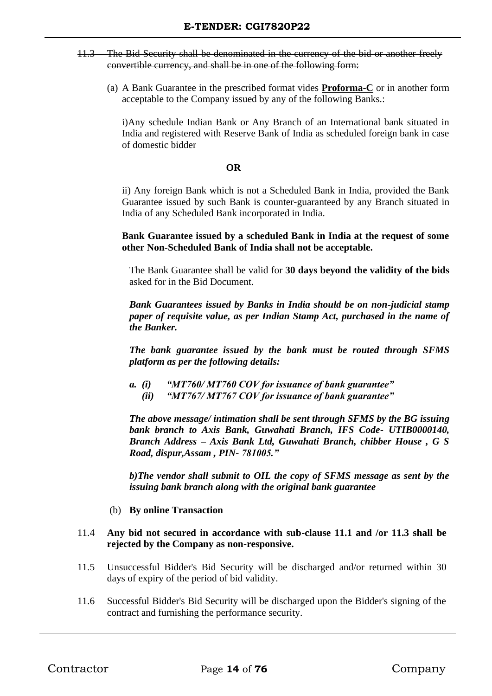- 11.3 The Bid Security shall be denominated in the currency of the bid or another freely convertible currency, and shall be in one of the following form:
	- (a) A Bank Guarantee in the prescribed format vides **Proforma-C** or in another form acceptable to the Company issued by any of the following Banks.:

i)Any schedule Indian Bank or Any Branch of an International bank situated in India and registered with Reserve Bank of India as scheduled foreign bank in case of domestic bidder

#### **OR**

ii) Any foreign Bank which is not a Scheduled Bank in India, provided the Bank Guarantee issued by such Bank is counter-guaranteed by any Branch situated in India of any Scheduled Bank incorporated in India.

**Bank Guarantee issued by a scheduled Bank in India at the request of some other Non-Scheduled Bank of India shall not be acceptable.**

The Bank Guarantee shall be valid for **30 days beyond the validity of the bids** asked for in the Bid Document.

*Bank Guarantees issued by Banks in India should be on non-judicial stamp paper of requisite value, as per Indian Stamp Act, purchased in the name of the Banker.*

*The bank guarantee issued by the bank must be routed through SFMS platform as per the following details:*

*a. (i) "MT760/ MT760 COV for issuance of bank guarantee" (ii) "MT767/ MT767 COV for issuance of bank guarantee"*

*The above message/ intimation shall be sent through SFMS by the BG issuing bank branch to Axis Bank, Guwahati Branch, IFS Code- UTIB0000140, Branch Address – Axis Bank Ltd, Guwahati Branch, chibber House , G S Road, dispur,Assam , PIN- 781005."*

*b)The vendor shall submit to OIL the copy of SFMS message as sent by the issuing bank branch along with the original bank guarantee*

#### (b) **By online Transaction**

#### 11.4 **Any bid not secured in accordance with sub-clause 11.1 and /or 11.3 shall be rejected by the Company as non-responsive.**

- 11.5 Unsuccessful Bidder's Bid Security will be discharged and/or returned within 30 days of expiry of the period of bid validity.
- 11.6 Successful Bidder's Bid Security will be discharged upon the Bidder's signing of the contract and furnishing the performance security.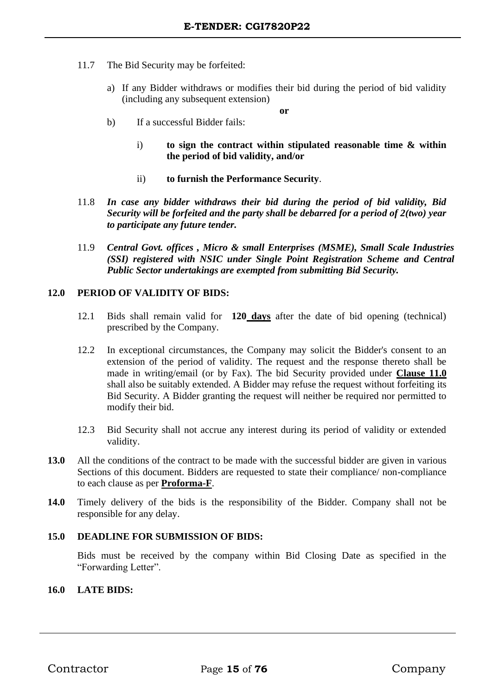- 11.7 The Bid Security may be forfeited:
	- a) If any Bidder withdraws or modifies their bid during the period of bid validity (including any subsequent extension)

**or**

- b) If a successful Bidder fails:
	- i) **to sign the contract within stipulated reasonable time & within the period of bid validity, and/or**
	- ii) **to furnish the Performance Security**.
- 11.8 *In case any bidder withdraws their bid during the period of bid validity, Bid Security will be forfeited and the party shall be debarred for a period of 2(two) year to participate any future tender.*
- 11.9 *Central Govt. offices , Micro & small Enterprises (MSME), Small Scale Industries (SSI) registered with NSIC under Single Point Registration Scheme and Central Public Sector undertakings are exempted from submitting Bid Security.*

#### **12.0 PERIOD OF VALIDITY OF BIDS:**

- 12.1 Bids shall remain valid for **120 days** after the date of bid opening (technical) prescribed by the Company.
- 12.2 In exceptional circumstances, the Company may solicit the Bidder's consent to an extension of the period of validity. The request and the response thereto shall be made in writing/email (or by Fax). The bid Security provided under **Clause 11.0** shall also be suitably extended. A Bidder may refuse the request without forfeiting its Bid Security. A Bidder granting the request will neither be required nor permitted to modify their bid.
- 12.3 Bid Security shall not accrue any interest during its period of validity or extended validity.
- 13.0 All the conditions of the contract to be made with the successful bidder are given in various Sections of this document. Bidders are requested to state their compliance/ non-compliance to each clause as per **Proforma-F**.
- **14.0** Timely delivery of the bids is the responsibility of the Bidder. Company shall not be responsible for any delay.

#### **15.0 DEADLINE FOR SUBMISSION OF BIDS:**

Bids must be received by the company within Bid Closing Date as specified in the "Forwarding Letter".

#### **16.0 LATE BIDS:**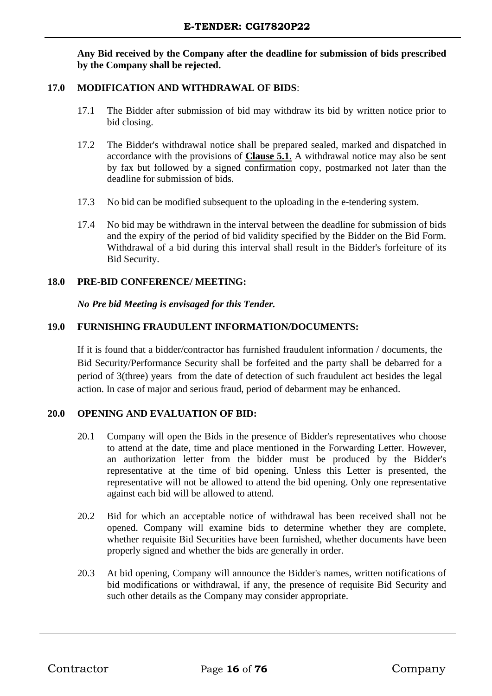**Any Bid received by the Company after the deadline for submission of bids prescribed by the Company shall be rejected.**

#### **17.0 MODIFICATION AND WITHDRAWAL OF BIDS**:

- 17.1 The Bidder after submission of bid may withdraw its bid by written notice prior to bid closing.
- 17.2 The Bidder's withdrawal notice shall be prepared sealed, marked and dispatched in accordance with the provisions of **Clause 5.1**. A withdrawal notice may also be sent by fax but followed by a signed confirmation copy, postmarked not later than the deadline for submission of bids.
- 17.3 No bid can be modified subsequent to the uploading in the e-tendering system.
- 17.4 No bid may be withdrawn in the interval between the deadline for submission of bids and the expiry of the period of bid validity specified by the Bidder on the Bid Form. Withdrawal of a bid during this interval shall result in the Bidder's forfeiture of its Bid Security.

#### **18.0 PRE-BID CONFERENCE/ MEETING:**

*No Pre bid Meeting is envisaged for this Tender.* 

#### **19.0 FURNISHING FRAUDULENT INFORMATION/DOCUMENTS:**

If it is found that a bidder/contractor has furnished fraudulent information / documents, the Bid Security/Performance Security shall be forfeited and the party shall be debarred for a period of 3(three) years from the date of detection of such fraudulent act besides the legal action. In case of major and serious fraud, period of debarment may be enhanced.

#### **20.0 OPENING AND EVALUATION OF BID:**

- 20.1 Company will open the Bids in the presence of Bidder's representatives who choose to attend at the date, time and place mentioned in the Forwarding Letter. However, an authorization letter from the bidder must be produced by the Bidder's representative at the time of bid opening. Unless this Letter is presented, the representative will not be allowed to attend the bid opening. Only one representative against each bid will be allowed to attend.
- 20.2 Bid for which an acceptable notice of withdrawal has been received shall not be opened. Company will examine bids to determine whether they are complete, whether requisite Bid Securities have been furnished, whether documents have been properly signed and whether the bids are generally in order.
- 20.3 At bid opening, Company will announce the Bidder's names, written notifications of bid modifications or withdrawal, if any, the presence of requisite Bid Security and such other details as the Company may consider appropriate.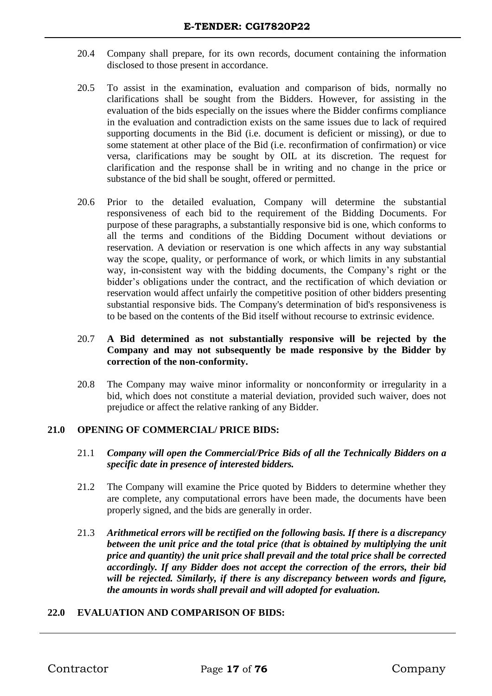- 20.4 Company shall prepare, for its own records, document containing the information disclosed to those present in accordance.
- 20.5 To assist in the examination, evaluation and comparison of bids, normally no clarifications shall be sought from the Bidders. However, for assisting in the evaluation of the bids especially on the issues where the Bidder confirms compliance in the evaluation and contradiction exists on the same issues due to lack of required supporting documents in the Bid (i.e. document is deficient or missing), or due to some statement at other place of the Bid (i.e. reconfirmation of confirmation) or vice versa, clarifications may be sought by OIL at its discretion. The request for clarification and the response shall be in writing and no change in the price or substance of the bid shall be sought, offered or permitted.
- 20.6 Prior to the detailed evaluation, Company will determine the substantial responsiveness of each bid to the requirement of the Bidding Documents. For purpose of these paragraphs, a substantially responsive bid is one, which conforms to all the terms and conditions of the Bidding Document without deviations or reservation. A deviation or reservation is one which affects in any way substantial way the scope, quality, or performance of work, or which limits in any substantial way, in-consistent way with the bidding documents, the Company's right or the bidder's obligations under the contract, and the rectification of which deviation or reservation would affect unfairly the competitive position of other bidders presenting substantial responsive bids. The Company's determination of bid's responsiveness is to be based on the contents of the Bid itself without recourse to extrinsic evidence.

#### 20.7 **A Bid determined as not substantially responsive will be rejected by the Company and may not subsequently be made responsive by the Bidder by correction of the non-conformity.**

20.8 The Company may waive minor informality or nonconformity or irregularity in a bid, which does not constitute a material deviation, provided such waiver, does not prejudice or affect the relative ranking of any Bidder.

#### **21.0 OPENING OF COMMERCIAL/ PRICE BIDS:**

- 21.1 *Company will open the Commercial/Price Bids of all the Technically Bidders on a specific date in presence of interested bidders.*
- 21.2 The Company will examine the Price quoted by Bidders to determine whether they are complete, any computational errors have been made, the documents have been properly signed, and the bids are generally in order.
- 21.3 *Arithmetical errors will be rectified on the following basis. If there is a discrepancy between the unit price and the total price (that is obtained by multiplying the unit price and quantity) the unit price shall prevail and the total price shall be corrected accordingly. If any Bidder does not accept the correction of the errors, their bid will be rejected. Similarly, if there is any discrepancy between words and figure, the amounts in words shall prevail and will adopted for evaluation.*

#### **22.0 EVALUATION AND COMPARISON OF BIDS:**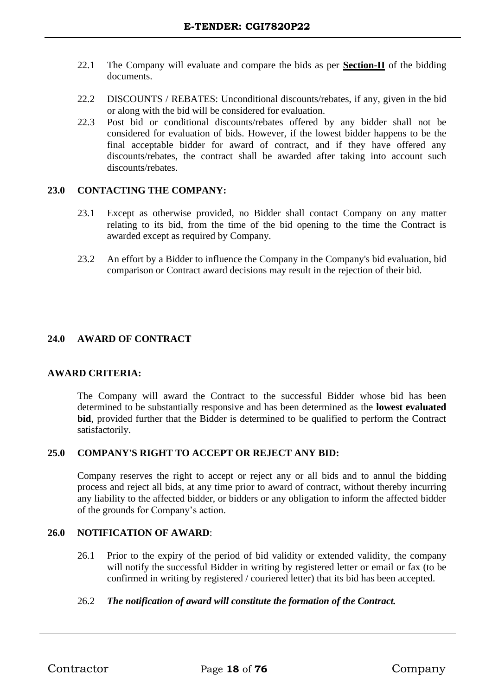- 22.1 The Company will evaluate and compare the bids as per **Section-II** of the bidding documents.
- 22.2 DISCOUNTS / REBATES: Unconditional discounts/rebates, if any, given in the bid or along with the bid will be considered for evaluation.
- 22.3 Post bid or conditional discounts/rebates offered by any bidder shall not be considered for evaluation of bids. However, if the lowest bidder happens to be the final acceptable bidder for award of contract, and if they have offered any discounts/rebates, the contract shall be awarded after taking into account such discounts/rebates.

#### **23.0 CONTACTING THE COMPANY:**

- 23.1 Except as otherwise provided, no Bidder shall contact Company on any matter relating to its bid, from the time of the bid opening to the time the Contract is awarded except as required by Company.
- 23.2 An effort by a Bidder to influence the Company in the Company's bid evaluation, bid comparison or Contract award decisions may result in the rejection of their bid.

#### **24.0 AWARD OF CONTRACT**

#### **AWARD CRITERIA:**

The Company will award the Contract to the successful Bidder whose bid has been determined to be substantially responsive and has been determined as the **lowest evaluated bid**, provided further that the Bidder is determined to be qualified to perform the Contract satisfactorily.

#### **25.0 COMPANY'S RIGHT TO ACCEPT OR REJECT ANY BID:**

Company reserves the right to accept or reject any or all bids and to annul the bidding process and reject all bids, at any time prior to award of contract, without thereby incurring any liability to the affected bidder, or bidders or any obligation to inform the affected bidder of the grounds for Company's action.

#### **26.0 NOTIFICATION OF AWARD**:

26.1 Prior to the expiry of the period of bid validity or extended validity, the company will notify the successful Bidder in writing by registered letter or email or fax (to be confirmed in writing by registered / couriered letter) that its bid has been accepted.

#### 26.2 *The notification of award will constitute the formation of the Contract.*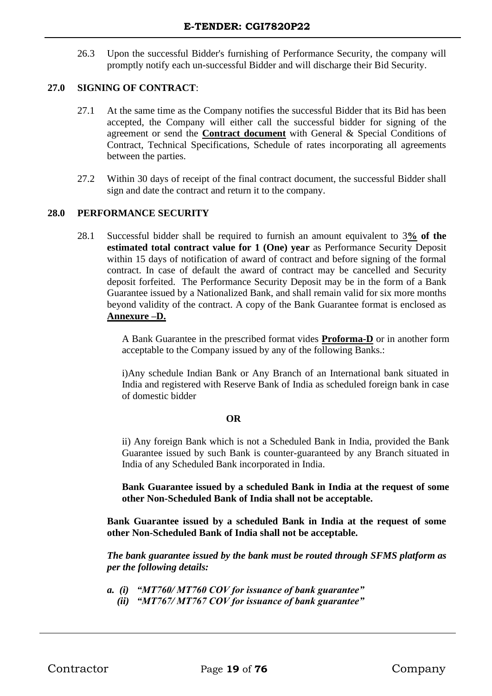26.3 Upon the successful Bidder's furnishing of Performance Security, the company will promptly notify each un-successful Bidder and will discharge their Bid Security.

#### **27.0 SIGNING OF CONTRACT**:

- 27.1 At the same time as the Company notifies the successful Bidder that its Bid has been accepted, the Company will either call the successful bidder for signing of the agreement or send the **Contract document** with General & Special Conditions of Contract, Technical Specifications, Schedule of rates incorporating all agreements between the parties.
- 27.2 Within 30 days of receipt of the final contract document, the successful Bidder shall sign and date the contract and return it to the company.

#### **28.0 PERFORMANCE SECURITY**

28.1 Successful bidder shall be required to furnish an amount equivalent to 3**% of the estimated total contract value for 1 (One) year** as Performance Security Deposit within 15 days of notification of award of contract and before signing of the formal contract. In case of default the award of contract may be cancelled and Security deposit forfeited. The Performance Security Deposit may be in the form of a Bank Guarantee issued by a Nationalized Bank, and shall remain valid for six more months beyond validity of the contract. A copy of the Bank Guarantee format is enclosed as **Annexure –D.**

> A Bank Guarantee in the prescribed format vides **Proforma-D** or in another form acceptable to the Company issued by any of the following Banks.:

> i)Any schedule Indian Bank or Any Branch of an International bank situated in India and registered with Reserve Bank of India as scheduled foreign bank in case of domestic bidder

#### **OR**

ii) Any foreign Bank which is not a Scheduled Bank in India, provided the Bank Guarantee issued by such Bank is counter-guaranteed by any Branch situated in India of any Scheduled Bank incorporated in India.

**Bank Guarantee issued by a scheduled Bank in India at the request of some other Non-Scheduled Bank of India shall not be acceptable.**

**Bank Guarantee issued by a scheduled Bank in India at the request of some other Non-Scheduled Bank of India shall not be acceptable.**

*The bank guarantee issued by the bank must be routed through SFMS platform as per the following details:*

*a. (i) "MT760/ MT760 COV for issuance of bank guarantee" (ii) "MT767/ MT767 COV for issuance of bank guarantee"*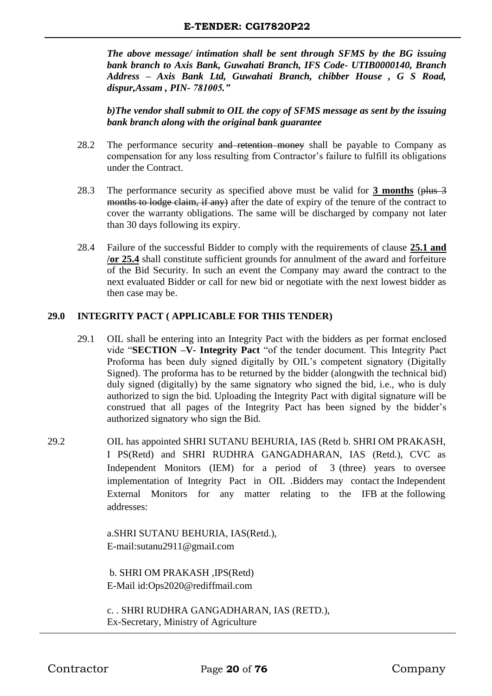*The above message/ intimation shall be sent through SFMS by the BG issuing bank branch to Axis Bank, Guwahati Branch, IFS Code- UTIB0000140, Branch Address – Axis Bank Ltd, Guwahati Branch, chibber House , G S Road, dispur,Assam , PIN- 781005."*

*b)The vendor shall submit to OIL the copy of SFMS message as sent by the issuing bank branch along with the original bank guarantee*

- 28.2 The performance security and retention money shall be payable to Company as compensation for any loss resulting from Contractor's failure to fulfill its obligations under the Contract.
- 28.3 The performance security as specified above must be valid for **3 months** (plus 3 months to lodge claim, if any) after the date of expiry of the tenure of the contract to cover the warranty obligations. The same will be discharged by company not later than 30 days following its expiry.
- 28.4 Failure of the successful Bidder to comply with the requirements of clause **25.1 and /or 25.4** shall constitute sufficient grounds for annulment of the award and forfeiture of the Bid Security. In such an event the Company may award the contract to the next evaluated Bidder or call for new bid or negotiate with the next lowest bidder as then case may be.

#### **29.0 INTEGRITY PACT ( APPLICABLE FOR THIS TENDER)**

- 29.1 OIL shall be entering into an Integrity Pact with the bidders as per format enclosed vide "**SECTION –V- Integrity Pact** "of the tender document. This Integrity Pact Proforma has been duly signed digitally by OIL's competent signatory (Digitally Signed). The proforma has to be returned by the bidder (alongwith the technical bid) duly signed (digitally) by the same signatory who signed the bid, i.e., who is duly authorized to sign the bid. Uploading the Integrity Pact with digital signature will be construed that all pages of the Integrity Pact has been signed by the bidder's authorized signatory who sign the Bid.
- 29.2 OIL has appointed SHRI SUTANU BEHURIA, IAS (Retd b. SHRI OM PRAKASH, I PS(Retd) and SHRI RUDHRA GANGADHARAN, IAS (Retd.), CVC as Independent Monitors (IEM) for a period of 3 (three) years to oversee implementation of Integrity Pact in OIL .Bidders may contact the Independent External Monitors for any matter relating to the IFB at the following addresses:

a.SHRI SUTANU BEHURIA, IAS(Retd.), E-mail[:sutanu2911@gmaiI.com](mailto:sutanu2911@gmaiI.com)

b. SHRI OM PRAKASH ,IPS(Retd) E-Mail id:Ops2020@rediffmail.com

c. . SHRI RUDHRA GANGADHARAN, IAS (RETD.), Ex-Secretary, Ministry of Agriculture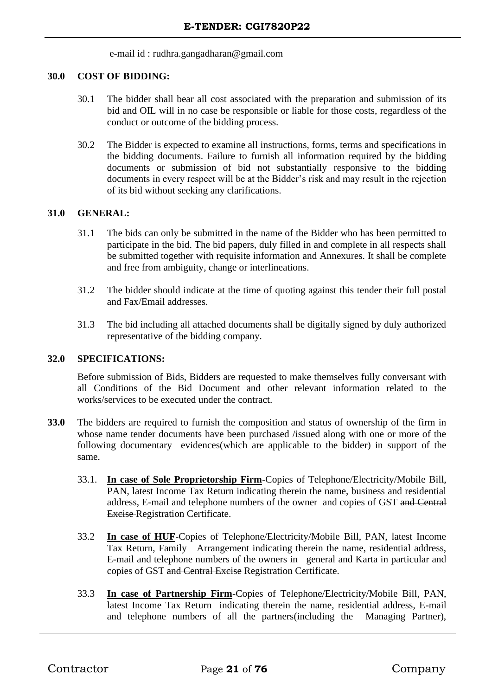e-mail id : [rudhra.gangadharan@gmail.com](mailto:rudhra.gangadharan@gmail.com)

#### **30.0 COST OF BIDDING:**

- 30.1 The bidder shall bear all cost associated with the preparation and submission of its bid and OIL will in no case be responsible or liable for those costs, regardless of the conduct or outcome of the bidding process.
- 30.2 The Bidder is expected to examine all instructions, forms, terms and specifications in the bidding documents. Failure to furnish all information required by the bidding documents or submission of bid not substantially responsive to the bidding documents in every respect will be at the Bidder's risk and may result in the rejection of its bid without seeking any clarifications.

#### **31.0 GENERAL:**

- 31.1 The bids can only be submitted in the name of the Bidder who has been permitted to participate in the bid. The bid papers, duly filled in and complete in all respects shall be submitted together with requisite information and Annexures. It shall be complete and free from ambiguity, change or interlineations.
- 31.2 The bidder should indicate at the time of quoting against this tender their full postal and Fax/Email addresses.
- 31.3 The bid including all attached documents shall be digitally signed by duly authorized representative of the bidding company.

#### **32.0 SPECIFICATIONS:**

Before submission of Bids, Bidders are requested to make themselves fully conversant with all Conditions of the Bid Document and other relevant information related to the works/services to be executed under the contract.

- **33.0** The bidders are required to furnish the composition and status of ownership of the firm in whose name tender documents have been purchased */issued along with one or more of the* following documentary evidences(which are applicable to the bidder) in support of the same.
	- 33.1. **In case of Sole Proprietorship Firm**-Copies of Telephone/Electricity/Mobile Bill, PAN, latest Income Tax Return indicating therein the name, business and residential address, E-mail and telephone numbers of the owner and copies of GST and Central Excise Registration Certificate.
	- 33.2 **In case of HUF**-Copies of Telephone/Electricity/Mobile Bill, PAN, latest Income Tax Return, Family Arrangement indicating therein the name, residential address, E-mail and telephone numbers of the owners in general and Karta in particular and copies of GST and Central Excise Registration Certificate.
	- 33.3 **In case of Partnership Firm**-Copies of Telephone/Electricity/Mobile Bill, PAN, latest Income Tax Return indicating therein the name, residential address, E-mail and telephone numbers of all the partners(including the Managing Partner),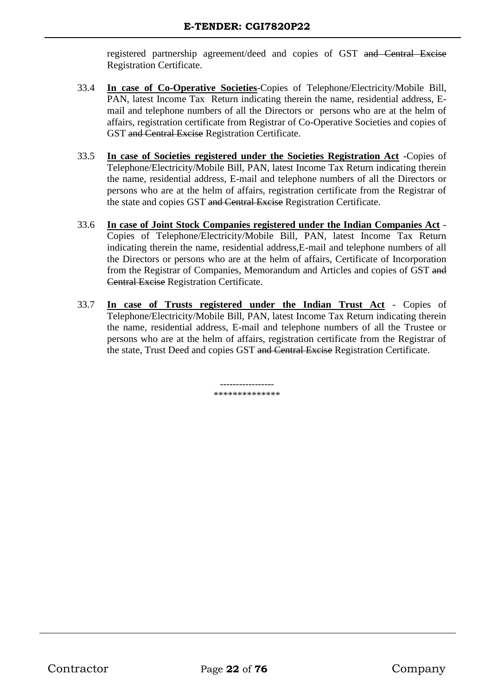registered partnership agreement/deed and copies of GST and Central Excise Registration Certificate.

- 33.4 **In case of Co-Operative Societies**-Copies of Telephone/Electricity/Mobile Bill, PAN, latest Income Tax Return indicating therein the name, residential address, Email and telephone numbers of all the Directors or persons who are at the helm of affairs, registration certificate from Registrar of Co-Operative Societies and copies of GST and Central Excise Registration Certificate.
- 33.5 **In case of Societies registered under the Societies Registration Act** -Copies of Telephone/Electricity/Mobile Bill, PAN, latest Income Tax Return indicating therein the name, residential address, E-mail and telephone numbers of all the Directors or persons who are at the helm of affairs, registration certificate from the Registrar of the state and copies GST and Central Excise Registration Certificate.
- 33.6 **In case of Joint Stock Companies registered under the Indian Companies Act** Copies of Telephone/Electricity/Mobile Bill, PAN, latest Income Tax Return indicating therein the name, residential address,E-mail and telephone numbers of all the Directors or persons who are at the helm of affairs, Certificate of Incorporation from the Registrar of Companies, Memorandum and Articles and copies of GST and Central Excise Registration Certificate.
- 33.7 **In case of Trusts registered under the Indian Trust Act** Copies of Telephone/Electricity/Mobile Bill, PAN, latest Income Tax Return indicating therein the name, residential address, E-mail and telephone numbers of all the Trustee or persons who are at the helm of affairs, registration certificate from the Registrar of the state, Trust Deed and copies GST and Central Excise Registration Certificate.

----------------- \*\*\*\*\*\*\*\*\*\*\*\*\*\*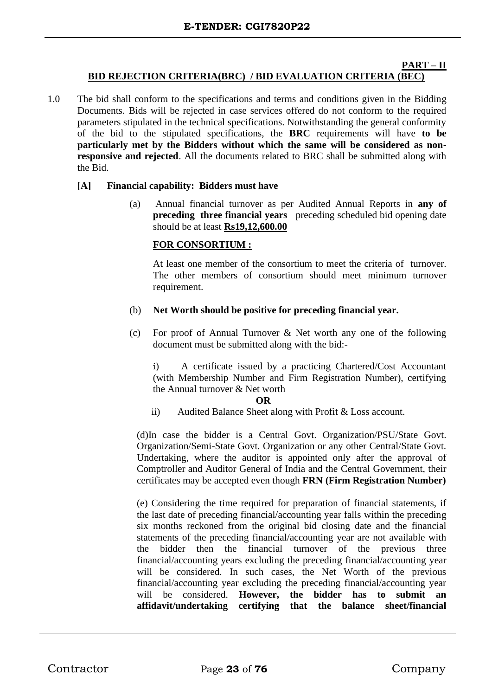#### **PART – II BID REJECTION CRITERIA(BRC) / BID EVALUATION CRITERIA (BEC)**

1.0 The bid shall conform to the specifications and terms and conditions given in the Bidding Documents. Bids will be rejected in case services offered do not conform to the required parameters stipulated in the technical specifications. Notwithstanding the general conformity of the bid to the stipulated specifications, the **BRC** requirements will have **to be particularly met by the Bidders without which the same will be considered as nonresponsive and rejected**. All the documents related to BRC shall be submitted along with the Bid.

#### **[A] Financial capability: Bidders must have**

(a) Annual financial turnover as per Audited Annual Reports in **any of preceding three financial years** preceding scheduled bid opening date should be at least **Rs19,12,600.00**

#### **FOR CONSORTIUM :**

At least one member of the consortium to meet the criteria of turnover. The other members of consortium should meet minimum turnover requirement.

#### (b) **Net Worth should be positive for preceding financial year.**

(c) For proof of Annual Turnover & Net worth any one of the following document must be submitted along with the bid:-

i) A certificate issued by a practicing Chartered/Cost Accountant (with Membership Number and Firm Registration Number), certifying the Annual turnover & Net worth

#### **OR**

ii) Audited Balance Sheet along with Profit & Loss account.

(d)In case the bidder is a Central Govt. Organization/PSU/State Govt. Organization/Semi-State Govt. Organization or any other Central/State Govt. Undertaking, where the auditor is appointed only after the approval of Comptroller and Auditor General of India and the Central Government, their certificates may be accepted even though **FRN (Firm Registration Number)**

(e) Considering the time required for preparation of financial statements, if the last date of preceding financial/accounting year falls within the preceding six months reckoned from the original bid closing date and the financial statements of the preceding financial/accounting year are not available with the bidder then the financial turnover of the previous three financial/accounting years excluding the preceding financial/accounting year will be considered. In such cases, the Net Worth of the previous financial/accounting year excluding the preceding financial/accounting year will be considered. **However, the bidder has to submit an affidavit/undertaking certifying that the balance sheet/financial**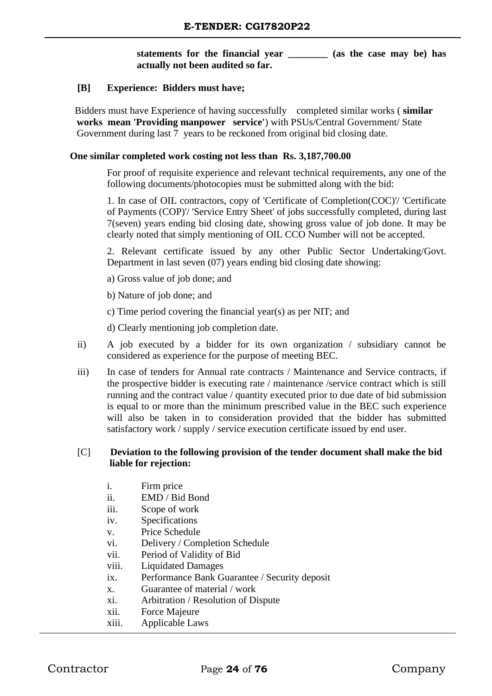#### **statements for the financial year \_\_\_\_\_\_\_\_ (as the case may be) has actually not been audited so far.**

#### **[B] Experience: Bidders must have;**

 Bidders must have Experience of having successfully completed similar works ( **similar works mean 'Providing manpower service'**) with PSUs/Central Government/ State Government during last 7 years to be reckoned from original bid closing date.

#### **One similar completed work costing not less than Rs. 3,187,700.00**

For proof of requisite experience and relevant technical requirements, any one of the following documents/photocopies must be submitted along with the bid:

1. In case of OIL contractors, copy of 'Certificate of Completion(COC)'/ 'Certificate of Payments (COP)'/ 'Service Entry Sheet' of jobs successfully completed, during last 7(seven) years ending bid closing date, showing gross value of job done. It may be clearly noted that simply mentioning of OIL CCO Number will not be accepted.

2. Relevant certificate issued by any other Public Sector Undertaking/Govt. Department in last seven (07) years ending bid closing date showing:

a) Gross value of job done; and

b) Nature of job done; and

c) Time period covering the financial year(s) as per NIT; and

d) Clearly mentioning job completion date.

- ii) A job executed by a bidder for its own organization / subsidiary cannot be considered as experience for the purpose of meeting BEC.
- iii) In case of tenders for Annual rate contracts / Maintenance and Service contracts, if the prospective bidder is executing rate / maintenance /service contract which is still running and the contract value / quantity executed prior to due date of bid submission is equal to or more than the minimum prescribed value in the BEC such experience will also be taken in to consideration provided that the bidder has submitted satisfactory work / supply / service execution certificate issued by end user.

#### [C] **Deviation to the following provision of the tender document shall make the bid liable for rejection:**

- i. Firm price
- ii. EMD / Bid Bond
- iii. Scope of work
- iv. Specifications
- v. Price Schedule
- vi. Delivery / Completion Schedule
- vii. Period of Validity of Bid
- viii. Liquidated Damages
- ix. Performance Bank Guarantee / Security deposit
- x. Guarantee of material / work
- xi. Arbitration / Resolution of Dispute
- xii. Force Majeure
- xiii. Applicable Laws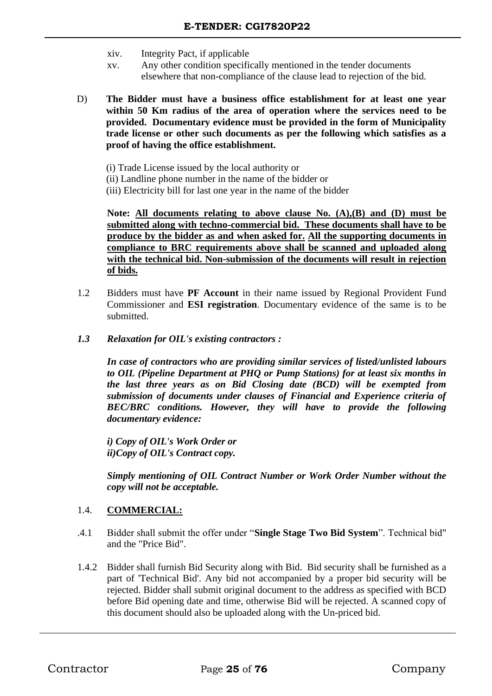- xiv. Integrity Pact, if applicable
- xv. Any other condition specifically mentioned in the tender documents elsewhere that non-compliance of the clause lead to rejection of the bid.
- D) **The Bidder must have a business office establishment for at least one year within 50 Km radius of the area of operation where the services need to be provided. Documentary evidence must be provided in the form of Municipality trade license or other such documents as per the following which satisfies as a proof of having the office establishment.**
	- (i) Trade License issued by the local authority or
	- (ii) Landline phone number in the name of the bidder or
	- (iii) Electricity bill for last one year in the name of the bidder

**Note: All documents relating to above clause No. (A),(B) and (D) must be submitted along with techno-commercial bid. These documents shall have to be produce by the bidder as and when asked for. All the supporting documents in compliance to BRC requirements above shall be scanned and uploaded along with the technical bid. Non-submission of the documents will result in rejection of bids.**

- 1.2 Bidders must have **PF Account** in their name issued by Regional Provident Fund Commissioner and **ESI registration**. Documentary evidence of the same is to be submitted.
- *1.3 Relaxation for OIL's existing contractors :*

 *In case of contractors who are providing similar services of listed/unlisted labours to OIL (Pipeline Department at PHQ or Pump Stations) for at least six months in the last three years as on Bid Closing date (BCD) will be exempted from submission of documents under clauses of Financial and Experience criteria of BEC/BRC conditions. However, they will have to provide the following documentary evidence:*

*i) Copy of OIL's Work Order or ii)Copy of OIL's Contract copy.*

*Simply mentioning of OIL Contract Number or Work Order Number without the copy will not be acceptable.* 

#### 1.4. **COMMERCIAL:**

- .4.1 Bidder shall submit the offer under "**Single Stage Two Bid System**". Technical bid" and the "Price Bid".
- 1.4.2 Bidder shall furnish Bid Security along with Bid. Bid security shall be furnished as a part of 'Technical Bid'. Any bid not accompanied by a proper bid security will be rejected. Bidder shall submit original document to the address as specified with BCD before Bid opening date and time, otherwise Bid will be rejected. A scanned copy of this document should also be uploaded along with the Un-priced bid.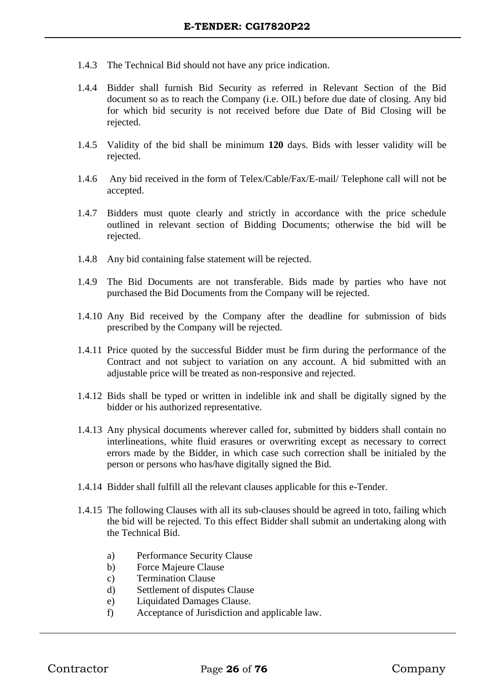- 1.4.3 The Technical Bid should not have any price indication.
- 1.4.4 Bidder shall furnish Bid Security as referred in Relevant Section of the Bid document so as to reach the Company (i.e. OIL) before due date of closing. Any bid for which bid security is not received before due Date of Bid Closing will be rejected.
- 1.4.5 Validity of the bid shall be minimum **120** days. Bids with lesser validity will be rejected.
- 1.4.6 Any bid received in the form of Telex/Cable/Fax/E-mail/ Telephone call will not be accepted.
- 1.4.7 Bidders must quote clearly and strictly in accordance with the price schedule outlined in relevant section of Bidding Documents; otherwise the bid will be rejected.
- 1.4.8 Any bid containing false statement will be rejected.
- 1.4.9 The Bid Documents are not transferable. Bids made by parties who have not purchased the Bid Documents from the Company will be rejected.
- 1.4.10 Any Bid received by the Company after the deadline for submission of bids prescribed by the Company will be rejected.
- 1.4.11 Price quoted by the successful Bidder must be firm during the performance of the Contract and not subject to variation on any account. A bid submitted with an adjustable price will be treated as non-responsive and rejected.
- 1.4.12 Bids shall be typed or written in indelible ink and shall be digitally signed by the bidder or his authorized representative.
- 1.4.13 Any physical documents wherever called for, submitted by bidders shall contain no interlineations, white fluid erasures or overwriting except as necessary to correct errors made by the Bidder, in which case such correction shall be initialed by the person or persons who has/have digitally signed the Bid.
- 1.4.14 Bidder shall fulfill all the relevant clauses applicable for this e-Tender.
- 1.4.15 The following Clauses with all its sub-clauses should be agreed in toto, failing which the bid will be rejected. To this effect Bidder shall submit an undertaking along with the Technical Bid.
	- a) Performance Security Clause
	- b) Force Majeure Clause
	- c) Termination Clause
	- d) Settlement of disputes Clause
	- e) Liquidated Damages Clause.
	- f) Acceptance of Jurisdiction and applicable law.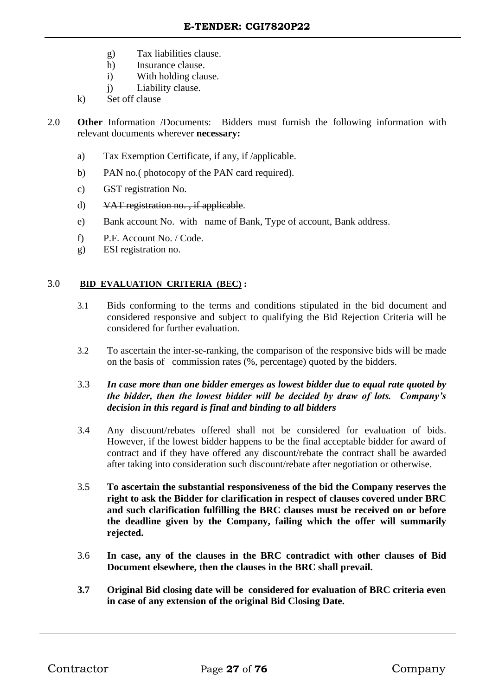- g) Tax liabilities clause.
- h) Insurance clause.
- i) With holding clause.
- j) Liability clause.
- k) Set off clause
- 2.0 **Other** Information /Documents: Bidders must furnish the following information with relevant documents wherever **necessary:**
	- a) Tax Exemption Certificate, if any, if /applicable.
	- b) PAN no.( photocopy of the PAN card required).
	- c) GST registration No.
	- d) VAT registration no. , if applicable.
	- e) Bank account No. with name of Bank, Type of account, Bank address.
	- f) P.F. Account No. / Code.
	- g) ESI registration no.

#### 3.0 **BID EVALUATION CRITERIA (BEC) :**

- 3.1 Bids conforming to the terms and conditions stipulated in the bid document and considered responsive and subject to qualifying the Bid Rejection Criteria will be considered for further evaluation.
- 3.2 To ascertain the inter-se-ranking, the comparison of the responsive bids will be made on the basis of commission rates (%, percentage) quoted by the bidders.

#### 3.3 *In case more than one bidder emerges as lowest bidder due to equal rate quoted by the bidder, then the lowest bidder will be decided by draw of lots. Company's decision in this regard is final and binding to all bidders*

- 3.4 Any discount/rebates offered shall not be considered for evaluation of bids. However, if the lowest bidder happens to be the final acceptable bidder for award of contract and if they have offered any discount/rebate the contract shall be awarded after taking into consideration such discount/rebate after negotiation or otherwise.
- 3.5 **To ascertain the substantial responsiveness of the bid the Company reserves the right to ask the Bidder for clarification in respect of clauses covered under BRC and such clarification fulfilling the BRC clauses must be received on or before the deadline given by the Company, failing which the offer will summarily rejected.**
- 3.6 **In case, any of the clauses in the BRC contradict with other clauses of Bid Document elsewhere, then the clauses in the BRC shall prevail.**
- **3.7 Original Bid closing date will be considered for evaluation of BRC criteria even in case of any extension of the original Bid Closing Date.**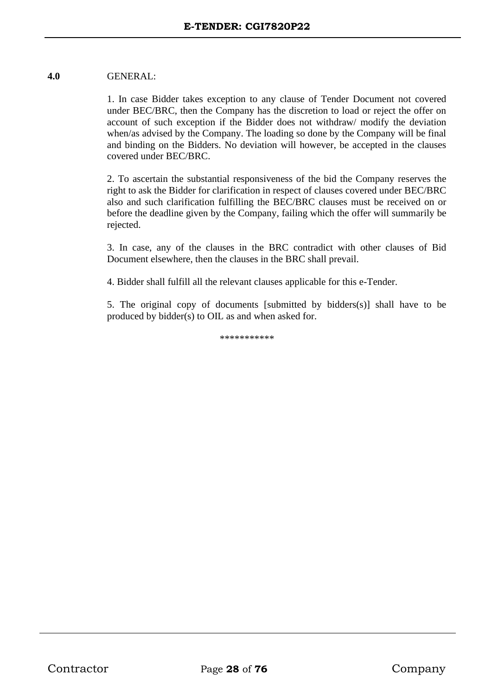#### **4.0** GENERAL:

1. In case Bidder takes exception to any clause of Tender Document not covered under BEC/BRC, then the Company has the discretion to load or reject the offer on account of such exception if the Bidder does not withdraw/ modify the deviation when/as advised by the Company. The loading so done by the Company will be final and binding on the Bidders. No deviation will however, be accepted in the clauses covered under BEC/BRC.

2. To ascertain the substantial responsiveness of the bid the Company reserves the right to ask the Bidder for clarification in respect of clauses covered under BEC/BRC also and such clarification fulfilling the BEC/BRC clauses must be received on or before the deadline given by the Company, failing which the offer will summarily be rejected.

3. In case, any of the clauses in the BRC contradict with other clauses of Bid Document elsewhere, then the clauses in the BRC shall prevail.

4. Bidder shall fulfill all the relevant clauses applicable for this e-Tender.

5. The original copy of documents [submitted by bidders(s)] shall have to be produced by bidder(s) to OIL as and when asked for.

\*\*\*\*\*\*\*\*\*\*\*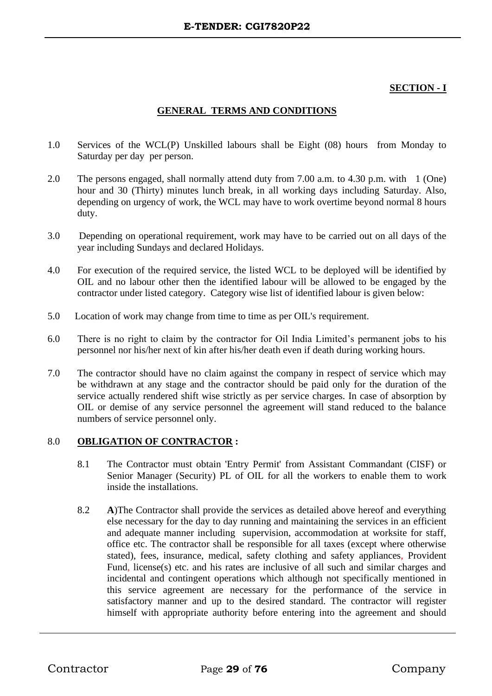#### **SECTION - I**

#### **GENERAL TERMS AND CONDITIONS**

- 1.0 Services of the WCL(P) Unskilled labours shall be Eight (08) hours from Monday to Saturday per day per person.
- 2.0 The persons engaged, shall normally attend duty from 7.00 a.m. to 4.30 p.m. with 1 (One) hour and 30 (Thirty) minutes lunch break, in all working days including Saturday. Also, depending on urgency of work, the WCL may have to work overtime beyond normal 8 hours duty.
- 3.0 Depending on operational requirement, work may have to be carried out on all days of the year including Sundays and declared Holidays.
- 4.0 For execution of the required service, the listed WCL to be deployed will be identified by OIL and no labour other then the identified labour will be allowed to be engaged by the contractor under listed category. Category wise list of identified labour is given below:
- 5.0 Location of work may change from time to time as per OIL's requirement.
- 6.0 There is no right to claim by the contractor for Oil India Limited's permanent jobs to his personnel nor his/her next of kin after his/her death even if death during working hours.
- 7.0 The contractor should have no claim against the company in respect of service which may be withdrawn at any stage and the contractor should be paid only for the duration of the service actually rendered shift wise strictly as per service charges. In case of absorption by OIL or demise of any service personnel the agreement will stand reduced to the balance numbers of service personnel only.

#### 8.0 **OBLIGATION OF CONTRACTOR :**

- 8.1 The Contractor must obtain 'Entry Permit' from Assistant Commandant (CISF) or Senior Manager (Security) PL of OIL for all the workers to enable them to work inside the installations.
- 8.2 **A**)The Contractor shall provide the services as detailed above hereof and everything else necessary for the day to day running and maintaining the services in an efficient and adequate manner including supervision, accommodation at worksite for staff, office etc. The contractor shall be responsible for all taxes (except where otherwise stated), fees, insurance, medical, safety clothing and safety appliances, Provident Fund, license(s) etc. and his rates are inclusive of all such and similar charges and incidental and contingent operations which although not specifically mentioned in this service agreement are necessary for the performance of the service in satisfactory manner and up to the desired standard. The contractor will register himself with appropriate authority before entering into the agreement and should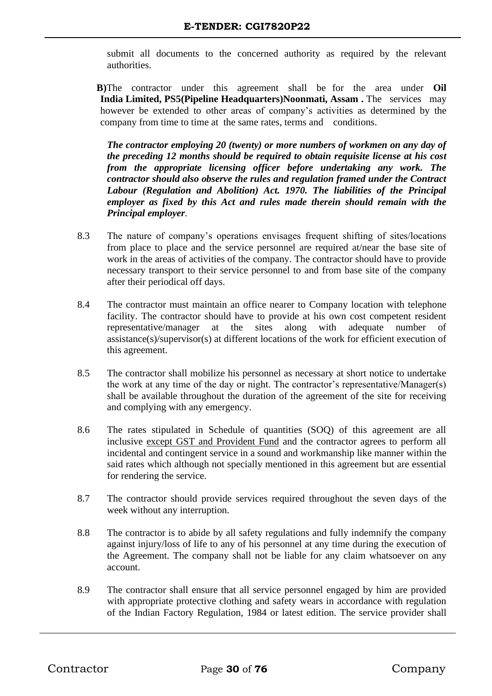submit all documents to the concerned authority as required by the relevant authorities.

 **B)**The contractor under this agreement shall be for the area under **Oil India Limited, PS5(Pipeline Headquarters)Noonmati, Assam .** The services may however be extended to other areas of company's activities as determined by the company from time to time at the same rates, terms and conditions.

*The contractor employing 20 (twenty) or more numbers of workmen on any day of the preceding 12 months should be required to obtain requisite license at his cost from the appropriate licensing officer before undertaking any work. The contractor should also observe the rules and regulation framed under the Contract Labour (Regulation and Abolition) Act. 1970. The liabilities of the Principal employer as fixed by this Act and rules made therein should remain with the Principal employer.*

- 8.3 The nature of company's operations envisages frequent shifting of sites/locations from place to place and the service personnel are required at/near the base site of work in the areas of activities of the company. The contractor should have to provide necessary transport to their service personnel to and from base site of the company after their periodical off days.
- 8.4 The contractor must maintain an office nearer to Company location with telephone facility. The contractor should have to provide at his own cost competent resident representative/manager at the sites along with adequate number of assistance(s)/supervisor(s) at different locations of the work for efficient execution of this agreement.
- 8.5 The contractor shall mobilize his personnel as necessary at short notice to undertake the work at any time of the day or night. The contractor's representative/Manager(s) shall be available throughout the duration of the agreement of the site for receiving and complying with any emergency.
- 8.6 The rates stipulated in Schedule of quantities (SOQ) of this agreement are all inclusive except GST and Provident Fund and the contractor agrees to perform all incidental and contingent service in a sound and workmanship like manner within the said rates which although not specially mentioned in this agreement but are essential for rendering the service.
- 8.7 The contractor should provide services required throughout the seven days of the week without any interruption.
- 8.8 The contractor is to abide by all safety regulations and fully indemnify the company against injury/loss of life to any of his personnel at any time during the execution of the Agreement. The company shall not be liable for any claim whatsoever on any account.
- 8.9 The contractor shall ensure that all service personnel engaged by him are provided with appropriate protective clothing and safety wears in accordance with regulation of the Indian Factory Regulation, 1984 or latest edition. The service provider shall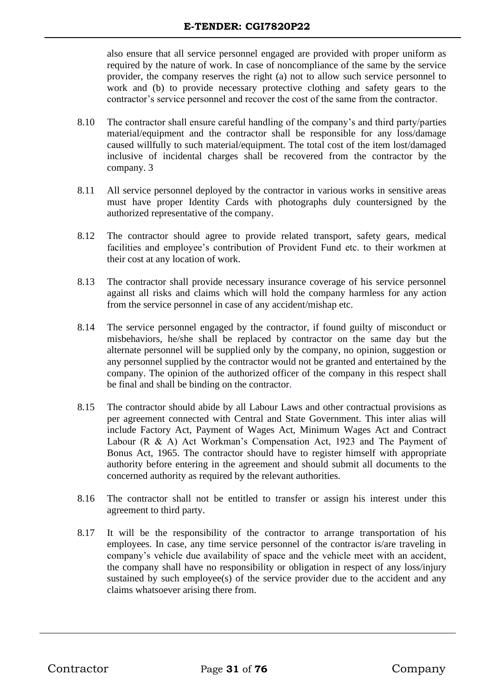also ensure that all service personnel engaged are provided with proper uniform as required by the nature of work. In case of noncompliance of the same by the service provider, the company reserves the right (a) not to allow such service personnel to work and (b) to provide necessary protective clothing and safety gears to the contractor's service personnel and recover the cost of the same from the contractor.

- 8.10 The contractor shall ensure careful handling of the company's and third party/parties material/equipment and the contractor shall be responsible for any loss/damage caused willfully to such material/equipment. The total cost of the item lost/damaged inclusive of incidental charges shall be recovered from the contractor by the company. 3
- 8.11 All service personnel deployed by the contractor in various works in sensitive areas must have proper Identity Cards with photographs duly countersigned by the authorized representative of the company.
- 8.12 The contractor should agree to provide related transport, safety gears, medical facilities and employee's contribution of Provident Fund etc. to their workmen at their cost at any location of work.
- 8.13 The contractor shall provide necessary insurance coverage of his service personnel against all risks and claims which will hold the company harmless for any action from the service personnel in case of any accident/mishap etc.
- 8.14 The service personnel engaged by the contractor, if found guilty of misconduct or misbehaviors, he/she shall be replaced by contractor on the same day but the alternate personnel will be supplied only by the company, no opinion, suggestion or any personnel supplied by the contractor would not be granted and entertained by the company. The opinion of the authorized officer of the company in this respect shall be final and shall be binding on the contractor.
- 8.15 The contractor should abide by all Labour Laws and other contractual provisions as per agreement connected with Central and State Government. This inter alias will include Factory Act, Payment of Wages Act, Minimum Wages Act and Contract Labour (R & A) Act Workman's Compensation Act, 1923 and The Payment of Bonus Act, 1965. The contractor should have to register himself with appropriate authority before entering in the agreement and should submit all documents to the concerned authority as required by the relevant authorities.
- 8.16 The contractor shall not be entitled to transfer or assign his interest under this agreement to third party.
- 8.17 It will be the responsibility of the contractor to arrange transportation of his employees. In case, any time service personnel of the contractor is/are traveling in company's vehicle due availability of space and the vehicle meet with an accident, the company shall have no responsibility or obligation in respect of any loss/injury sustained by such employee(s) of the service provider due to the accident and any claims whatsoever arising there from.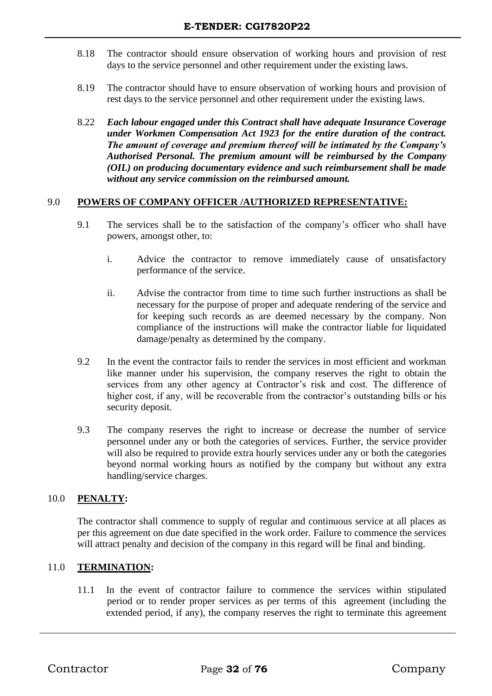- 8.18 The contractor should ensure observation of working hours and provision of rest days to the service personnel and other requirement under the existing laws.
- 8.19 The contractor should have to ensure observation of working hours and provision of rest days to the service personnel and other requirement under the existing laws.
- 8.22 *Each labour engaged under this Contract shall have adequate Insurance Coverage under Workmen Compensation Act 1923 for the entire duration of the contract. The amount of coverage and premium thereof will be intimated by the Company's Authorised Personal. The premium amount will be reimbursed by the Company (OIL) on producing documentary evidence and such reimbursement shall be made without any service commission on the reimbursed amount.*

#### 9.0 **POWERS OF COMPANY OFFICER /AUTHORIZED REPRESENTATIVE:**

- 9.1 The services shall be to the satisfaction of the company's officer who shall have powers, amongst other, to:
	- i. Advice the contractor to remove immediately cause of unsatisfactory performance of the service.
	- ii. Advise the contractor from time to time such further instructions as shall be necessary for the purpose of proper and adequate rendering of the service and for keeping such records as are deemed necessary by the company. Non compliance of the instructions will make the contractor liable for liquidated damage/penalty as determined by the company.
- 9.2 In the event the contractor fails to render the services in most efficient and workman like manner under his supervision, the company reserves the right to obtain the services from any other agency at Contractor's risk and cost. The difference of higher cost, if any, will be recoverable from the contractor's outstanding bills or his security deposit.
- 9.3 The company reserves the right to increase or decrease the number of service personnel under any or both the categories of services. Further, the service provider will also be required to provide extra hourly services under any or both the categories beyond normal working hours as notified by the company but without any extra handling/service charges.

#### 10.0 **PENALTY:**

The contractor shall commence to supply of regular and continuous service at all places as per this agreement on due date specified in the work order. Failure to commence the services will attract penalty and decision of the company in this regard will be final and binding.

#### 11.0 **TERMINATION:**

11.1 In the event of contractor failure to commence the services within stipulated period or to render proper services as per terms of this agreement (including the extended period, if any), the company reserves the right to terminate this agreement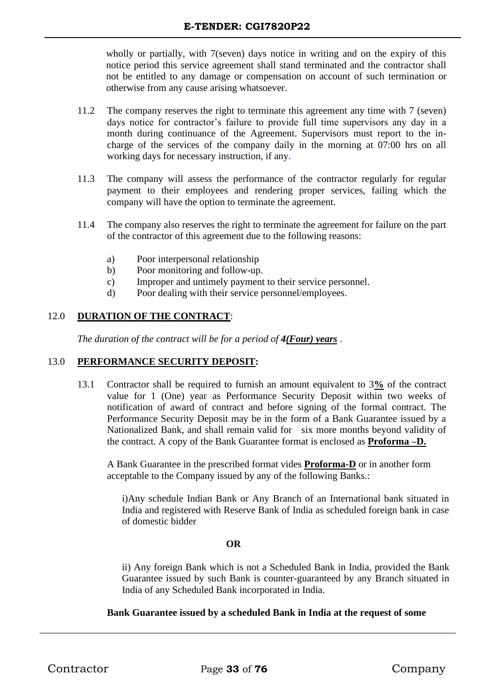wholly or partially, with 7(seven) days notice in writing and on the expiry of this notice period this service agreement shall stand terminated and the contractor shall not be entitled to any damage or compensation on account of such termination or otherwise from any cause arising whatsoever.

- 11.2 The company reserves the right to terminate this agreement any time with 7 (seven) days notice for contractor's failure to provide full time supervisors any day in a month during continuance of the Agreement. Supervisors must report to the incharge of the services of the company daily in the morning at 07:00 hrs on all working days for necessary instruction, if any.
- 11.3 The company will assess the performance of the contractor regularly for regular payment to their employees and rendering proper services, failing which the company will have the option to terminate the agreement.
- 11.4 The company also reserves the right to terminate the agreement for failure on the part of the contractor of this agreement due to the following reasons:
	- a) Poor interpersonal relationship
	- b) Poor monitoring and follow-up.
	- c) Improper and untimely payment to their service personnel.
	- d) Poor dealing with their service personnel/employees.

#### 12.0 **DURATION OF THE CONTRACT**:

*The duration of the contract will be for a period of 4(Four) years* .

#### 13.0 **PERFORMANCE SECURITY DEPOSIT:**

13.1 Contractor shall be required to furnish an amount equivalent to 3**%** of the contract value for 1 (One) year as Performance Security Deposit within two weeks of notification of award of contract and before signing of the formal contract. The Performance Security Deposit may be in the form of a Bank Guarantee issued by a Nationalized Bank, and shall remain valid for six more months beyond validity of the contract. A copy of the Bank Guarantee format is enclosed as **Proforma –D.**

 A Bank Guarantee in the prescribed format vides **Proforma-D** or in another form acceptable to the Company issued by any of the following Banks.:

i)Any schedule Indian Bank or Any Branch of an International bank situated in India and registered with Reserve Bank of India as scheduled foreign bank in case of domestic bidder

#### **OR**

ii) Any foreign Bank which is not a Scheduled Bank in India, provided the Bank Guarantee issued by such Bank is counter-guaranteed by any Branch situated in India of any Scheduled Bank incorporated in India.

#### **Bank Guarantee issued by a scheduled Bank in India at the request of some**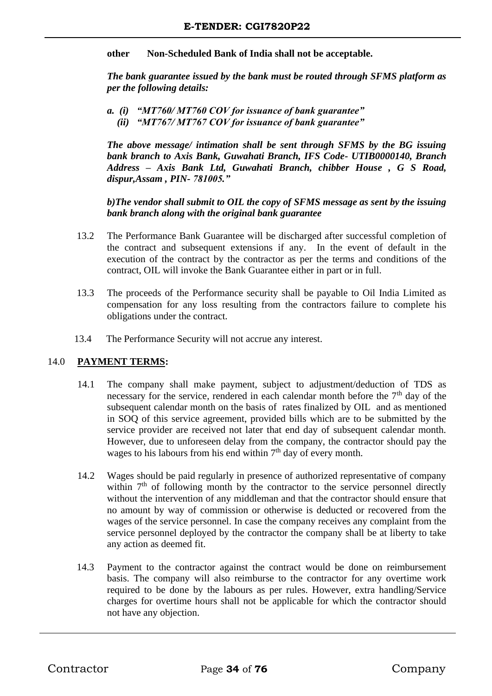**other Non-Scheduled Bank of India shall not be acceptable.**

*The bank guarantee issued by the bank must be routed through SFMS platform as per the following details:*

*a. (i) "MT760/ MT760 COV for issuance of bank guarantee" (ii) "MT767/ MT767 COV for issuance of bank guarantee"*

*The above message/ intimation shall be sent through SFMS by the BG issuing bank branch to Axis Bank, Guwahati Branch, IFS Code- UTIB0000140, Branch Address – Axis Bank Ltd, Guwahati Branch, chibber House , G S Road, dispur,Assam , PIN- 781005."*

*b)The vendor shall submit to OIL the copy of SFMS message as sent by the issuing bank branch along with the original bank guarantee*

- 13.2 The Performance Bank Guarantee will be discharged after successful completion of the contract and subsequent extensions if any. In the event of default in the execution of the contract by the contractor as per the terms and conditions of the contract, OIL will invoke the Bank Guarantee either in part or in full.
- 13.3 The proceeds of the Performance security shall be payable to Oil India Limited as compensation for any loss resulting from the contractors failure to complete his obligations under the contract.
- 13.4 The Performance Security will not accrue any interest.

#### 14.0 **PAYMENT TERMS:**

- 14.1 The company shall make payment, subject to adjustment/deduction of TDS as necessary for the service, rendered in each calendar month before the 7<sup>th</sup> day of the subsequent calendar month on the basis of rates finalized by OIL and as mentioned in SOQ of this service agreement, provided bills which are to be submitted by the service provider are received not later that end day of subsequent calendar month. However, due to unforeseen delay from the company, the contractor should pay the wages to his labours from his end within  $7<sup>th</sup>$  day of every month.
- 14.2 Wages should be paid regularly in presence of authorized representative of company within  $7<sup>th</sup>$  of following month by the contractor to the service personnel directly without the intervention of any middleman and that the contractor should ensure that no amount by way of commission or otherwise is deducted or recovered from the wages of the service personnel. In case the company receives any complaint from the service personnel deployed by the contractor the company shall be at liberty to take any action as deemed fit.
- 14.3 Payment to the contractor against the contract would be done on reimbursement basis. The company will also reimburse to the contractor for any overtime work required to be done by the labours as per rules. However, extra handling/Service charges for overtime hours shall not be applicable for which the contractor should not have any objection.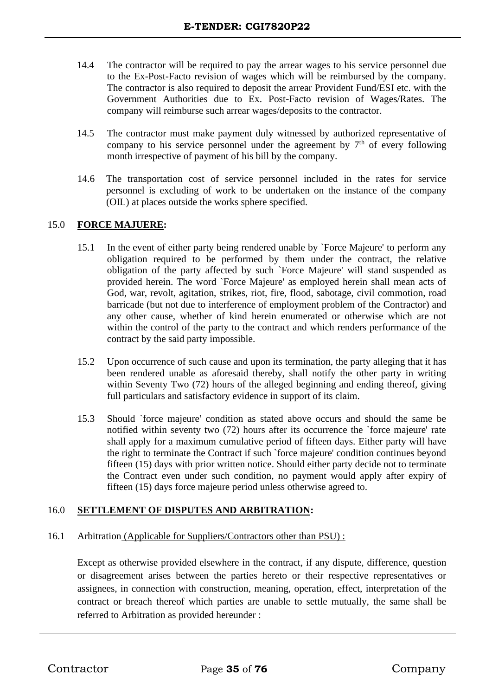- 14.4 The contractor will be required to pay the arrear wages to his service personnel due to the Ex-Post-Facto revision of wages which will be reimbursed by the company. The contractor is also required to deposit the arrear Provident Fund/ESI etc. with the Government Authorities due to Ex. Post-Facto revision of Wages/Rates. The company will reimburse such arrear wages/deposits to the contractor.
- 14.5 The contractor must make payment duly witnessed by authorized representative of company to his service personnel under the agreement by  $7<sup>th</sup>$  of every following month irrespective of payment of his bill by the company.
- 14.6 The transportation cost of service personnel included in the rates for service personnel is excluding of work to be undertaken on the instance of the company (OIL) at places outside the works sphere specified.

#### 15.0 **FORCE MAJUERE:**

- 15.1 In the event of either party being rendered unable by `Force Majeure' to perform any obligation required to be performed by them under the contract, the relative obligation of the party affected by such `Force Majeure' will stand suspended as provided herein. The word `Force Majeure' as employed herein shall mean acts of God, war, revolt, agitation, strikes, riot, fire, flood, sabotage, civil commotion, road barricade (but not due to interference of employment problem of the Contractor) and any other cause, whether of kind herein enumerated or otherwise which are not within the control of the party to the contract and which renders performance of the contract by the said party impossible.
- 15.2 Upon occurrence of such cause and upon its termination, the party alleging that it has been rendered unable as aforesaid thereby, shall notify the other party in writing within Seventy Two (72) hours of the alleged beginning and ending thereof, giving full particulars and satisfactory evidence in support of its claim.
- 15.3 Should `force majeure' condition as stated above occurs and should the same be notified within seventy two (72) hours after its occurrence the `force majeure' rate shall apply for a maximum cumulative period of fifteen days. Either party will have the right to terminate the Contract if such `force majeure' condition continues beyond fifteen (15) days with prior written notice. Should either party decide not to terminate the Contract even under such condition, no payment would apply after expiry of fifteen (15) days force majeure period unless otherwise agreed to.

#### 16.0 **SETTLEMENT OF DISPUTES AND ARBITRATION:**

#### 16.1 Arbitration (Applicable for Suppliers/Contractors other than PSU) :

Except as otherwise provided elsewhere in the contract, if any dispute, difference, question or disagreement arises between the parties hereto or their respective representatives or assignees, in connection with construction, meaning, operation, effect, interpretation of the contract or breach thereof which parties are unable to settle mutually, the same shall be referred to Arbitration as provided hereunder :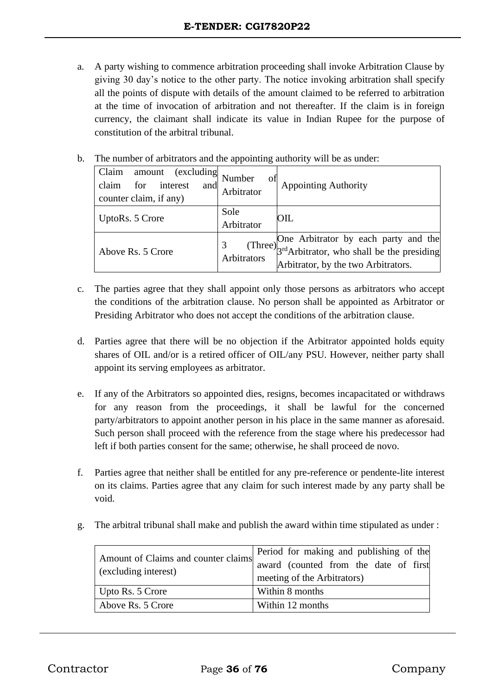- a. A party wishing to commence arbitration proceeding shall invoke Arbitration Clause by giving 30 day's notice to the other party. The notice invoking arbitration shall specify all the points of dispute with details of the amount claimed to be referred to arbitration at the time of invocation of arbitration and not thereafter. If the claim is in foreign currency, the claimant shall indicate its value in Indian Rupee for the purpose of constitution of the arbitral tribunal.
- b. The number of arbitrators and the appointing authority will be as under:

| Claim<br><i>(excluding</i><br>amount<br>claim<br>interest<br>for<br>and<br>counter claim, if any) | Number<br>ΟÌ<br>Arbitrator | <b>Appointing Authority</b>                                                                                                      |
|---------------------------------------------------------------------------------------------------|----------------------------|----------------------------------------------------------------------------------------------------------------------------------|
| UptoRs. 5 Crore                                                                                   | Sole<br>Arbitrator         | <b>OIL</b>                                                                                                                       |
| Above Rs. 5 Crore                                                                                 | Arbitrators                | (Three) One Arbitrator by each party and the $3rd$ Arbitrator, who shall be the presiding<br>Arbitrator, by the two Arbitrators. |

- c. The parties agree that they shall appoint only those persons as arbitrators who accept the conditions of the arbitration clause. No person shall be appointed as Arbitrator or Presiding Arbitrator who does not accept the conditions of the arbitration clause.
- d. Parties agree that there will be no objection if the Arbitrator appointed holds equity shares of OIL and/or is a retired officer of OIL/any PSU. However, neither party shall appoint its serving employees as arbitrator.
- e. If any of the Arbitrators so appointed dies, resigns, becomes incapacitated or withdraws for any reason from the proceedings, it shall be lawful for the concerned party/arbitrators to appoint another person in his place in the same manner as aforesaid. Such person shall proceed with the reference from the stage where his predecessor had left if both parties consent for the same; otherwise, he shall proceed de novo.
- f. Parties agree that neither shall be entitled for any pre-reference or pendente-lite interest on its claims. Parties agree that any claim for such interest made by any party shall be void.
- g. The arbitral tribunal shall make and publish the award within time stipulated as under :

| Amount of Claims and counter claims<br>(excluding interest) | Period for making and publishing of the<br>award (counted from the date of first |
|-------------------------------------------------------------|----------------------------------------------------------------------------------|
|                                                             | meeting of the Arbitrators)                                                      |
| Upto Rs. 5 Crore                                            | Within 8 months                                                                  |
| Above Rs. 5 Crore                                           | Within 12 months                                                                 |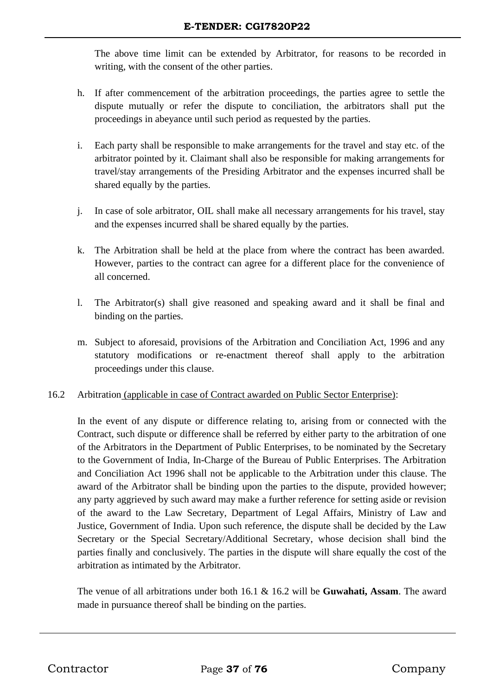The above time limit can be extended by Arbitrator, for reasons to be recorded in writing, with the consent of the other parties.

- h. If after commencement of the arbitration proceedings, the parties agree to settle the dispute mutually or refer the dispute to conciliation, the arbitrators shall put the proceedings in abeyance until such period as requested by the parties.
- i. Each party shall be responsible to make arrangements for the travel and stay etc. of the arbitrator pointed by it. Claimant shall also be responsible for making arrangements for travel/stay arrangements of the Presiding Arbitrator and the expenses incurred shall be shared equally by the parties.
- j. In case of sole arbitrator, OIL shall make all necessary arrangements for his travel, stay and the expenses incurred shall be shared equally by the parties.
- k. The Arbitration shall be held at the place from where the contract has been awarded. However, parties to the contract can agree for a different place for the convenience of all concerned.
- l. The Arbitrator(s) shall give reasoned and speaking award and it shall be final and binding on the parties.
- m. Subject to aforesaid, provisions of the Arbitration and Conciliation Act, 1996 and any statutory modifications or re-enactment thereof shall apply to the arbitration proceedings under this clause.

# 16.2 Arbitration (applicable in case of Contract awarded on Public Sector Enterprise):

In the event of any dispute or difference relating to, arising from or connected with the Contract, such dispute or difference shall be referred by either party to the arbitration of one of the Arbitrators in the Department of Public Enterprises, to be nominated by the Secretary to the Government of India, In-Charge of the Bureau of Public Enterprises. The Arbitration and Conciliation Act 1996 shall not be applicable to the Arbitration under this clause. The award of the Arbitrator shall be binding upon the parties to the dispute, provided however; any party aggrieved by such award may make a further reference for setting aside or revision of the award to the Law Secretary, Department of Legal Affairs, Ministry of Law and Justice, Government of India. Upon such reference, the dispute shall be decided by the Law Secretary or the Special Secretary/Additional Secretary, whose decision shall bind the parties finally and conclusively. The parties in the dispute will share equally the cost of the arbitration as intimated by the Arbitrator.

The venue of all arbitrations under both 16.1 & 16.2 will be **Guwahati, Assam**. The award made in pursuance thereof shall be binding on the parties.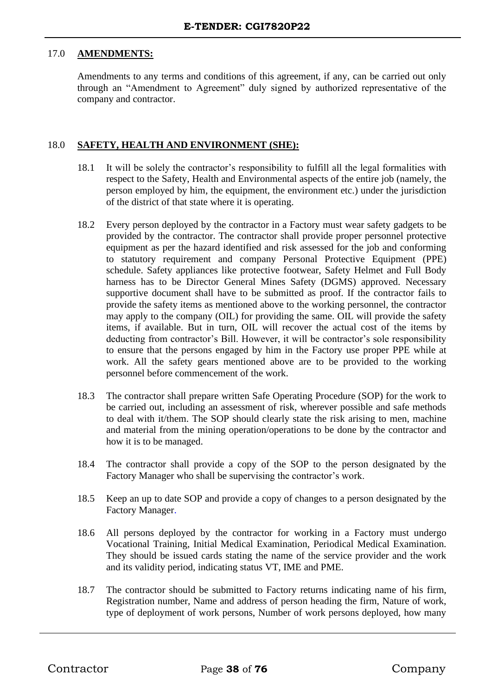## 17.0 **AMENDMENTS:**

Amendments to any terms and conditions of this agreement, if any, can be carried out only through an "Amendment to Agreement" duly signed by authorized representative of the company and contractor.

## 18.0 **SAFETY, HEALTH AND ENVIRONMENT (SHE):**

- 18.1 It will be solely the contractor's responsibility to fulfill all the legal formalities with respect to the Safety, Health and Environmental aspects of the entire job (namely, the person employed by him, the equipment, the environment etc.) under the jurisdiction of the district of that state where it is operating.
- 18.2 Every person deployed by the contractor in a Factory must wear safety gadgets to be provided by the contractor. The contractor shall provide proper personnel protective equipment as per the hazard identified and risk assessed for the job and conforming to statutory requirement and company Personal Protective Equipment (PPE) schedule. Safety appliances like protective footwear, Safety Helmet and Full Body harness has to be Director General Mines Safety (DGMS) approved. Necessary supportive document shall have to be submitted as proof. If the contractor fails to provide the safety items as mentioned above to the working personnel, the contractor may apply to the company (OIL) for providing the same. OIL will provide the safety items, if available. But in turn, OIL will recover the actual cost of the items by deducting from contractor's Bill. However, it will be contractor's sole responsibility to ensure that the persons engaged by him in the Factory use proper PPE while at work. All the safety gears mentioned above are to be provided to the working personnel before commencement of the work.
- 18.3 The contractor shall prepare written Safe Operating Procedure (SOP) for the work to be carried out, including an assessment of risk, wherever possible and safe methods to deal with it/them. The SOP should clearly state the risk arising to men, machine and material from the mining operation/operations to be done by the contractor and how it is to be managed.
- 18.4 The contractor shall provide a copy of the SOP to the person designated by the Factory Manager who shall be supervising the contractor's work.
- 18.5 Keep an up to date SOP and provide a copy of changes to a person designated by the Factory Manager.
- 18.6 All persons deployed by the contractor for working in a Factory must undergo Vocational Training, Initial Medical Examination, Periodical Medical Examination. They should be issued cards stating the name of the service provider and the work and its validity period, indicating status VT, IME and PME.
- 18.7 The contractor should be submitted to Factory returns indicating name of his firm, Registration number, Name and address of person heading the firm, Nature of work, type of deployment of work persons, Number of work persons deployed, how many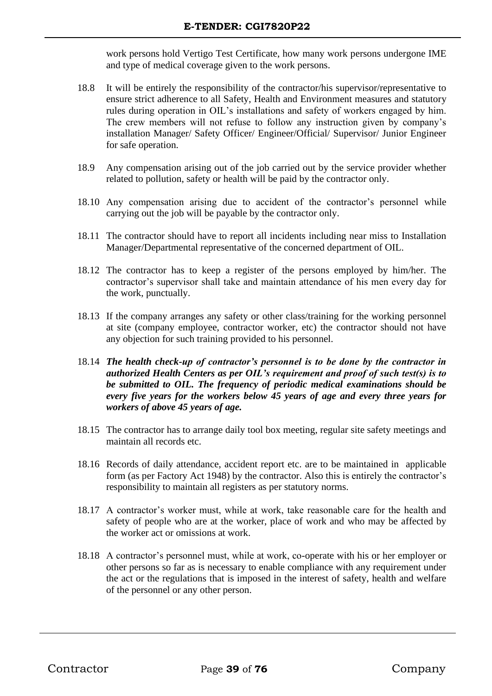work persons hold Vertigo Test Certificate, how many work persons undergone IME and type of medical coverage given to the work persons.

- 18.8 It will be entirely the responsibility of the contractor/his supervisor/representative to ensure strict adherence to all Safety, Health and Environment measures and statutory rules during operation in OIL's installations and safety of workers engaged by him. The crew members will not refuse to follow any instruction given by company's installation Manager/ Safety Officer/ Engineer/Official/ Supervisor/ Junior Engineer for safe operation.
- 18.9 Any compensation arising out of the job carried out by the service provider whether related to pollution, safety or health will be paid by the contractor only.
- 18.10 Any compensation arising due to accident of the contractor's personnel while carrying out the job will be payable by the contractor only.
- 18.11 The contractor should have to report all incidents including near miss to Installation Manager/Departmental representative of the concerned department of OIL.
- 18.12 The contractor has to keep a register of the persons employed by him/her. The contractor's supervisor shall take and maintain attendance of his men every day for the work, punctually.
- 18.13 If the company arranges any safety or other class/training for the working personnel at site (company employee, contractor worker, etc) the contractor should not have any objection for such training provided to his personnel.
- 18.14 *The health check-up of contractor's personnel is to be done by the contractor in authorized Health Centers as per OIL's requirement and proof of such test(s) is to be submitted to OIL. The frequency of periodic medical examinations should be every five years for the workers below 45 years of age and every three years for workers of above 45 years of age.*
- 18.15 The contractor has to arrange daily tool box meeting, regular site safety meetings and maintain all records etc.
- 18.16 Records of daily attendance, accident report etc. are to be maintained in applicable form (as per Factory Act 1948) by the contractor. Also this is entirely the contractor's responsibility to maintain all registers as per statutory norms.
- 18.17 A contractor's worker must, while at work, take reasonable care for the health and safety of people who are at the worker, place of work and who may be affected by the worker act or omissions at work.
- 18.18 A contractor's personnel must, while at work, co-operate with his or her employer or other persons so far as is necessary to enable compliance with any requirement under the act or the regulations that is imposed in the interest of safety, health and welfare of the personnel or any other person.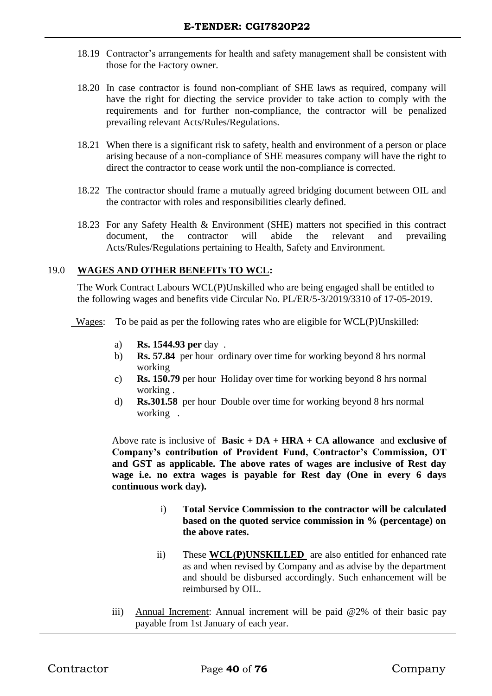- 18.19 Contractor's arrangements for health and safety management shall be consistent with those for the Factory owner.
- 18.20 In case contractor is found non-compliant of SHE laws as required, company will have the right for diecting the service provider to take action to comply with the requirements and for further non-compliance, the contractor will be penalized prevailing relevant Acts/Rules/Regulations.
- 18.21 When there is a significant risk to safety, health and environment of a person or place arising because of a non-compliance of SHE measures company will have the right to direct the contractor to cease work until the non-compliance is corrected.
- 18.22 The contractor should frame a mutually agreed bridging document between OIL and the contractor with roles and responsibilities clearly defined.
- 18.23 For any Safety Health & Environment (SHE) matters not specified in this contract document, the contractor will abide the relevant and prevailing Acts/Rules/Regulations pertaining to Health, Safety and Environment.

# 19.0 **WAGES AND OTHER BENEFITs TO WCL:**

The Work Contract Labours WCL(P)Unskilled who are being engaged shall be entitled to the following wages and benefits vide Circular No. PL/ER/5-3/2019/3310 of 17-05-2019.

Wages: To be paid as per the following rates who are eligible for WCL(P)Unskilled:

- a) **Rs. 1544.93 per** day .
- b) **Rs. 57.84** per hour ordinary over time for working beyond 8 hrs normal working
- c) **Rs. 150.79** per hour Holiday over time for working beyond 8 hrs normal working .
- d) **Rs.301.58** per hour Double over time for working beyond 8 hrs normal working .

Above rate is inclusive of **Basic + DA + HRA + CA allowance** and **exclusive of Company's contribution of Provident Fund, Contractor's Commission, OT and GST as applicable. The above rates of wages are inclusive of Rest day wage i.e. no extra wages is payable for Rest day (One in every 6 days continuous work day).**

- i) **Total Service Commission to the contractor will be calculated based on the quoted service commission in % (percentage) on the above rates.**
- ii) These **WCL(P)UNSKILLED** are also entitled for enhanced rate as and when revised by Company and as advise by the department and should be disbursed accordingly. Such enhancement will be reimbursed by OIL.
- iii) Annual Increment: Annual increment will be paid @2% of their basic pay payable from 1st January of each year.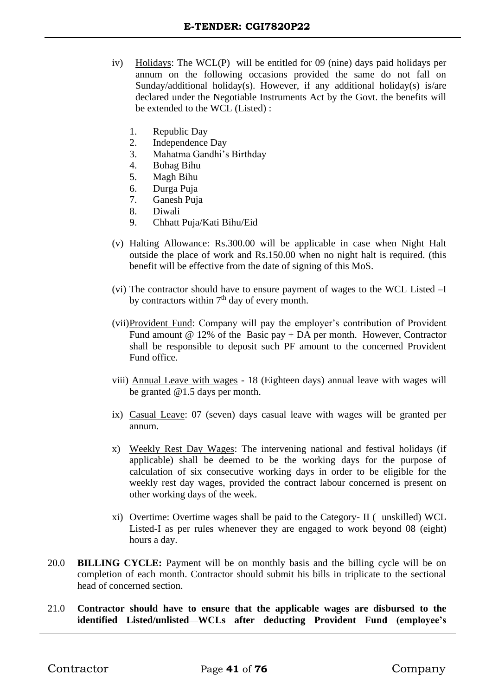- iv) Holidays: The WCL(P) will be entitled for 09 (nine) days paid holidays per annum on the following occasions provided the same do not fall on Sunday/additional holiday(s). However, if any additional holiday(s) is/are declared under the Negotiable Instruments Act by the Govt. the benefits will be extended to the WCL (Listed) :
	- 1. Republic Day
	- 2. Independence Day
	- 3. Mahatma Gandhi's Birthday
	- 4. Bohag Bihu
	- 5. Magh Bihu
	- 6. Durga Puja
	- 7. Ganesh Puja
	- 8. Diwali
	- 9. Chhatt Puja/Kati Bihu/Eid
- (v) Halting Allowance: Rs.300.00 will be applicable in case when Night Halt outside the place of work and Rs.150.00 when no night halt is required. (this benefit will be effective from the date of signing of this MoS.
- (vi) The contractor should have to ensure payment of wages to the WCL Listed –I by contractors within  $7<sup>th</sup>$  day of every month.
- (vii)Provident Fund: Company will pay the employer's contribution of Provident Fund amount  $@ 12\%$  of the Basic pay + DA per month. However, Contractor shall be responsible to deposit such PF amount to the concerned Provident Fund office.
- viii) Annual Leave with wages 18 (Eighteen days) annual leave with wages will be granted @1.5 days per month.
- ix) Casual Leave: 07 (seven) days casual leave with wages will be granted per annum.
- x) Weekly Rest Day Wages: The intervening national and festival holidays (if applicable) shall be deemed to be the working days for the purpose of calculation of six consecutive working days in order to be eligible for the weekly rest day wages, provided the contract labour concerned is present on other working days of the week.
- xi) Overtime: Overtime wages shall be paid to the Category- II ( unskilled) WCL Listed-I as per rules whenever they are engaged to work beyond 08 (eight) hours a day.
- 20.0 **BILLING CYCLE:** Payment will be on monthly basis and the billing cycle will be on completion of each month. Contractor should submit his bills in triplicate to the sectional head of concerned section.
- 21.0 **Contractor should have to ensure that the applicable wages are disbursed to the identified Listed/unlisted WCLs after deducting Provident Fund (employee's**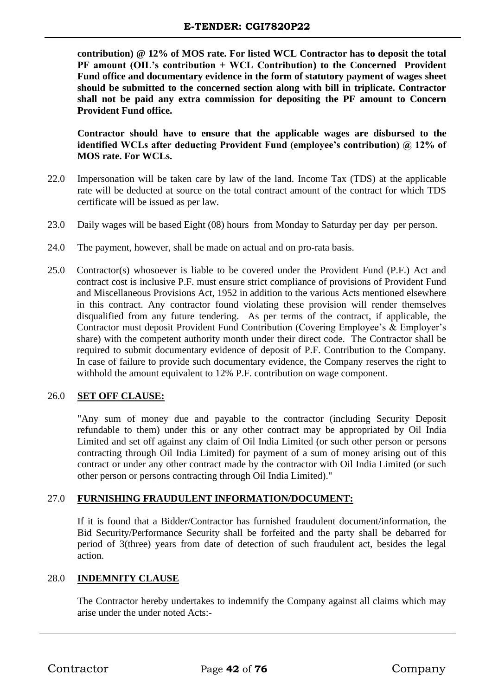**contribution) @ 12% of MOS rate. For listed WCL Contractor has to deposit the total PF amount (OIL's contribution + WCL Contribution) to the Concerned Provident Fund office and documentary evidence in the form of statutory payment of wages sheet should be submitted to the concerned section along with bill in triplicate. Contractor shall not be paid any extra commission for depositing the PF amount to Concern Provident Fund office.** 

**Contractor should have to ensure that the applicable wages are disbursed to the identified WCLs after deducting Provident Fund (employee's contribution) @ 12% of MOS rate. For WCLs.**

- 22.0 Impersonation will be taken care by law of the land. Income Tax (TDS) at the applicable rate will be deducted at source on the total contract amount of the contract for which TDS certificate will be issued as per law.
- 23.0 Daily wages will be based Eight (08) hours from Monday to Saturday per day per person.
- 24.0 The payment, however, shall be made on actual and on pro-rata basis.
- 25.0 Contractor(s) whosoever is liable to be covered under the Provident Fund (P.F.) Act and contract cost is inclusive P.F. must ensure strict compliance of provisions of Provident Fund and Miscellaneous Provisions Act, 1952 in addition to the various Acts mentioned elsewhere in this contract. Any contractor found violating these provision will render themselves disqualified from any future tendering. As per terms of the contract, if applicable, the Contractor must deposit Provident Fund Contribution (Covering Employee's & Employer's share) with the competent authority month under their direct code. The Contractor shall be required to submit documentary evidence of deposit of P.F. Contribution to the Company. In case of failure to provide such documentary evidence, the Company reserves the right to withhold the amount equivalent to 12% P.F. contribution on wage component.

# 26.0 **SET OFF CLAUSE:**

"Any sum of money due and payable to the contractor (including Security Deposit refundable to them) under this or any other contract may be appropriated by Oil India Limited and set off against any claim of Oil India Limited (or such other person or persons contracting through Oil India Limited) for payment of a sum of money arising out of this contract or under any other contract made by the contractor with Oil India Limited (or such other person or persons contracting through Oil India Limited)."

## 27.0 **FURNISHING FRAUDULENT INFORMATION/DOCUMENT:**

If it is found that a Bidder/Contractor has furnished fraudulent document/information, the Bid Security/Performance Security shall be forfeited and the party shall be debarred for period of 3(three) years from date of detection of such fraudulent act, besides the legal action.

## 28.0 **INDEMNITY CLAUSE**

The Contractor hereby undertakes to indemnify the Company against all claims which may arise under the under noted Acts:-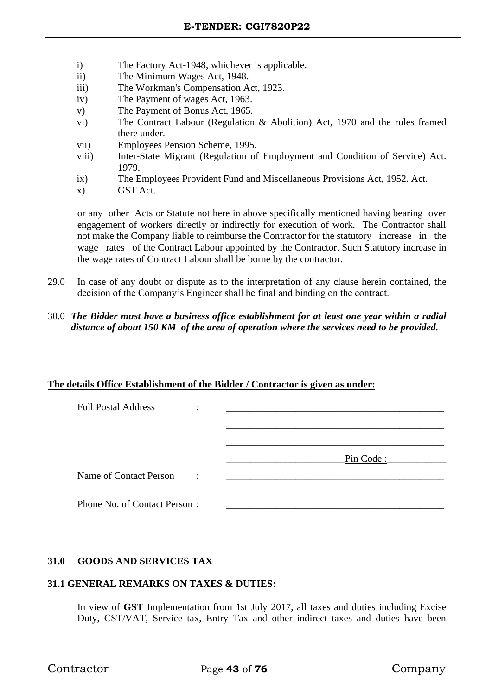- i) The Factory Act-1948, whichever is applicable.
- ii) The Minimum Wages Act, 1948.
- iii) The Workman's Compensation Act, 1923.
- iv) The Payment of wages Act, 1963.
- v) The Payment of Bonus Act, 1965.
- vi) The Contract Labour (Regulation & Abolition) Act, 1970 and the rules framed there under.
- vii) Employees Pension Scheme, 1995.
- viii) Inter-State Migrant (Regulation of Employment and Condition of Service) Act. 1979.
- ix) The Employees Provident Fund and Miscellaneous Provisions Act, 1952. Act.
- x) GST Act.

or any other Acts or Statute not here in above specifically mentioned having bearing over engagement of workers directly or indirectly for execution of work. The Contractor shall not make the Company liable to reimburse the Contractor for the statutory increase in the wage rates of the Contract Labour appointed by the Contractor. Such Statutory increase in the wage rates of Contract Labour shall be borne by the contractor.

- 29.0 In case of any doubt or dispute as to the interpretation of any clause herein contained, the decision of the Company's Engineer shall be final and binding on the contract.
- 30.0 *The Bidder must have a business office establishment for at least one year within a radial distance of about 150 KM of the area of operation where the services need to be provided.*

#### **The details Office Establishment of the Bidder / Contractor is given as under:**

| <b>Full Postal Address</b>   | ٠<br>$\cdot$ |           |
|------------------------------|--------------|-----------|
|                              |              |           |
|                              |              |           |
|                              |              | Pin Code: |
| Name of Contact Person       | $\sim 10$    |           |
| Phone No. of Contact Person: |              |           |

## **31.0 GOODS AND SERVICES TAX**

## **31.1 GENERAL REMARKS ON TAXES & DUTIES:**

In view of **GST** Implementation from 1st July 2017, all taxes and duties including Excise Duty, CST/VAT, Service tax, Entry Tax and other indirect taxes and duties have been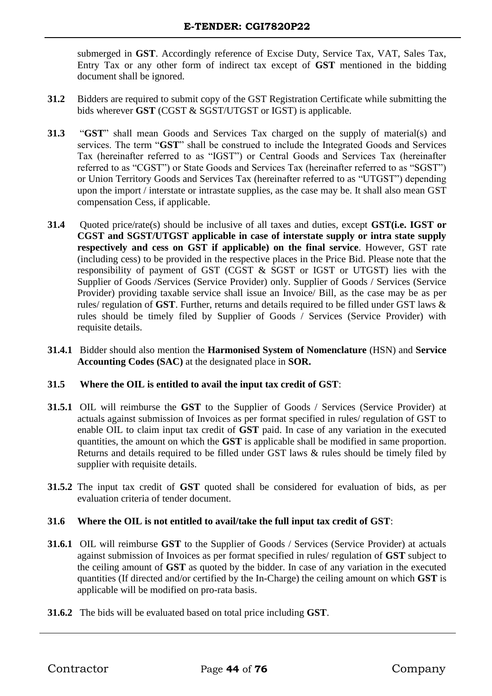submerged in **GST**. Accordingly reference of Excise Duty, Service Tax, VAT, Sales Tax, Entry Tax or any other form of indirect tax except of **GST** mentioned in the bidding document shall be ignored.

- **31.2** Bidders are required to submit copy of the GST Registration Certificate while submitting the bids wherever **GST** (CGST & SGST/UTGST or IGST) is applicable.
- **31.3** "**GST**" shall mean Goods and Services Tax charged on the supply of material(s) and services. The term "**GST**" shall be construed to include the Integrated Goods and Services Tax (hereinafter referred to as "IGST") or Central Goods and Services Tax (hereinafter referred to as "CGST") or State Goods and Services Tax (hereinafter referred to as "SGST") or Union Territory Goods and Services Tax (hereinafter referred to as "UTGST") depending upon the import / interstate or intrastate supplies, as the case may be. It shall also mean GST compensation Cess, if applicable.
- **31.4** Quoted price/rate(s) should be inclusive of all taxes and duties, except **GST(i.e. IGST or CGST and SGST/UTGST applicable in case of interstate supply or intra state supply respectively and cess on GST if applicable) on the final service**. However, GST rate (including cess) to be provided in the respective places in the Price Bid. Please note that the responsibility of payment of GST (CGST & SGST or IGST or UTGST) lies with the Supplier of Goods /Services (Service Provider) only. Supplier of Goods / Services (Service Provider) providing taxable service shall issue an Invoice/ Bill, as the case may be as per rules/ regulation of **GST**. Further, returns and details required to be filled under GST laws & rules should be timely filed by Supplier of Goods / Services (Service Provider) with requisite details.
- **31.4.1** Bidder should also mention the **Harmonised System of Nomenclature** (HSN) and **Service Accounting Codes (SAC)** at the designated place in **SOR.**

## **31.5 Where the OIL is entitled to avail the input tax credit of GST**:

- **31.5.1** OIL will reimburse the **GST** to the Supplier of Goods / Services (Service Provider) at actuals against submission of Invoices as per format specified in rules/ regulation of GST to enable OIL to claim input tax credit of **GST** paid. In case of any variation in the executed quantities, the amount on which the **GST** is applicable shall be modified in same proportion. Returns and details required to be filled under GST laws & rules should be timely filed by supplier with requisite details.
- **31.5.2** The input tax credit of **GST** quoted shall be considered for evaluation of bids, as per evaluation criteria of tender document.

## **31.6 Where the OIL is not entitled to avail/take the full input tax credit of GST**:

- **31.6.1** OIL will reimburse **GST** to the Supplier of Goods / Services (Service Provider) at actuals against submission of Invoices as per format specified in rules/ regulation of **GST** subject to the ceiling amount of **GST** as quoted by the bidder. In case of any variation in the executed quantities (If directed and/or certified by the In-Charge) the ceiling amount on which **GST** is applicable will be modified on pro-rata basis.
- **31.6.2** The bids will be evaluated based on total price including **GST**.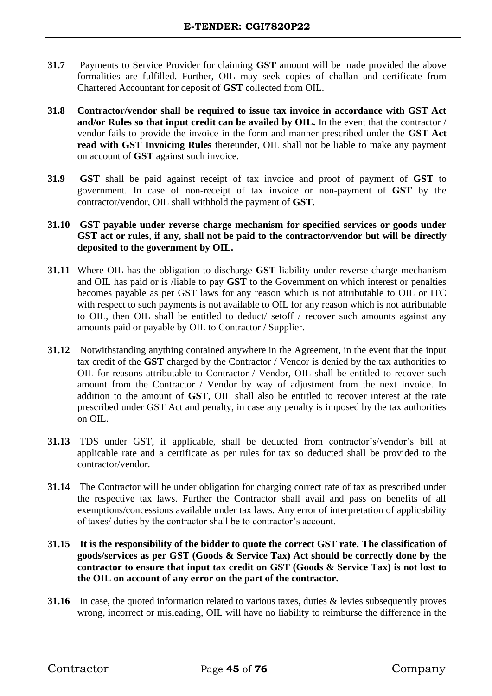- **31.7** Payments to Service Provider for claiming **GST** amount will be made provided the above formalities are fulfilled. Further, OIL may seek copies of challan and certificate from Chartered Accountant for deposit of **GST** collected from OIL.
- **31.8 Contractor/vendor shall be required to issue tax invoice in accordance with GST Act and/or Rules so that input credit can be availed by OIL.** In the event that the contractor / vendor fails to provide the invoice in the form and manner prescribed under the **GST Act read with GST Invoicing Rules** thereunder, OIL shall not be liable to make any payment on account of **GST** against such invoice.
- **31.9 GST** shall be paid against receipt of tax invoice and proof of payment of **GST** to government. In case of non-receipt of tax invoice or non-payment of **GST** by the contractor/vendor, OIL shall withhold the payment of **GST**.
- **31.10 GST payable under reverse charge mechanism for specified services or goods under GST act or rules, if any, shall not be paid to the contractor/vendor but will be directly deposited to the government by OIL.**
- **31.11** Where OIL has the obligation to discharge **GST** liability under reverse charge mechanism and OIL has paid or is /liable to pay **GST** to the Government on which interest or penalties becomes payable as per GST laws for any reason which is not attributable to OIL or ITC with respect to such payments is not available to OIL for any reason which is not attributable to OIL, then OIL shall be entitled to deduct/ setoff / recover such amounts against any amounts paid or payable by OIL to Contractor / Supplier.
- **31.12** Notwithstanding anything contained anywhere in the Agreement, in the event that the input tax credit of the **GST** charged by the Contractor / Vendor is denied by the tax authorities to OIL for reasons attributable to Contractor / Vendor, OIL shall be entitled to recover such amount from the Contractor / Vendor by way of adjustment from the next invoice. In addition to the amount of **GST**, OIL shall also be entitled to recover interest at the rate prescribed under GST Act and penalty, in case any penalty is imposed by the tax authorities on OIL.
- **31.13** TDS under GST, if applicable, shall be deducted from contractor's/vendor's bill at applicable rate and a certificate as per rules for tax so deducted shall be provided to the contractor/vendor.
- **31.14** The Contractor will be under obligation for charging correct rate of tax as prescribed under the respective tax laws. Further the Contractor shall avail and pass on benefits of all exemptions/concessions available under tax laws. Any error of interpretation of applicability of taxes/ duties by the contractor shall be to contractor's account.
- **31.15 It is the responsibility of the bidder to quote the correct GST rate. The classification of goods/services as per GST (Goods & Service Tax) Act should be correctly done by the contractor to ensure that input tax credit on GST (Goods & Service Tax) is not lost to the OIL on account of any error on the part of the contractor.**
- **31.16** In case, the quoted information related to various taxes, duties & levies subsequently proves wrong, incorrect or misleading, OIL will have no liability to reimburse the difference in the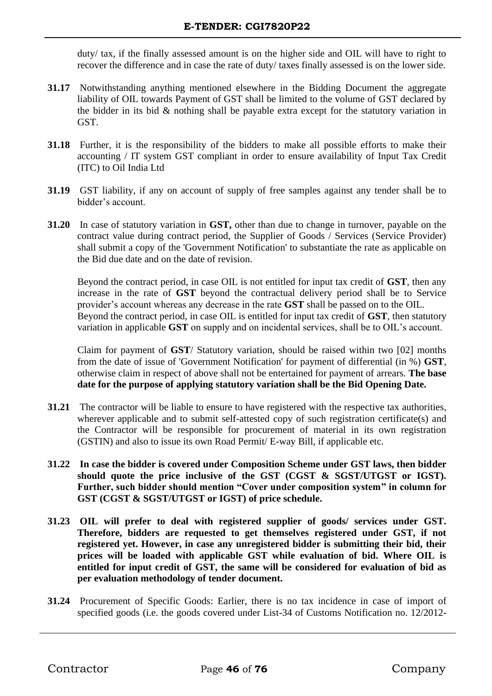duty/ tax, if the finally assessed amount is on the higher side and OIL will have to right to recover the difference and in case the rate of duty/ taxes finally assessed is on the lower side.

- **31.17** Notwithstanding anything mentioned elsewhere in the Bidding Document the aggregate liability of OIL towards Payment of GST shall be limited to the volume of GST declared by the bidder in its bid & nothing shall be payable extra except for the statutory variation in GST.
- **31.18** Further, it is the responsibility of the bidders to make all possible efforts to make their accounting / IT system GST compliant in order to ensure availability of Input Tax Credit (ITC) to Oil India Ltd
- **31.19** GST liability, if any on account of supply of free samples against any tender shall be to bidder's account.
- **31.20** In case of statutory variation in **GST,** other than due to change in turnover, payable on the contract value during contract period, the Supplier of Goods / Services (Service Provider) shall submit a copy of the 'Government Notification' to substantiate the rate as applicable on the Bid due date and on the date of revision.

Beyond the contract period, in case OIL is not entitled for input tax credit of **GST**, then any increase in the rate of **GST** beyond the contractual delivery period shall be to Service provider's account whereas any decrease in the rate **GST** shall be passed on to the OIL. Beyond the contract period, in case OIL is entitled for input tax credit of **GST**, then statutory variation in applicable **GST** on supply and on incidental services, shall be to OIL's account.

Claim for payment of **GST**/ Statutory variation, should be raised within two [02] months from the date of issue of 'Government Notification' for payment of differential (in %) **GST**, otherwise claim in respect of above shall not be entertained for payment of arrears. **The base date for the purpose of applying statutory variation shall be the Bid Opening Date.**

- **31.21** The contractor will be liable to ensure to have registered with the respective tax authorities, wherever applicable and to submit self-attested copy of such registration certificate(s) and the Contractor will be responsible for procurement of material in its own registration (GSTIN) and also to issue its own Road Permit/ E-way Bill, if applicable etc.
- **31.22 In case the bidder is covered under Composition Scheme under GST laws, then bidder should quote the price inclusive of the GST (CGST & SGST/UTGST or IGST). Further, such bidder should mention "Cover under composition system" in column for GST (CGST & SGST/UTGST or IGST) of price schedule.**
- **31.23 OIL will prefer to deal with registered supplier of goods/ services under GST. Therefore, bidders are requested to get themselves registered under GST, if not registered yet. However, in case any unregistered bidder is submitting their bid, their prices will be loaded with applicable GST while evaluation of bid. Where OIL is entitled for input credit of GST, the same will be considered for evaluation of bid as per evaluation methodology of tender document.**
- **31.24** Procurement of Specific Goods: Earlier, there is no tax incidence in case of import of specified goods (i.e. the goods covered under List-34 of Customs Notification no. 12/2012-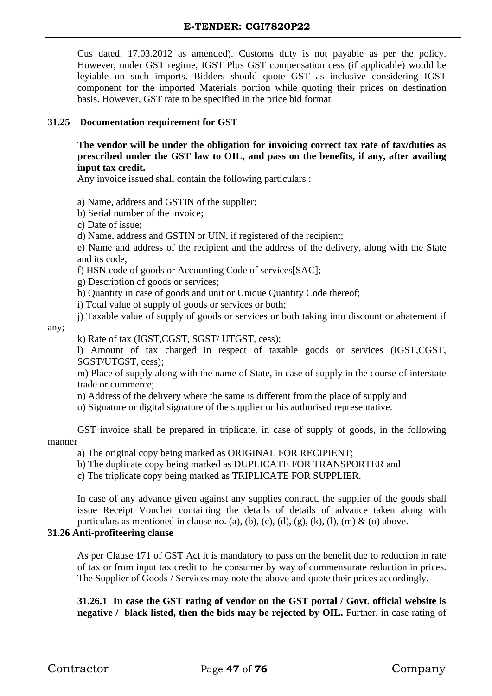Cus dated. 17.03.2012 as amended). Customs duty is not payable as per the policy. However, under GST regime, IGST Plus GST compensation cess (if applicable) would be leyiable on such imports. Bidders should quote GST as inclusive considering IGST component for the imported Materials portion while quoting their prices on destination basis. However, GST rate to be specified in the price bid format.

## **31.25 Documentation requirement for GST**

**The vendor will be under the obligation for invoicing correct tax rate of tax/duties as prescribed under the GST law to OIL, and pass on the benefits, if any, after availing input tax credit.** 

Any invoice issued shall contain the following particulars :

a) Name, address and GSTIN of the supplier;

b) Serial number of the invoice;

c) Date of issue;

d) Name, address and GSTIN or UIN, if registered of the recipient;

e) Name and address of the recipient and the address of the delivery, along with the State and its code,

f) HSN code of goods or Accounting Code of services[SAC];

g) Description of goods or services;

h) Quantity in case of goods and unit or Unique Quantity Code thereof;

i) Total value of supply of goods or services or both;

j) Taxable value of supply of goods or services or both taking into discount or abatement if

any;

k) Rate of tax (IGST,CGST, SGST/ UTGST, cess);

l) Amount of tax charged in respect of taxable goods or services (IGST,CGST, SGST/UTGST, cess);

m) Place of supply along with the name of State, in case of supply in the course of interstate trade or commerce;

n) Address of the delivery where the same is different from the place of supply and

o) Signature or digital signature of the supplier or his authorised representative.

GST invoice shall be prepared in triplicate, in case of supply of goods, in the following manner

a) The original copy being marked as ORIGINAL FOR RECIPIENT;

b) The duplicate copy being marked as DUPLICATE FOR TRANSPORTER and

c) The triplicate copy being marked as TRIPLICATE FOR SUPPLIER.

In case of any advance given against any supplies contract, the supplier of the goods shall issue Receipt Voucher containing the details of details of advance taken along with particulars as mentioned in clause no. (a), (b), (c), (d), (g), (k), (l), (m) & (o) above.

# **31.26 Anti-profiteering clause**

As per Clause 171 of GST Act it is mandatory to pass on the benefit due to reduction in rate of tax or from input tax credit to the consumer by way of commensurate reduction in prices. The Supplier of Goods / Services may note the above and quote their prices accordingly.

# **31.26.1 In case the GST rating of vendor on the GST portal / Govt. official website is negative / black listed, then the bids may be rejected by OIL.** Further, in case rating of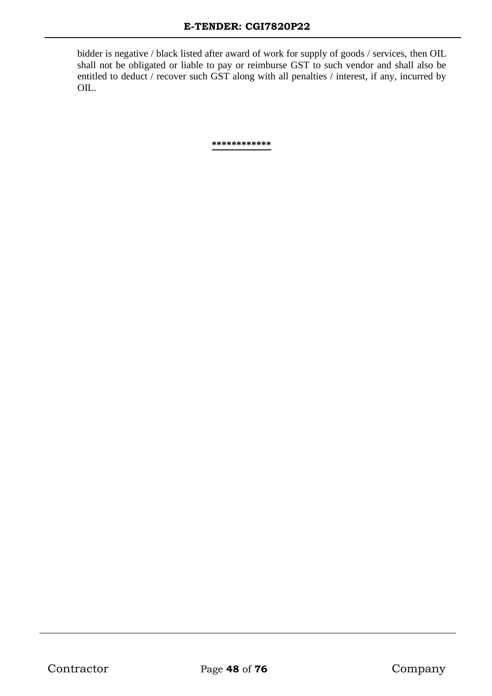bidder is negative / black listed after award of work for supply of goods / services, then OIL shall not be obligated or liable to pay or reimburse GST to such vendor and shall also be entitled to deduct / recover such GST along with all penalties / interest, if any, incurred by OIL.

**\*\*\*\*\*\*\*\*\*\*\*\***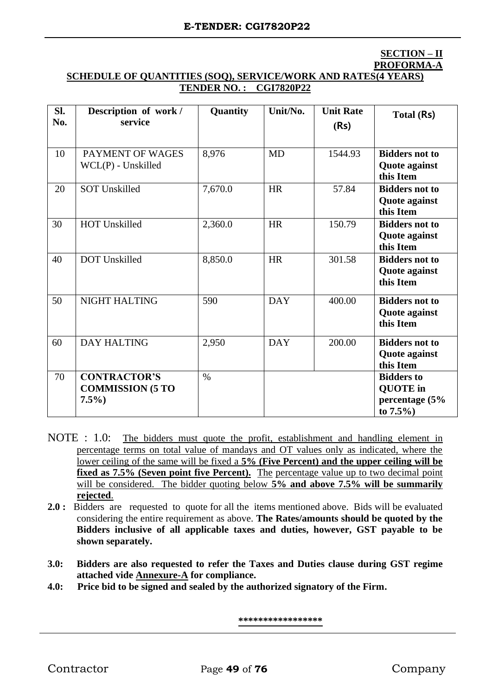# **SECTION – II PROFORMA-A**

## **SCHEDULE OF QUANTITIES (SOQ), SERVICE/WORK AND RATES(4 YEARS) TENDER NO. : CGI7820P22**

| SI.<br>No. | Description of work /<br>service                          | Quantity | Unit/No.   | <b>Unit Rate</b><br>(Rs) | Total (Rs)                                                             |
|------------|-----------------------------------------------------------|----------|------------|--------------------------|------------------------------------------------------------------------|
| 10         | PAYMENT OF WAGES<br>$WCL(P)$ - Unskilled                  | 8,976    | <b>MD</b>  | 1544.93                  | <b>Bidders not to</b><br>Quote against<br>this Item                    |
| 20         | <b>SOT Unskilled</b>                                      | 7,670.0  | <b>HR</b>  | 57.84                    | <b>Bidders not to</b><br><b>Quote against</b><br>this Item             |
| 30         | <b>HOT Unskilled</b>                                      | 2,360.0  | <b>HR</b>  | 150.79                   | <b>Bidders not to</b><br>Quote against<br>this Item                    |
| 40         | <b>DOT</b> Unskilled                                      | 8,850.0  | <b>HR</b>  | 301.58                   | <b>Bidders not to</b><br><b>Quote against</b><br>this Item             |
| 50         | NIGHT HALTING                                             | 590      | <b>DAY</b> | 400.00                   | <b>Bidders not to</b><br><b>Quote against</b><br>this Item             |
| 60         | <b>DAY HALTING</b>                                        | 2,950    | <b>DAY</b> | 200.00                   | <b>Bidders not to</b><br>Quote against<br>this Item                    |
| 70         | <b>CONTRACTOR'S</b><br><b>COMMISSION (5 TO</b><br>$7.5\%$ | $\%$     |            |                          | <b>Bidders to</b><br><b>QUOTE</b> in<br>percentage (5%<br>to $7.5\%$ ) |

- NOTE : 1.0: The bidders must quote the profit, establishment and handling element in percentage terms on total value of mandays and OT values only as indicated, where the lower ceiling of the same will be fixed a **5% (Five Percent) and the upper ceiling will be fixed as 7.5% (Seven point five Percent).** The percentage value up to two decimal point will be considered. The bidder quoting below **5% and above 7.5% will be summarily rejected**.
- **2.0 :** Bidders are requested to quote for all the items mentioned above. Bids will be evaluated considering the entire requirement as above. **The Rates/amounts should be quoted by the Bidders inclusive of all applicable taxes and duties, however, GST payable to be shown separately.**
- **3.0: Bidders are also requested to refer the Taxes and Duties clause during GST regime attached vide Annexure-A for compliance.**
- **4.0: Price bid to be signed and sealed by the authorized signatory of the Firm.**

**\*\*\*\*\*\*\*\*\*\*\*\*\*\*\*\*\***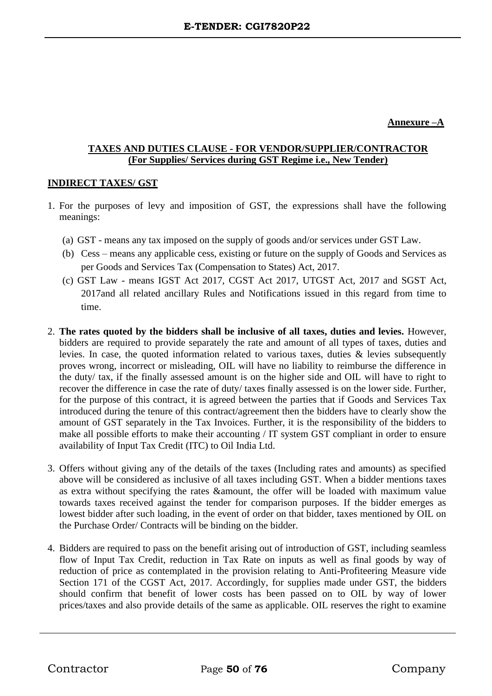## **Annexure –A**

# **TAXES AND DUTIES CLAUSE - FOR VENDOR/SUPPLIER/CONTRACTOR (For Supplies/ Services during GST Regime i.e., New Tender)**

## **INDIRECT TAXES/ GST**

- 1. For the purposes of levy and imposition of GST, the expressions shall have the following meanings:
	- (a) GST means any tax imposed on the supply of goods and/or services under GST Law.
	- (b) Cess means any applicable cess, existing or future on the supply of Goods and Services as per Goods and Services Tax (Compensation to States) Act, 2017.
	- (c) GST Law means IGST Act 2017, CGST Act 2017, UTGST Act, 2017 and SGST Act, 2017and all related ancillary Rules and Notifications issued in this regard from time to time.
- 2. **The rates quoted by the bidders shall be inclusive of all taxes, duties and levies.** However, bidders are required to provide separately the rate and amount of all types of taxes, duties and levies. In case, the quoted information related to various taxes, duties & levies subsequently proves wrong, incorrect or misleading, OIL will have no liability to reimburse the difference in the duty/ tax, if the finally assessed amount is on the higher side and OIL will have to right to recover the difference in case the rate of duty/ taxes finally assessed is on the lower side. Further, for the purpose of this contract, it is agreed between the parties that if Goods and Services Tax introduced during the tenure of this contract/agreement then the bidders have to clearly show the amount of GST separately in the Tax Invoices. Further, it is the responsibility of the bidders to make all possible efforts to make their accounting / IT system GST compliant in order to ensure availability of Input Tax Credit (ITC) to Oil India Ltd.
- 3. Offers without giving any of the details of the taxes (Including rates and amounts) as specified above will be considered as inclusive of all taxes including GST. When a bidder mentions taxes as extra without specifying the rates &amount, the offer will be loaded with maximum value towards taxes received against the tender for comparison purposes. If the bidder emerges as lowest bidder after such loading, in the event of order on that bidder, taxes mentioned by OIL on the Purchase Order/ Contracts will be binding on the bidder.
- 4. Bidders are required to pass on the benefit arising out of introduction of GST, including seamless flow of Input Tax Credit, reduction in Tax Rate on inputs as well as final goods by way of reduction of price as contemplated in the provision relating to Anti-Profiteering Measure vide Section 171 of the CGST Act, 2017. Accordingly, for supplies made under GST, the bidders should confirm that benefit of lower costs has been passed on to OIL by way of lower prices/taxes and also provide details of the same as applicable. OIL reserves the right to examine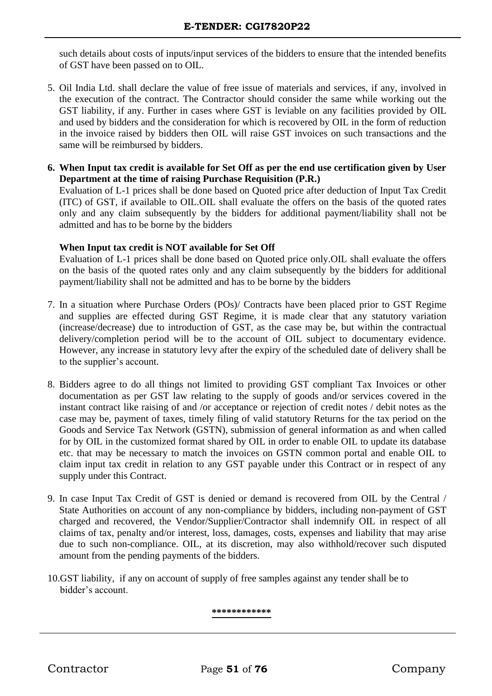such details about costs of inputs/input services of the bidders to ensure that the intended benefits of GST have been passed on to OIL.

- 5. Oil India Ltd. shall declare the value of free issue of materials and services, if any, involved in the execution of the contract. The Contractor should consider the same while working out the GST liability, if any. Further in cases where GST is leviable on any facilities provided by OIL and used by bidders and the consideration for which is recovered by OIL in the form of reduction in the invoice raised by bidders then OIL will raise GST invoices on such transactions and the same will be reimbursed by bidders.
- **6. When Input tax credit is available for Set Off as per the end use certification given by User Department at the time of raising Purchase Requisition (P.R.)**

Evaluation of L-1 prices shall be done based on Quoted price after deduction of Input Tax Credit (ITC) of GST, if available to OIL.OIL shall evaluate the offers on the basis of the quoted rates only and any claim subsequently by the bidders for additional payment/liability shall not be admitted and has to be borne by the bidders

## **When Input tax credit is NOT available for Set Off**

Evaluation of L-1 prices shall be done based on Quoted price only.OIL shall evaluate the offers on the basis of the quoted rates only and any claim subsequently by the bidders for additional payment/liability shall not be admitted and has to be borne by the bidders

- 7. In a situation where Purchase Orders (POs)/ Contracts have been placed prior to GST Regime and supplies are effected during GST Regime, it is made clear that any statutory variation (increase/decrease) due to introduction of GST, as the case may be, but within the contractual delivery/completion period will be to the account of OIL subject to documentary evidence. However, any increase in statutory levy after the expiry of the scheduled date of delivery shall be to the supplier's account.
- 8. Bidders agree to do all things not limited to providing GST compliant Tax Invoices or other documentation as per GST law relating to the supply of goods and/or services covered in the instant contract like raising of and /or acceptance or rejection of credit notes / debit notes as the case may be, payment of taxes, timely filing of valid statutory Returns for the tax period on the Goods and Service Tax Network (GSTN), submission of general information as and when called for by OIL in the customized format shared by OIL in order to enable OIL to update its database etc. that may be necessary to match the invoices on GSTN common portal and enable OIL to claim input tax credit in relation to any GST payable under this Contract or in respect of any supply under this Contract.
- 9. In case Input Tax Credit of GST is denied or demand is recovered from OIL by the Central / State Authorities on account of any non-compliance by bidders, including non-payment of GST charged and recovered, the Vendor/Supplier/Contractor shall indemnify OIL in respect of all claims of tax, penalty and/or interest, loss, damages, costs, expenses and liability that may arise due to such non-compliance. OIL, at its discretion, may also withhold/recover such disputed amount from the pending payments of the bidders.
- 10.GST liability, if any on account of supply of free samples against any tender shall be to bidder's account.

**\*\*\*\*\*\*\*\*\*\*\*\***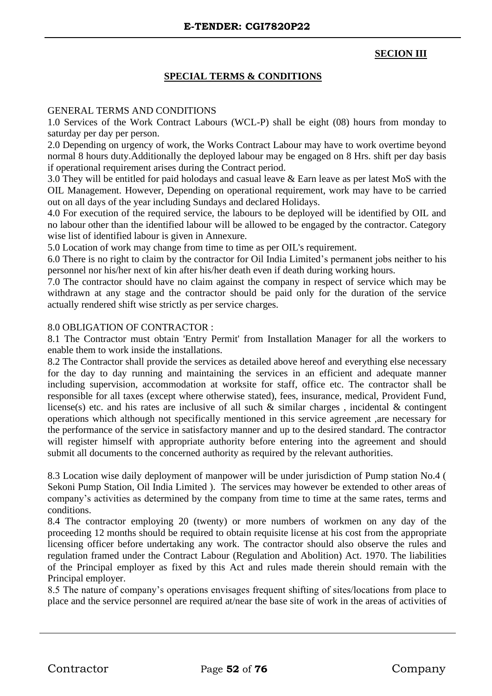# **SECION III**

## **SPECIAL TERMS & CONDITIONS**

### GENERAL TERMS AND CONDITIONS

1.0 Services of the Work Contract Labours (WCL-P) shall be eight (08) hours from monday to saturday per day per person.

2.0 Depending on urgency of work, the Works Contract Labour may have to work overtime beyond normal 8 hours duty.Additionally the deployed labour may be engaged on 8 Hrs. shift per day basis if operational requirement arises during the Contract period.

3.0 They will be entitled for paid holodays and casual leave & Earn leave as per latest MoS with the OIL Management. However, Depending on operational requirement, work may have to be carried out on all days of the year including Sundays and declared Holidays.

4.0 For execution of the required service, the labours to be deployed will be identified by OIL and no labour other than the identified labour will be allowed to be engaged by the contractor. Category wise list of identified labour is given in Annexure.

5.0 Location of work may change from time to time as per OIL's requirement.

6.0 There is no right to claim by the contractor for Oil India Limited's permanent jobs neither to his personnel nor his/her next of kin after his/her death even if death during working hours.

7.0 The contractor should have no claim against the company in respect of service which may be withdrawn at any stage and the contractor should be paid only for the duration of the service actually rendered shift wise strictly as per service charges.

#### 8.0 OBLIGATION OF CONTRACTOR :

8.1 The Contractor must obtain 'Entry Permit' from Installation Manager for all the workers to enable them to work inside the installations.

8.2 The Contractor shall provide the services as detailed above hereof and everything else necessary for the day to day running and maintaining the services in an efficient and adequate manner including supervision, accommodation at worksite for staff, office etc. The contractor shall be responsible for all taxes (except where otherwise stated), fees, insurance, medical, Provident Fund, license(s) etc. and his rates are inclusive of all such  $\&$  similar charges, incidental  $\&$  contingent operations which although not specifically mentioned in this service agreement ,are necessary for the performance of the service in satisfactory manner and up to the desired standard. The contractor will register himself with appropriate authority before entering into the agreement and should submit all documents to the concerned authority as required by the relevant authorities.

8.3 Location wise daily deployment of manpower will be under jurisdiction of Pump station No.4 ( Sekoni Pump Station, Oil India Limited ). The services may however be extended to other areas of company's activities as determined by the company from time to time at the same rates, terms and conditions.

8.4 The contractor employing 20 (twenty) or more numbers of workmen on any day of the proceeding 12 months should be required to obtain requisite license at his cost from the appropriate licensing officer before undertaking any work. The contractor should also observe the rules and regulation framed under the Contract Labour (Regulation and Abolition) Act. 1970. The liabilities of the Principal employer as fixed by this Act and rules made therein should remain with the Principal employer.

8.5 The nature of company's operations envisages frequent shifting of sites/locations from place to place and the service personnel are required at/near the base site of work in the areas of activities of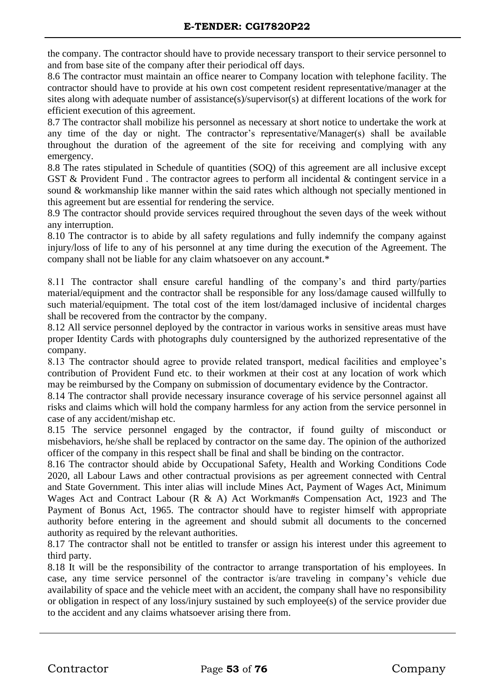the company. The contractor should have to provide necessary transport to their service personnel to and from base site of the company after their periodical off days.

8.6 The contractor must maintain an office nearer to Company location with telephone facility. The contractor should have to provide at his own cost competent resident representative/manager at the sites along with adequate number of assistance(s)/supervisor(s) at different locations of the work for efficient execution of this agreement.

8.7 The contractor shall mobilize his personnel as necessary at short notice to undertake the work at any time of the day or night. The contractor's representative/Manager(s) shall be available throughout the duration of the agreement of the site for receiving and complying with any emergency.

8.8 The rates stipulated in Schedule of quantities (SOQ) of this agreement are all inclusive except GST & Provident Fund . The contractor agrees to perform all incidental & contingent service in a sound & workmanship like manner within the said rates which although not specially mentioned in this agreement but are essential for rendering the service.

8.9 The contractor should provide services required throughout the seven days of the week without any interruption.

8.10 The contractor is to abide by all safety regulations and fully indemnify the company against injury/loss of life to any of his personnel at any time during the execution of the Agreement. The company shall not be liable for any claim whatsoever on any account.\*

8.11 The contractor shall ensure careful handling of the company's and third party/parties material/equipment and the contractor shall be responsible for any loss/damage caused willfully to such material/equipment. The total cost of the item lost/damaged inclusive of incidental charges shall be recovered from the contractor by the company.

8.12 All service personnel deployed by the contractor in various works in sensitive areas must have proper Identity Cards with photographs duly countersigned by the authorized representative of the company.

8.13 The contractor should agree to provide related transport, medical facilities and employee's contribution of Provident Fund etc. to their workmen at their cost at any location of work which may be reimbursed by the Company on submission of documentary evidence by the Contractor.

8.14 The contractor shall provide necessary insurance coverage of his service personnel against all risks and claims which will hold the company harmless for any action from the service personnel in case of any accident/mishap etc.

8.15 The service personnel engaged by the contractor, if found guilty of misconduct or misbehaviors, he/she shall be replaced by contractor on the same day. The opinion of the authorized officer of the company in this respect shall be final and shall be binding on the contractor.

8.16 The contractor should abide by Occupational Safety, Health and Working Conditions Code 2020, all Labour Laws and other contractual provisions as per agreement connected with Central and State Government. This inter alias will include Mines Act, Payment of Wages Act, Minimum Wages Act and Contract Labour (R & A) Act Workman#s Compensation Act, 1923 and The Payment of Bonus Act, 1965. The contractor should have to register himself with appropriate authority before entering in the agreement and should submit all documents to the concerned authority as required by the relevant authorities.

8.17 The contractor shall not be entitled to transfer or assign his interest under this agreement to third party.

8.18 It will be the responsibility of the contractor to arrange transportation of his employees. In case, any time service personnel of the contractor is/are traveling in company's vehicle due availability of space and the vehicle meet with an accident, the company shall have no responsibility or obligation in respect of any loss/injury sustained by such employee(s) of the service provider due to the accident and any claims whatsoever arising there from.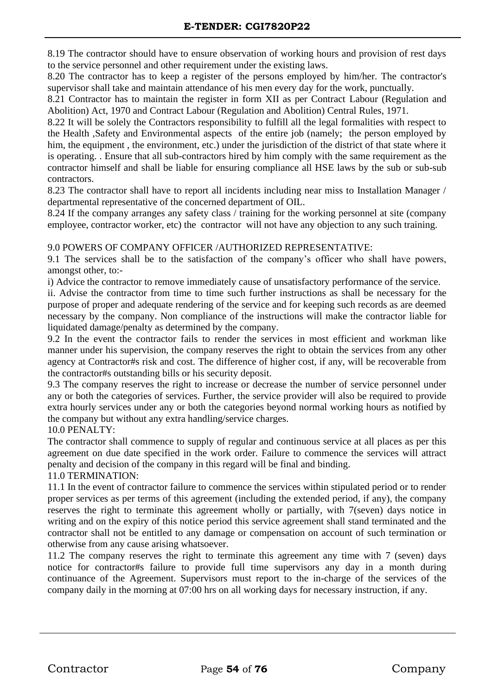8.19 The contractor should have to ensure observation of working hours and provision of rest days to the service personnel and other requirement under the existing laws.

8.20 The contractor has to keep a register of the persons employed by him/her. The contractor's supervisor shall take and maintain attendance of his men every day for the work, punctually.

8.21 Contractor has to maintain the register in form XII as per Contract Labour (Regulation and Abolition) Act, 1970 and Contract Labour (Regulation and Abolition) Central Rules, 1971.

8.22 It will be solely the Contractors responsibility to fulfill all the legal formalities with respect to the Health ,Safety and Environmental aspects of the entire job (namely; the person employed by him, the equipment , the environment, etc.) under the jurisdiction of the district of that state where it is operating. . Ensure that all sub-contractors hired by him comply with the same requirement as the contractor himself and shall be liable for ensuring compliance all HSE laws by the sub or sub-sub contractors.

8.23 The contractor shall have to report all incidents including near miss to Installation Manager / departmental representative of the concerned department of OIL.

8.24 If the company arranges any safety class / training for the working personnel at site (company employee, contractor worker, etc) the contractor will not have any objection to any such training.

## 9.0 POWERS OF COMPANY OFFICER /AUTHORIZED REPRESENTATIVE:

9.1 The services shall be to the satisfaction of the company's officer who shall have powers, amongst other, to:-

i) Advice the contractor to remove immediately cause of unsatisfactory performance of the service.

ii. Advise the contractor from time to time such further instructions as shall be necessary for the purpose of proper and adequate rendering of the service and for keeping such records as are deemed necessary by the company. Non compliance of the instructions will make the contractor liable for liquidated damage/penalty as determined by the company.

9.2 In the event the contractor fails to render the services in most efficient and workman like manner under his supervision, the company reserves the right to obtain the services from any other agency at Contractor#s risk and cost. The difference of higher cost, if any, will be recoverable from the contractor#s outstanding bills or his security deposit.

9.3 The company reserves the right to increase or decrease the number of service personnel under any or both the categories of services. Further, the service provider will also be required to provide extra hourly services under any or both the categories beyond normal working hours as notified by the company but without any extra handling/service charges.

10.0 PENALTY:

The contractor shall commence to supply of regular and continuous service at all places as per this agreement on due date specified in the work order. Failure to commence the services will attract penalty and decision of the company in this regard will be final and binding.

## 11.0 TERMINATION:

11.1 In the event of contractor failure to commence the services within stipulated period or to render proper services as per terms of this agreement (including the extended period, if any), the company reserves the right to terminate this agreement wholly or partially, with 7(seven) days notice in writing and on the expiry of this notice period this service agreement shall stand terminated and the contractor shall not be entitled to any damage or compensation on account of such termination or otherwise from any cause arising whatsoever.

11.2 The company reserves the right to terminate this agreement any time with 7 (seven) days notice for contractor#s failure to provide full time supervisors any day in a month during continuance of the Agreement. Supervisors must report to the in-charge of the services of the company daily in the morning at 07:00 hrs on all working days for necessary instruction, if any.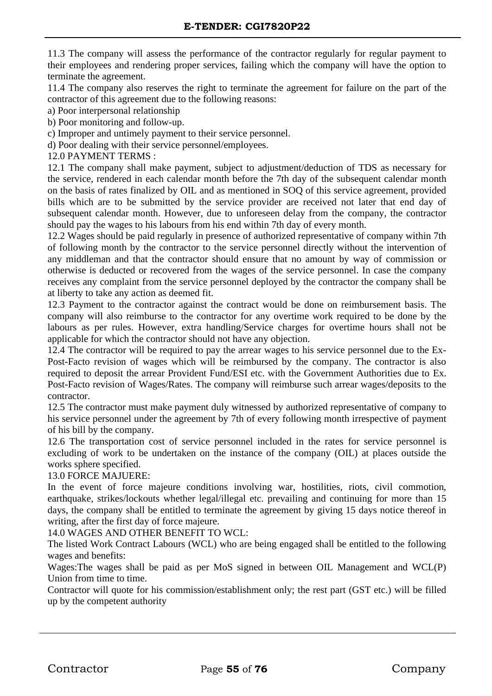11.3 The company will assess the performance of the contractor regularly for regular payment to their employees and rendering proper services, failing which the company will have the option to terminate the agreement.

11.4 The company also reserves the right to terminate the agreement for failure on the part of the contractor of this agreement due to the following reasons:

a) Poor interpersonal relationship

b) Poor monitoring and follow-up.

c) Improper and untimely payment to their service personnel.

d) Poor dealing with their service personnel/employees.

12.0 PAYMENT TERMS :

12.1 The company shall make payment, subject to adjustment/deduction of TDS as necessary for the service, rendered in each calendar month before the 7th day of the subsequent calendar month on the basis of rates finalized by OIL and as mentioned in SOQ of this service agreement, provided bills which are to be submitted by the service provider are received not later that end day of subsequent calendar month. However, due to unforeseen delay from the company, the contractor should pay the wages to his labours from his end within 7th day of every month.

12.2 Wages should be paid regularly in presence of authorized representative of company within 7th of following month by the contractor to the service personnel directly without the intervention of any middleman and that the contractor should ensure that no amount by way of commission or otherwise is deducted or recovered from the wages of the service personnel. In case the company receives any complaint from the service personnel deployed by the contractor the company shall be at liberty to take any action as deemed fit.

12.3 Payment to the contractor against the contract would be done on reimbursement basis. The company will also reimburse to the contractor for any overtime work required to be done by the labours as per rules. However, extra handling/Service charges for overtime hours shall not be applicable for which the contractor should not have any objection.

12.4 The contractor will be required to pay the arrear wages to his service personnel due to the Ex-Post-Facto revision of wages which will be reimbursed by the company. The contractor is also required to deposit the arrear Provident Fund/ESI etc. with the Government Authorities due to Ex. Post-Facto revision of Wages/Rates. The company will reimburse such arrear wages/deposits to the contractor.

12.5 The contractor must make payment duly witnessed by authorized representative of company to his service personnel under the agreement by 7th of every following month irrespective of payment of his bill by the company.

12.6 The transportation cost of service personnel included in the rates for service personnel is excluding of work to be undertaken on the instance of the company (OIL) at places outside the works sphere specified.

## 13.0 FORCE MAJUERE:

In the event of force majeure conditions involving war, hostilities, riots, civil commotion, earthquake, strikes/lockouts whether legal/illegal etc. prevailing and continuing for more than 15 days, the company shall be entitled to terminate the agreement by giving 15 days notice thereof in writing, after the first day of force majeure.

14.0 WAGES AND OTHER BENEFIT TO WCL:

The listed Work Contract Labours (WCL) who are being engaged shall be entitled to the following wages and benefits:

Wages:The wages shall be paid as per MoS signed in between OIL Management and WCL(P) Union from time to time.

Contractor will quote for his commission/establishment only; the rest part (GST etc.) will be filled up by the competent authority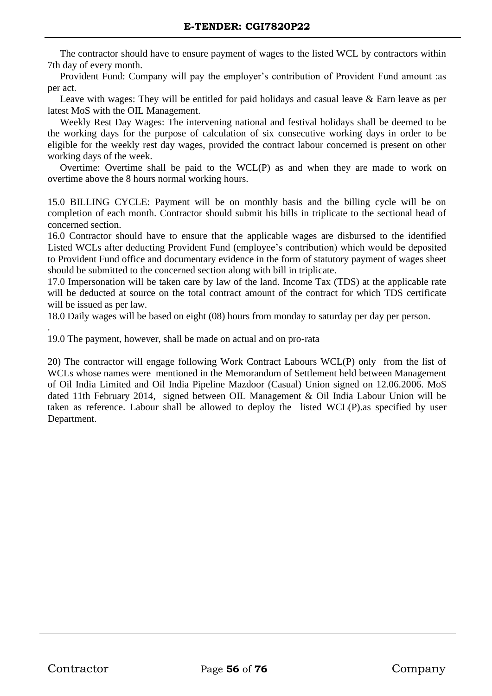The contractor should have to ensure payment of wages to the listed WCL by contractors within 7th day of every month.

 Provident Fund: Company will pay the employer's contribution of Provident Fund amount :as per act.

Leave with wages: They will be entitled for paid holidays and casual leave  $\&$  Earn leave as per latest MoS with the OIL Management.

 Weekly Rest Day Wages: The intervening national and festival holidays shall be deemed to be the working days for the purpose of calculation of six consecutive working days in order to be eligible for the weekly rest day wages, provided the contract labour concerned is present on other working days of the week.

 Overtime: Overtime shall be paid to the WCL(P) as and when they are made to work on overtime above the 8 hours normal working hours.

15.0 BILLING CYCLE: Payment will be on monthly basis and the billing cycle will be on completion of each month. Contractor should submit his bills in triplicate to the sectional head of concerned section.

16.0 Contractor should have to ensure that the applicable wages are disbursed to the identified Listed WCLs after deducting Provident Fund (employee's contribution) which would be deposited to Provident Fund office and documentary evidence in the form of statutory payment of wages sheet should be submitted to the concerned section along with bill in triplicate.

17.0 Impersonation will be taken care by law of the land. Income Tax (TDS) at the applicable rate will be deducted at source on the total contract amount of the contract for which TDS certificate will be issued as per law.

18.0 Daily wages will be based on eight (08) hours from monday to saturday per day per person.

19.0 The payment, however, shall be made on actual and on pro-rata

20) The contractor will engage following Work Contract Labours WCL(P) only from the list of WCLs whose names were mentioned in the Memorandum of Settlement held between Management of Oil India Limited and Oil India Pipeline Mazdoor (Casual) Union signed on 12.06.2006. MoS dated 11th February 2014, signed between OIL Management & Oil India Labour Union will be taken as reference. Labour shall be allowed to deploy the listed WCL(P).as specified by user Department.

.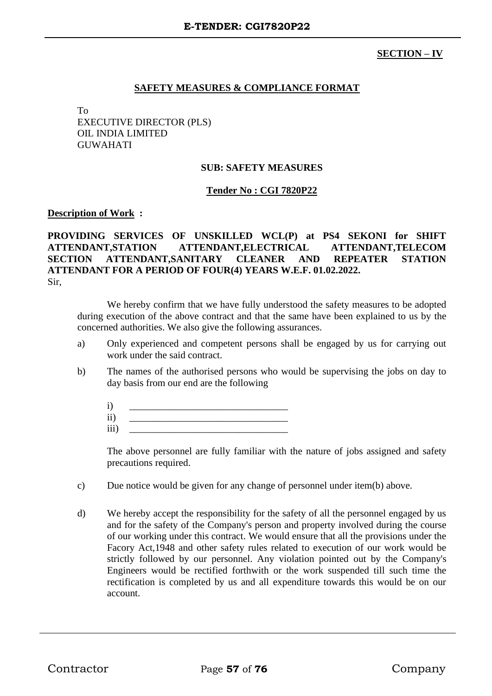# **SECTION – IV**

## **SAFETY MEASURES & COMPLIANCE FORMAT**

To EXECUTIVE DIRECTOR (PLS) OIL INDIA LIMITED GUWAHATI

### **SUB: SAFETY MEASURES**

### **Tender No : CGI 7820P22**

#### **Description of Work :**

**PROVIDING SERVICES OF UNSKILLED WCL(P) at PS4 SEKONI for SHIFT ATTENDANT,STATION ATTENDANT,ELECTRICAL ATTENDANT,TELECOM SECTION ATTENDANT,SANITARY CLEANER AND REPEATER STATION ATTENDANT FOR A PERIOD OF FOUR(4) YEARS W.E.F. 01.02.2022.** Sir,

We hereby confirm that we have fully understood the safety measures to be adopted during execution of the above contract and that the same have been explained to us by the concerned authorities. We also give the following assurances.

- a) Only experienced and competent persons shall be engaged by us for carrying out work under the said contract.
- b) The names of the authorised persons who would be supervising the jobs on day to day basis from our end are the following
	- i) \_\_\_\_\_\_\_\_\_\_\_\_\_\_\_\_\_\_\_\_\_\_\_\_\_\_\_\_\_\_\_\_
	- $\rm ii)$ iii) \_\_\_\_\_\_\_\_\_\_\_\_\_\_\_\_\_\_\_\_\_\_\_\_\_\_\_\_\_\_\_\_

The above personnel are fully familiar with the nature of jobs assigned and safety precautions required.

- c) Due notice would be given for any change of personnel under item(b) above.
- d) We hereby accept the responsibility for the safety of all the personnel engaged by us and for the safety of the Company's person and property involved during the course of our working under this contract. We would ensure that all the provisions under the Facory Act,1948 and other safety rules related to execution of our work would be strictly followed by our personnel. Any violation pointed out by the Company's Engineers would be rectified forthwith or the work suspended till such time the rectification is completed by us and all expenditure towards this would be on our account.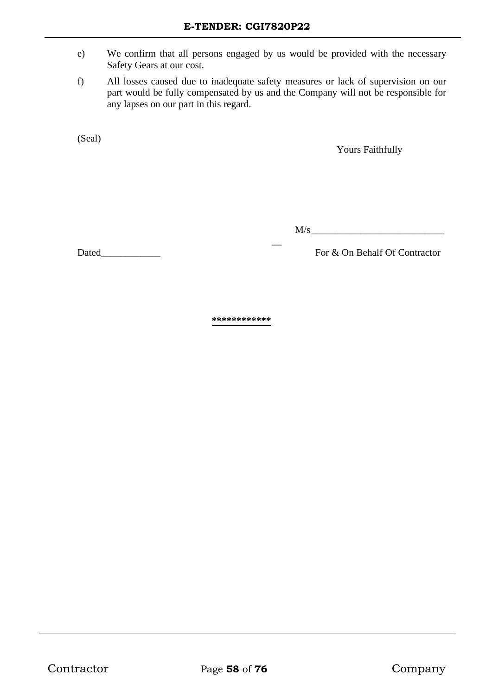- e) We confirm that all persons engaged by us would be provided with the necessary Safety Gears at our cost.
- f) All losses caused due to inadequate safety measures or lack of supervision on our part would be fully compensated by us and the Company will not be responsible for any lapses on our part in this regard.

 $\overline{a}$ 

(Seal)

Yours Faithfully

 $M/s$ 

Dated\_\_\_\_\_\_\_\_\_\_\_\_ For & On Behalf Of Contractor

**\*\*\*\*\*\*\*\*\*\*\*\***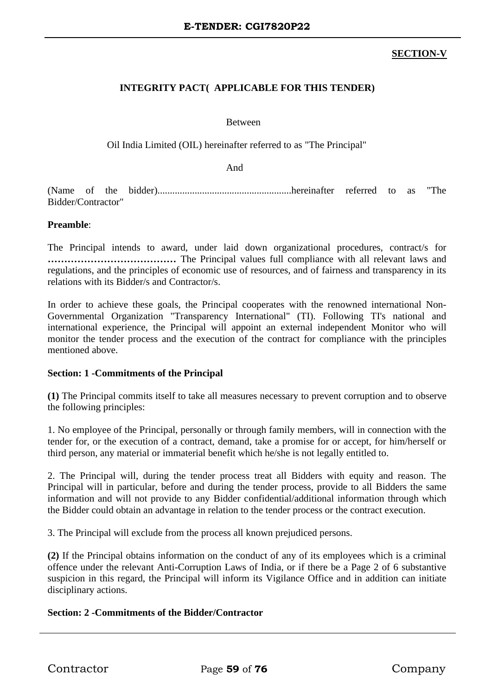# **SECTION-V**

# **INTEGRITY PACT( APPLICABLE FOR THIS TENDER)**

### Between

Oil India Limited (OIL) hereinafter referred to as "The Principal"

And

(Name of the bidder)......................................................hereinafter referred to as "The Bidder/Contractor"

### **Preamble**:

The Principal intends to award, under laid down organizational procedures, contract/s for **…………………………………** The Principal values full compliance with all relevant laws and regulations, and the principles of economic use of resources, and of fairness and transparency in its relations with its Bidder/s and Contractor/s.

In order to achieve these goals, the Principal cooperates with the renowned international Non-Governmental Organization "Transparency International" (TI). Following TI's national and international experience, the Principal will appoint an external independent Monitor who will monitor the tender process and the execution of the contract for compliance with the principles mentioned above.

#### **Section: 1 -Commitments of the Principal**

**(1)** The Principal commits itself to take all measures necessary to prevent corruption and to observe the following principles:

1. No employee of the Principal, personally or through family members, will in connection with the tender for, or the execution of a contract, demand, take a promise for or accept, for him/herself or third person, any material or immaterial benefit which he/she is not legally entitled to.

2. The Principal will, during the tender process treat all Bidders with equity and reason. The Principal will in particular, before and during the tender process, provide to all Bidders the same information and will not provide to any Bidder confidential/additional information through which the Bidder could obtain an advantage in relation to the tender process or the contract execution.

3. The Principal will exclude from the process all known prejudiced persons.

**(2)** If the Principal obtains information on the conduct of any of its employees which is a criminal offence under the relevant Anti-Corruption Laws of India, or if there be a Page 2 of 6 substantive suspicion in this regard, the Principal will inform its Vigilance Office and in addition can initiate disciplinary actions.

## **Section: 2 -Commitments of the Bidder/Contractor**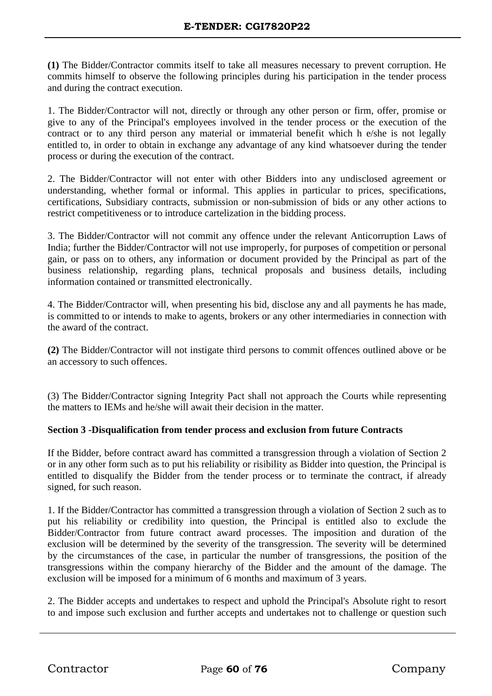**(1)** The Bidder/Contractor commits itself to take all measures necessary to prevent corruption. He commits himself to observe the following principles during his participation in the tender process and during the contract execution.

1. The Bidder/Contractor will not, directly or through any other person or firm, offer, promise or give to any of the Principal's employees involved in the tender process or the execution of the contract or to any third person any material or immaterial benefit which h e/she is not legally entitled to, in order to obtain in exchange any advantage of any kind whatsoever during the tender process or during the execution of the contract.

2. The Bidder/Contractor will not enter with other Bidders into any undisclosed agreement or understanding, whether formal or informal. This applies in particular to prices, specifications, certifications, Subsidiary contracts, submission or non-submission of bids or any other actions to restrict competitiveness or to introduce cartelization in the bidding process.

3. The Bidder/Contractor will not commit any offence under the relevant Anticorruption Laws of India; further the Bidder/Contractor will not use improperly, for purposes of competition or personal gain, or pass on to others, any information or document provided by the Principal as part of the business relationship, regarding plans, technical proposals and business details, including information contained or transmitted electronically.

4. The Bidder/Contractor will, when presenting his bid, disclose any and all payments he has made, is committed to or intends to make to agents, brokers or any other intermediaries in connection with the award of the contract.

**(2)** The Bidder/Contractor will not instigate third persons to commit offences outlined above or be an accessory to such offences.

(3) The Bidder/Contractor signing Integrity Pact shall not approach the Courts while representing the matters to IEMs and he/she will await their decision in the matter.

# **Section 3 -Disqualification from tender process and exclusion from future Contracts**

If the Bidder, before contract award has committed a transgression through a violation of Section 2 or in any other form such as to put his reliability or risibility as Bidder into question, the Principal is entitled to disqualify the Bidder from the tender process or to terminate the contract, if already signed, for such reason.

1. If the Bidder/Contractor has committed a transgression through a violation of Section 2 such as to put his reliability or credibility into question, the Principal is entitled also to exclude the Bidder/Contractor from future contract award processes. The imposition and duration of the exclusion will be determined by the severity of the transgression. The severity will be determined by the circumstances of the case, in particular the number of transgressions, the position of the transgressions within the company hierarchy of the Bidder and the amount of the damage. The exclusion will be imposed for a minimum of 6 months and maximum of 3 years.

2. The Bidder accepts and undertakes to respect and uphold the Principal's Absolute right to resort to and impose such exclusion and further accepts and undertakes not to challenge or question such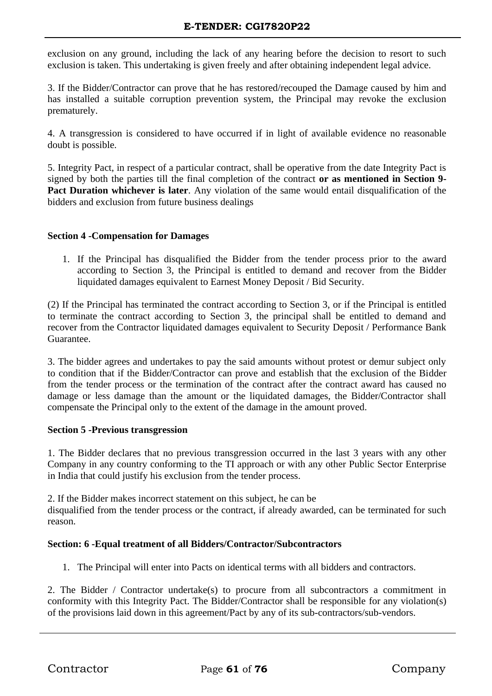exclusion on any ground, including the lack of any hearing before the decision to resort to such exclusion is taken. This undertaking is given freely and after obtaining independent legal advice.

3. If the Bidder/Contractor can prove that he has restored/recouped the Damage caused by him and has installed a suitable corruption prevention system, the Principal may revoke the exclusion prematurely.

4. A transgression is considered to have occurred if in light of available evidence no reasonable doubt is possible.

5. Integrity Pact, in respect of a particular contract, shall be operative from the date Integrity Pact is signed by both the parties till the final completion of the contract **or as mentioned in Section 9- Pact Duration whichever is later**. Any violation of the same would entail disqualification of the bidders and exclusion from future business dealings

## **Section 4 -Compensation for Damages**

1. If the Principal has disqualified the Bidder from the tender process prior to the award according to Section 3, the Principal is entitled to demand and recover from the Bidder liquidated damages equivalent to Earnest Money Deposit / Bid Security.

(2) If the Principal has terminated the contract according to Section 3, or if the Principal is entitled to terminate the contract according to Section 3, the principal shall be entitled to demand and recover from the Contractor liquidated damages equivalent to Security Deposit / Performance Bank Guarantee.

3. The bidder agrees and undertakes to pay the said amounts without protest or demur subject only to condition that if the Bidder/Contractor can prove and establish that the exclusion of the Bidder from the tender process or the termination of the contract after the contract award has caused no damage or less damage than the amount or the liquidated damages, the Bidder/Contractor shall compensate the Principal only to the extent of the damage in the amount proved.

## **Section 5 -Previous transgression**

1. The Bidder declares that no previous transgression occurred in the last 3 years with any other Company in any country conforming to the TI approach or with any other Public Sector Enterprise in India that could justify his exclusion from the tender process.

2. If the Bidder makes incorrect statement on this subject, he can be disqualified from the tender process or the contract, if already awarded, can be terminated for such reason.

# **Section: 6 -Equal treatment of all Bidders/Contractor/Subcontractors**

1. The Principal will enter into Pacts on identical terms with all bidders and contractors.

2. The Bidder / Contractor undertake(s) to procure from all subcontractors a commitment in conformity with this Integrity Pact. The Bidder/Contractor shall be responsible for any violation(s) of the provisions laid down in this agreement/Pact by any of its sub-contractors/sub-vendors.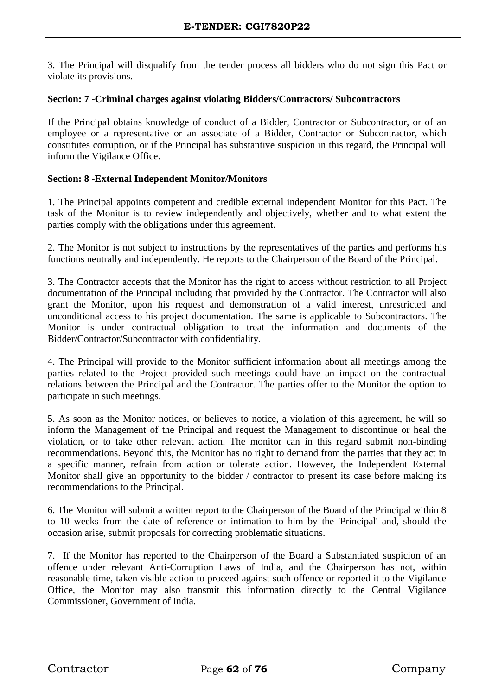3. The Principal will disqualify from the tender process all bidders who do not sign this Pact or violate its provisions.

## **Section: 7 -Criminal charges against violating Bidders/Contractors/ Subcontractors**

If the Principal obtains knowledge of conduct of a Bidder, Contractor or Subcontractor, or of an employee or a representative or an associate of a Bidder, Contractor or Subcontractor, which constitutes corruption, or if the Principal has substantive suspicion in this regard, the Principal will inform the Vigilance Office.

## **Section: 8 -External Independent Monitor/Monitors**

1. The Principal appoints competent and credible external independent Monitor for this Pact. The task of the Monitor is to review independently and objectively, whether and to what extent the parties comply with the obligations under this agreement.

2. The Monitor is not subject to instructions by the representatives of the parties and performs his functions neutrally and independently. He reports to the Chairperson of the Board of the Principal.

3. The Contractor accepts that the Monitor has the right to access without restriction to all Project documentation of the Principal including that provided by the Contractor. The Contractor will also grant the Monitor, upon his request and demonstration of a valid interest, unrestricted and unconditional access to his project documentation. The same is applicable to Subcontractors. The Monitor is under contractual obligation to treat the information and documents of the Bidder/Contractor/Subcontractor with confidentiality.

4. The Principal will provide to the Monitor sufficient information about all meetings among the parties related to the Project provided such meetings could have an impact on the contractual relations between the Principal and the Contractor. The parties offer to the Monitor the option to participate in such meetings.

5. As soon as the Monitor notices, or believes to notice, a violation of this agreement, he will so inform the Management of the Principal and request the Management to discontinue or heal the violation, or to take other relevant action. The monitor can in this regard submit non-binding recommendations. Beyond this, the Monitor has no right to demand from the parties that they act in a specific manner, refrain from action or tolerate action. However, the Independent External Monitor shall give an opportunity to the bidder / contractor to present its case before making its recommendations to the Principal.

6. The Monitor will submit a written report to the Chairperson of the Board of the Principal within 8 to 10 weeks from the date of reference or intimation to him by the 'Principal' and, should the occasion arise, submit proposals for correcting problematic situations.

7. If the Monitor has reported to the Chairperson of the Board a Substantiated suspicion of an offence under relevant Anti-Corruption Laws of India, and the Chairperson has not, within reasonable time, taken visible action to proceed against such offence or reported it to the Vigilance Office, the Monitor may also transmit this information directly to the Central Vigilance Commissioner, Government of India.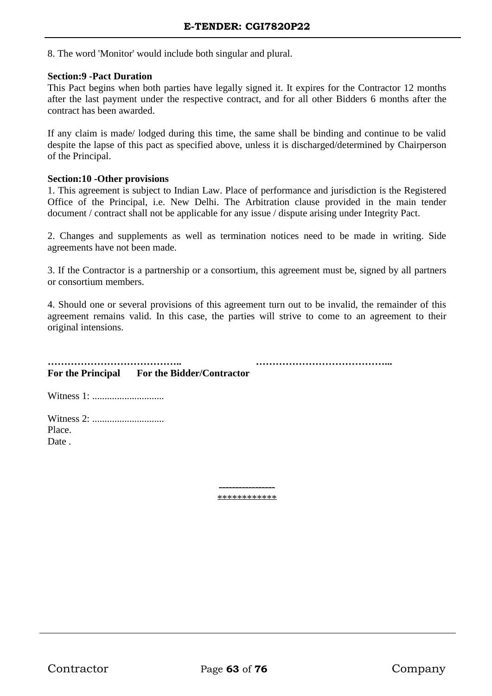8. The word 'Monitor' would include both singular and plural.

#### **Section:9 -Pact Duration**

This Pact begins when both parties have legally signed it. It expires for the Contractor 12 months after the last payment under the respective contract, and for all other Bidders 6 months after the contract has been awarded.

If any claim is made/ lodged during this time, the same shall be binding and continue to be valid despite the lapse of this pact as specified above, unless it is discharged/determined by Chairperson of the Principal.

#### **Section:10 -Other provisions**

1. This agreement is subject to Indian Law. Place of performance and jurisdiction is the Registered Office of the Principal, i.e. New Delhi. The Arbitration clause provided in the main tender document / contract shall not be applicable for any issue / dispute arising under Integrity Pact.

2. Changes and supplements as well as termination notices need to be made in writing. Side agreements have not been made.

3. If the Contractor is a partnership or a consortium, this agreement must be, signed by all partners or consortium members.

4. Should one or several provisions of this agreement turn out to be invalid, the remainder of this agreement remains valid. In this case, the parties will strive to come to an agreement to their original intensions.

**………………………………….. …………………………………... For the Principal For the Bidder/Contractor**

Witness 1: .............................

Witness 2: ............................. Place. Date .

> ----------------- \*\*\*\*\*\*\*\*\*\*\*\*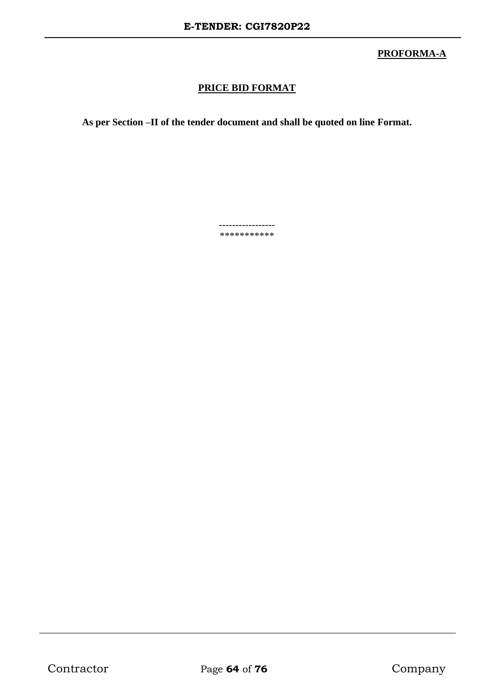# **PROFORMA-A**

# **PRICE BID FORMAT**

**As per Section –II of the tender document and shall be quoted on line Format.**

----------------- \*\*\*\*\*\*\*\*\*\*\*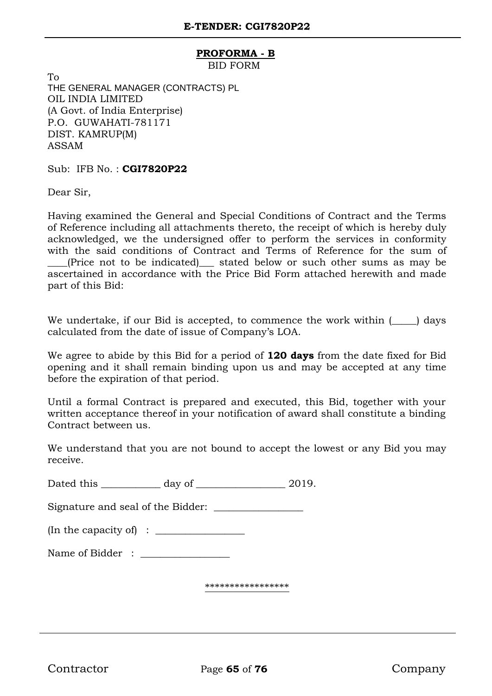### **PROFORMA - B**

BID FORM

To THE GENERAL MANAGER (CONTRACTS) PL OIL INDIA LIMITED (A Govt. of India Enterprise) P.O. GUWAHATI-781171 DIST. KAMRUP(M) ASSAM

Sub: IFB No. : **CGI7820P22**

Dear Sir,

Having examined the General and Special Conditions of Contract and the Terms of Reference including all attachments thereto, the receipt of which is hereby duly acknowledged, we the undersigned offer to perform the services in conformity with the said conditions of Contract and Terms of Reference for the sum of (Price not to be indicated) stated below or such other sums as may be ascertained in accordance with the Price Bid Form attached herewith and made part of this Bid:

We undertake, if our Bid is accepted, to commence the work within  $(\_\_\_)$  days calculated from the date of issue of Company's LOA.

We agree to abide by this Bid for a period of **120 days** from the date fixed for Bid opening and it shall remain binding upon us and may be accepted at any time before the expiration of that period.

Until a formal Contract is prepared and executed, this Bid, together with your written acceptance thereof in your notification of award shall constitute a binding Contract between us.

We understand that you are not bound to accept the lowest or any Bid you may receive.

Dated this \_\_\_\_\_\_\_\_\_\_\_\_ day of \_\_\_\_\_\_\_\_\_\_\_\_\_\_\_\_\_\_\_\_\_ 2019.

Signature and seal of the Bidder:

(In the capacity of) :  $\Box$ 

Name of Bidder : \_\_\_\_\_\_\_\_\_\_\_\_\_\_\_\_\_\_

\*\*\*\*\*\*\*\*\*\*\*\*\*\*\*\*\*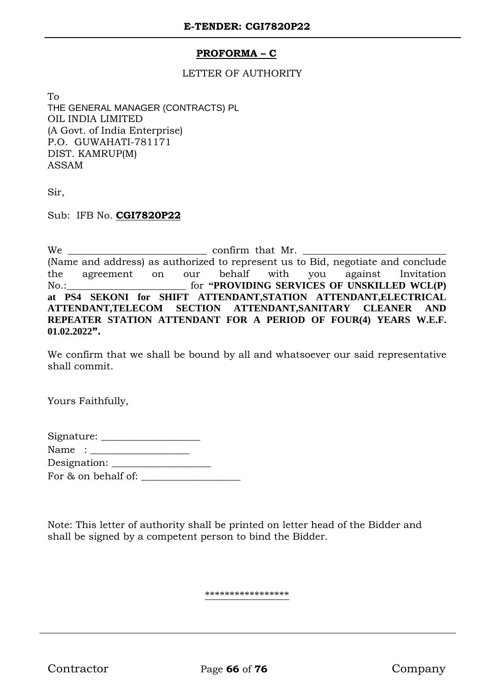# **PROFORMA – C**

## LETTER OF AUTHORITY

To THE GENERAL MANAGER (CONTRACTS) PL OIL INDIA LIMITED (A Govt. of India Enterprise) P.O. GUWAHATI-781171 DIST. KAMRUP(M) ASSAM

Sir,

Sub: IFB No. **CGI7820P22**

We <u>example a set of the confirm that Mr.</u> (Name and address) as authorized to represent us to Bid, negotiate and conclude the agreement on our behalf with you against Invitation No.:\_\_\_\_\_\_\_\_\_\_\_\_\_\_\_\_\_\_\_\_\_\_\_\_ for **"PROVIDING SERVICES OF UNSKILLED WCL(P) at PS4 SEKONI for SHIFT ATTENDANT,STATION ATTENDANT,ELECTRICAL ATTENDANT,TELECOM SECTION ATTENDANT,SANITARY CLEANER AND REPEATER STATION ATTENDANT FOR A PERIOD OF FOUR(4) YEARS W.E.F. 01.02.2022".**

We confirm that we shall be bound by all and whatsoever our said representative shall commit.

Yours Faithfully,

| Name :              |  |  |  |
|---------------------|--|--|--|
|                     |  |  |  |
| For & on behalf of: |  |  |  |

Note: This letter of authority shall be printed on letter head of the Bidder and shall be signed by a competent person to bind the Bidder.

\*\*\*\*\*\*\*\*\*\*\*\*\*\*\*\*\*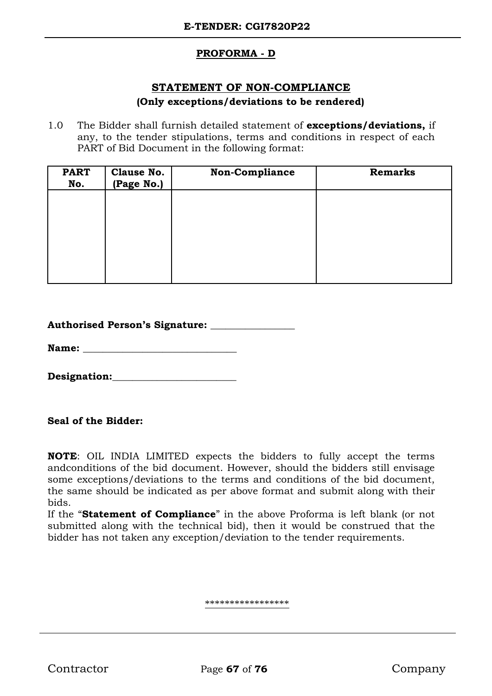# **PROFORMA - D**

# **STATEMENT OF NON-COMPLIANCE**

## **(Only exceptions/deviations to be rendered)**

1.0 The Bidder shall furnish detailed statement of **exceptions/deviations,** if any, to the tender stipulations, terms and conditions in respect of each PART of Bid Document in the following format:

| <b>PART</b><br>No. | <b>Clause No.</b><br>(Page No.) | Non-Compliance | <b>Remarks</b> |
|--------------------|---------------------------------|----------------|----------------|
|                    |                                 |                |                |
|                    |                                 |                |                |
|                    |                                 |                |                |
|                    |                                 |                |                |

| <b>Authorised Person's Signature:</b> |
|---------------------------------------|
|---------------------------------------|

Name:

Designation:

**Seal of the Bidder:**

**NOTE**: OIL INDIA LIMITED expects the bidders to fully accept the terms andconditions of the bid document. However, should the bidders still envisage some exceptions/deviations to the terms and conditions of the bid document, the same should be indicated as per above format and submit along with their bids.

If the "**Statement of Compliance**" in the above Proforma is left blank (or not submitted along with the technical bid), then it would be construed that the bidder has not taken any exception/deviation to the tender requirements.

\*\*\*\*\*\*\*\*\*\*\*\*\*\*\*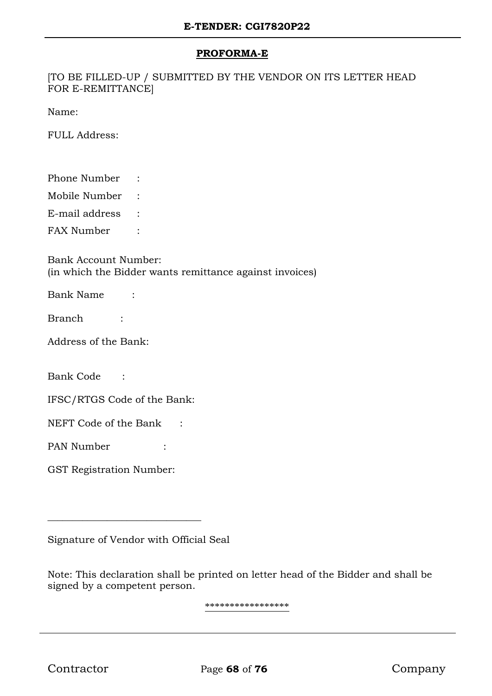## **PROFORMA-E**

[TO BE FILLED-UP / SUBMITTED BY THE VENDOR ON ITS LETTER HEAD FOR E-REMITTANCE]

Name:

FULL Address:

Phone Number :

Mobile Number :

E-mail address :

FAX Number :

Bank Account Number: (in which the Bidder wants remittance against invoices)

Bank Name :

Branch :

Address of the Bank:

Bank Code :

IFSC/RTGS Code of the Bank:

NEFT Code of the Bank :

PAN Number :

GST Registration Number:

Signature of Vendor with Official Seal

\_\_\_\_\_\_\_\_\_\_\_\_\_\_\_\_\_\_\_\_\_\_\_\_\_\_\_\_\_\_\_

Note: This declaration shall be printed on letter head of the Bidder and shall be signed by a competent person.

\*\*\*\*\*\*\*\*\*\*\*\*\*\*\*\*\*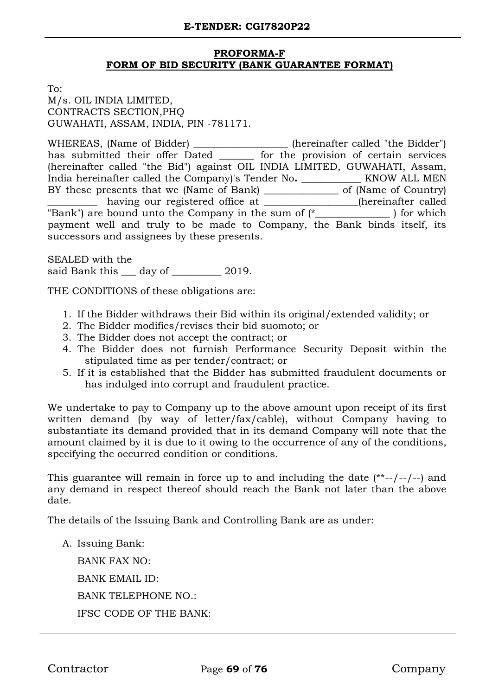# **PROFORMA-F FORM OF BID SECURITY (BANK GUARANTEE FORMAT)**

To:

M/s. OIL INDIA LIMITED, CONTRACTS SECTION,PHQ GUWAHATI, ASSAM, INDIA, PIN -781171.

WHEREAS, (Name of Bidder) \_\_\_\_\_\_\_\_\_\_\_\_\_\_\_\_\_\_\_ (hereinafter called "the Bidder") has submitted their offer Dated \_\_\_\_\_\_\_ for the provision of certain services (hereinafter called "the Bid") against OIL INDIA LIMITED, GUWAHATI, Assam, India hereinafter called the Company)'s Tender No**. \_\_\_\_\_\_\_\_\_\_\_\_** KNOW ALL MEN BY these presents that we (Name of Bank) \_\_\_\_\_\_\_\_\_\_\_\_\_\_\_\_ of (Name of Country) having our registered office at \_\_\_\_\_\_\_\_\_\_\_\_\_(hereinafter called  $\overline{C}$ "Bank") are bound unto the Company in the sum of  $\overline{C}$  (\* payment well and truly to be made to Company, the Bank binds itself, its successors and assignees by these presents.

SEALED with the said Bank this <u>quare day of  $\frac{1}{2019}$ </u>

THE CONDITIONS of these obligations are:

- 1. If the Bidder withdraws their Bid within its original/extended validity; or
- 2. The Bidder modifies/revises their bid suomoto; or
- 3. The Bidder does not accept the contract; or
- 4. The Bidder does not furnish Performance Security Deposit within the stipulated time as per tender/contract; or
- 5. If it is established that the Bidder has submitted fraudulent documents or has indulged into corrupt and fraudulent practice.

We undertake to pay to Company up to the above amount upon receipt of its first written demand (by way of letter/fax/cable), without Company having to substantiate its demand provided that in its demand Company will note that the amount claimed by it is due to it owing to the occurrence of any of the conditions, specifying the occurred condition or conditions.

This guarantee will remain in force up to and including the date (\*\*--/--/--) and any demand in respect thereof should reach the Bank not later than the above date.

The details of the Issuing Bank and Controlling Bank are as under:

A. Issuing Bank:

BANK FAX NO: BANK EMAIL ID: BANK TELEPHONE NO.: IFSC CODE OF THE BANK: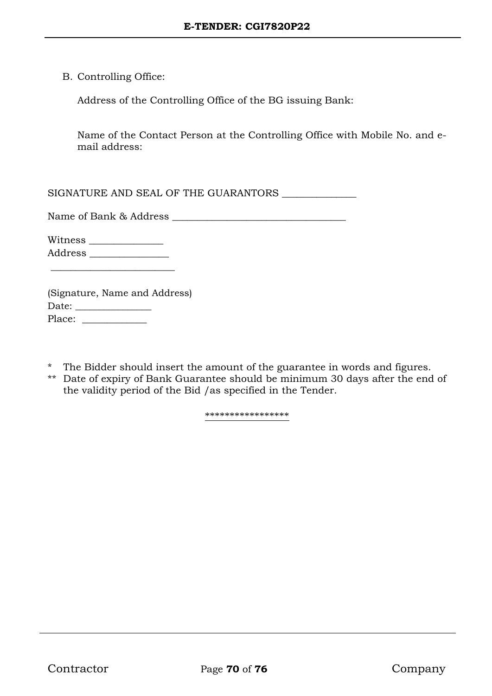B. Controlling Office:

Address of the Controlling Office of the BG issuing Bank:

Name of the Contact Person at the Controlling Office with Mobile No. and email address:

SIGNATURE AND SEAL OF THE GUARANTORS \_\_\_\_\_\_\_\_\_\_\_\_\_\_\_

Name of Bank & Address \_\_\_\_\_\_\_\_\_\_\_\_\_\_\_\_\_\_\_\_\_\_\_\_\_\_\_\_\_\_\_\_\_\_\_

Witness \_\_\_\_\_\_\_\_\_\_\_\_\_\_\_ Address \_\_\_\_\_\_\_\_\_\_\_\_\_\_\_\_

 $\overline{\phantom{a}}$  , where  $\overline{\phantom{a}}$  , where  $\overline{\phantom{a}}$  , where  $\overline{\phantom{a}}$  ,  $\overline{\phantom{a}}$  ,  $\overline{\phantom{a}}$  ,  $\overline{\phantom{a}}$  ,  $\overline{\phantom{a}}$  ,  $\overline{\phantom{a}}$  ,  $\overline{\phantom{a}}$  ,  $\overline{\phantom{a}}$  ,  $\overline{\phantom{a}}$  ,  $\overline{\phantom{a}}$  ,  $\overline{\phantom{a}}$  ,  $\overline{\phantom$ 

|        | (Signature, Name and Address) |
|--------|-------------------------------|
| Date:  |                               |
| Place: |                               |

- \* The Bidder should insert the amount of the guarantee in words and figures.
- \*\* Date of expiry of Bank Guarantee should be minimum 30 days after the end of the validity period of the Bid /as specified in the Tender.

\*\*\*\*\*\*\*\*\*\*\*\*\*\*\*\*\*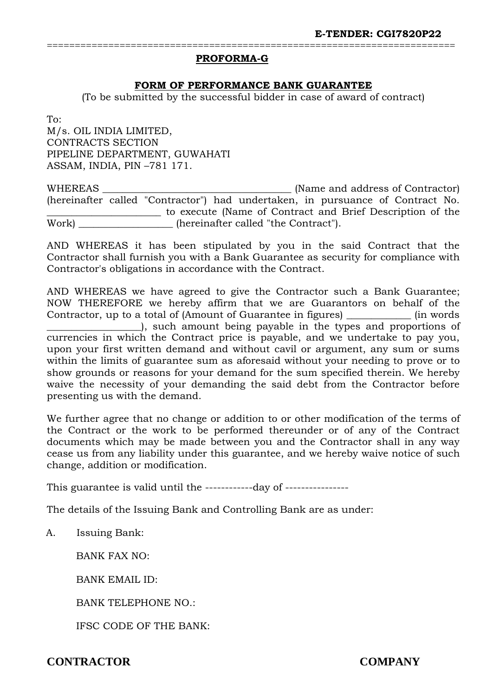## **PROFORMA-G**

## **FORM OF PERFORMANCE BANK GUARANTEE**

=========================================================================

(To be submitted by the successful bidder in case of award of contract)

To: M/s. OIL INDIA LIMITED, CONTRACTS SECTION PIPELINE DEPARTMENT, GUWAHATI ASSAM, INDIA, PIN –781 171.

WHEREAS \_\_\_\_\_\_\_\_\_\_\_\_\_\_\_\_\_\_\_\_\_\_\_\_\_\_\_\_\_\_\_\_\_\_\_\_\_\_ (Name and address of Contractor) (hereinafter called "Contractor") had undertaken, in pursuance of Contract No. \_\_\_\_\_\_\_\_\_\_\_\_\_\_\_\_\_\_\_\_\_\_\_ to execute (Name of Contract and Brief Description of the Work)  $\blacksquare$  (hereinafter called "the Contract").

AND WHEREAS it has been stipulated by you in the said Contract that the Contractor shall furnish you with a Bank Guarantee as security for compliance with Contractor's obligations in accordance with the Contract.

AND WHEREAS we have agreed to give the Contractor such a Bank Guarantee; NOW THEREFORE we hereby affirm that we are Guarantors on behalf of the Contractor, up to a total of (Amount of Guarantee in figures) \_\_\_\_\_\_\_\_\_\_\_\_\_ (in words \_\_\_\_\_\_\_\_\_\_\_\_\_\_\_\_\_\_\_), such amount being payable in the types and proportions of currencies in which the Contract price is payable, and we undertake to pay you, upon your first written demand and without cavil or argument, any sum or sums within the limits of guarantee sum as aforesaid without your needing to prove or to show grounds or reasons for your demand for the sum specified therein. We hereby waive the necessity of your demanding the said debt from the Contractor before presenting us with the demand.

We further agree that no change or addition to or other modification of the terms of the Contract or the work to be performed thereunder or of any of the Contract documents which may be made between you and the Contractor shall in any way cease us from any liability under this guarantee, and we hereby waive notice of such change, addition or modification.

This guarantee is valid until the -------------day of ----------------

The details of the Issuing Bank and Controlling Bank are as under:

A. Issuing Bank:

BANK FAX NO:

BANK EMAIL ID:

BANK TELEPHONE NO.:

IFSC CODE OF THE BANK: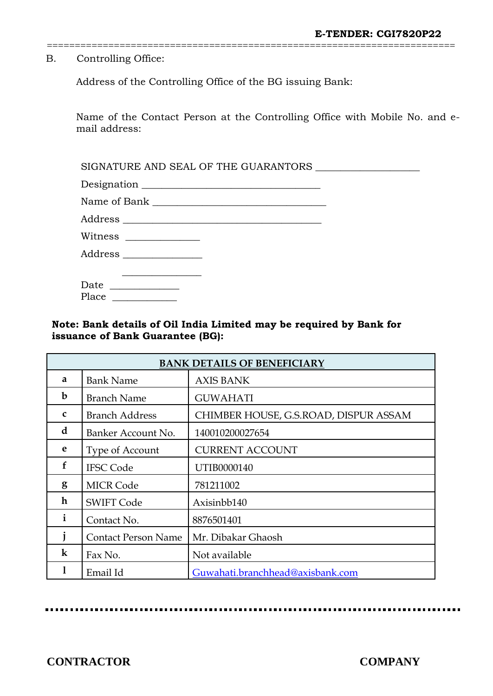B. Controlling Office:

Address of the Controlling Office of the BG issuing Bank:

Name of the Contact Person at the Controlling Office with Mobile No. and email address:

=========================================================================

SIGNATURE AND SEAL OF THE GUARANTORS \_\_\_\_\_\_\_\_\_\_\_\_\_\_\_\_\_\_\_\_\_

| Designation |               |  |
|-------------|---------------|--|
| $- -$       | $\sim$ $\sim$ |  |

Name of Bank \_\_\_\_\_\_\_\_\_\_\_\_\_\_\_\_\_\_\_\_\_\_\_\_\_\_\_\_\_\_\_\_\_\_\_

Address \_\_\_\_\_\_\_\_\_\_\_\_\_\_\_\_\_\_\_\_\_\_\_\_\_\_\_\_\_\_\_\_\_\_\_\_\_\_\_\_

 $\overline{\phantom{a}}$  , where  $\overline{\phantom{a}}$ 

Witness \_\_\_\_\_\_\_\_\_\_\_\_\_\_\_

Address \_\_\_\_\_\_\_\_\_\_\_\_\_\_\_\_

| Date  |  |
|-------|--|
| Place |  |

# **Note: Bank details of Oil India Limited may be required by Bank for issuance of Bank Guarantee (BG):**

| <b>BANK DETAILS OF BENEFICIARY</b> |                            |                                       |  |
|------------------------------------|----------------------------|---------------------------------------|--|
| a                                  | <b>Bank Name</b>           | <b>AXIS BANK</b>                      |  |
| b                                  | <b>Branch Name</b>         | <b>GUWAHATI</b>                       |  |
| $\mathbf{C}$                       | <b>Branch Address</b>      | CHIMBER HOUSE, G.S.ROAD, DISPUR ASSAM |  |
| d                                  | Banker Account No.         | 140010200027654                       |  |
| e                                  | Type of Account            | <b>CURRENT ACCOUNT</b>                |  |
| $\mathbf f$                        | <b>IFSC Code</b>           | UTIB0000140                           |  |
| g                                  | <b>MICR Code</b>           | 781211002                             |  |
| h                                  | <b>SWIFT Code</b>          | Axisinbb140                           |  |
| $\mathbf{i}$                       | Contact No.                | 8876501401                            |  |
|                                    | <b>Contact Person Name</b> | Mr. Dibakar Ghaosh                    |  |
| $\bf k$                            | Fax No.                    | Not available                         |  |
| 1                                  | Email Id                   | Guwahati.branchhead@axisbank.com      |  |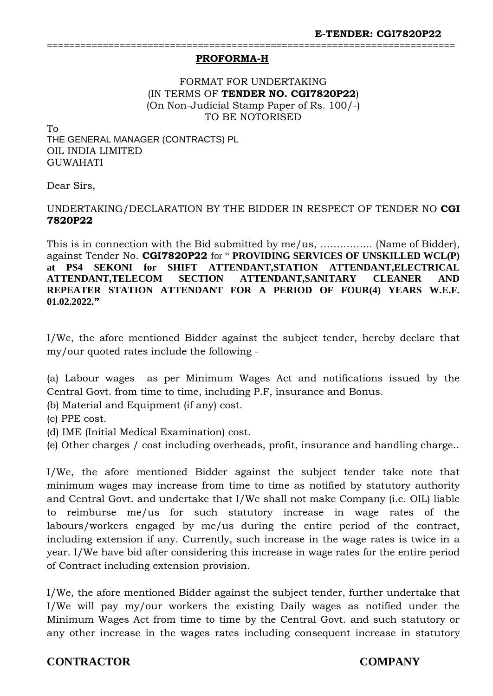### **PROFORMA-H**

FORMAT FOR UNDERTAKING (IN TERMS OF **TENDER NO. CGI7820P22**) (On Non-Judicial Stamp Paper of Rs. 100/-) TO BE NOTORISED

=========================================================================

To

THE GENERAL MANAGER (CONTRACTS) PL OIL INDIA LIMITED GUWAHATI

Dear Sirs,

## UNDERTAKING/DECLARATION BY THE BIDDER IN RESPECT OF TENDER NO **CGI 7820P22**

This is in connection with the Bid submitted by me/us, ………….... (Name of Bidder), against Tender No. **CGI7820P22** for " **PROVIDING SERVICES OF UNSKILLED WCL(P) at PS4 SEKONI for SHIFT ATTENDANT,STATION ATTENDANT,ELECTRICAL ATTENDANT,TELECOM SECTION ATTENDANT,SANITARY CLEANER AND REPEATER STATION ATTENDANT FOR A PERIOD OF FOUR(4) YEARS W.E.F. 01.02.2022."**

I/We, the afore mentioned Bidder against the subject tender, hereby declare that my/our quoted rates include the following -

(a) Labour wages as per Minimum Wages Act and notifications issued by the Central Govt. from time to time, including P.F, insurance and Bonus.

(b) Material and Equipment (if any) cost.

(c) PPE cost.

(d) IME (Initial Medical Examination) cost.

(e) Other charges / cost including overheads, profit, insurance and handling charge..

I/We, the afore mentioned Bidder against the subject tender take note that minimum wages may increase from time to time as notified by statutory authority and Central Govt. and undertake that I/We shall not make Company (i.e. OIL) liable to reimburse me/us for such statutory increase in wage rates of the labours/workers engaged by me/us during the entire period of the contract, including extension if any. Currently, such increase in the wage rates is twice in a year. I/We have bid after considering this increase in wage rates for the entire period of Contract including extension provision.

I/We, the afore mentioned Bidder against the subject tender, further undertake that I/We will pay my/our workers the existing Daily wages as notified under the Minimum Wages Act from time to time by the Central Govt. and such statutory or any other increase in the wages rates including consequent increase in statutory

## **CONTRACTOR COMPANY**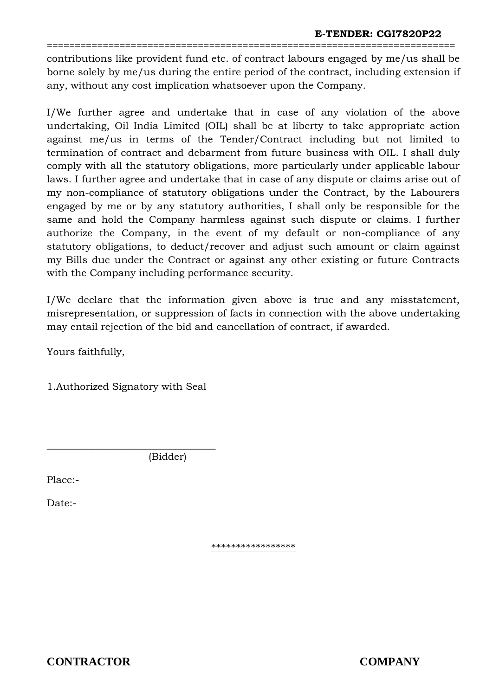contributions like provident fund etc. of contract labours engaged by me/us shall be borne solely by me/us during the entire period of the contract, including extension if any, without any cost implication whatsoever upon the Company.

=========================================================================

I/We further agree and undertake that in case of any violation of the above undertaking, Oil India Limited (OIL) shall be at liberty to take appropriate action against me/us in terms of the Tender/Contract including but not limited to termination of contract and debarment from future business with OIL. I shall duly comply with all the statutory obligations, more particularly under applicable labour laws. I further agree and undertake that in case of any dispute or claims arise out of my non-compliance of statutory obligations under the Contract, by the Labourers engaged by me or by any statutory authorities, I shall only be responsible for the same and hold the Company harmless against such dispute or claims. I further authorize the Company, in the event of my default or non-compliance of any statutory obligations, to deduct/recover and adjust such amount or claim against my Bills due under the Contract or against any other existing or future Contracts with the Company including performance security.

I/We declare that the information given above is true and any misstatement, misrepresentation, or suppression of facts in connection with the above undertaking may entail rejection of the bid and cancellation of contract, if awarded.

Yours faithfully,

1.Authorized Signatory with Seal

\_\_\_\_\_\_\_\_\_\_\_\_\_\_\_\_\_\_\_\_\_\_\_\_\_\_\_\_\_\_\_\_\_\_ (Bidder)

Place:-

Date:-

\*\*\*\*\*\*\*\*\*\*\*\*\*\*\*\*\*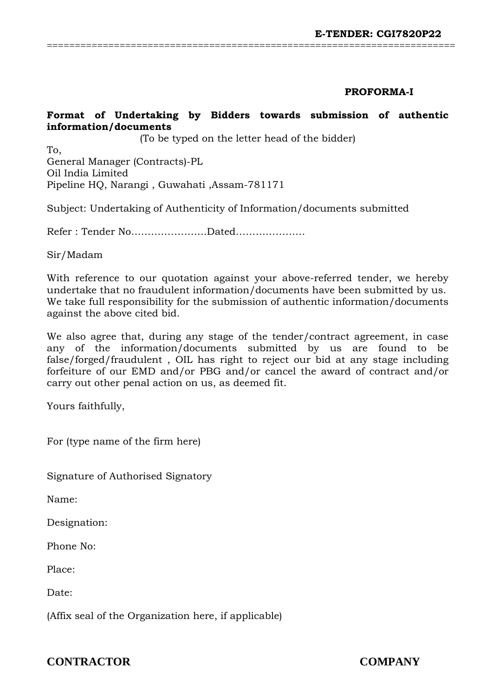## **PROFORMA-I**

# **Format of Undertaking by Bidders towards submission of authentic information/documents**

=========================================================================

(To be typed on the letter head of the bidder)

To, General Manager (Contracts)-PL Oil India Limited Pipeline HQ, Narangi , Guwahati ,Assam-781171

Subject: Undertaking of Authenticity of Information/documents submitted

Refer : Tender No…………………..Dated…………………

Sir/Madam

With reference to our quotation against your above-referred tender, we hereby undertake that no fraudulent information/documents have been submitted by us. We take full responsibility for the submission of authentic information/documents against the above cited bid.

We also agree that, during any stage of the tender/contract agreement, in case any of the information/documents submitted by us are found to be false/forged/fraudulent , OIL has right to reject our bid at any stage including forfeiture of our EMD and/or PBG and/or cancel the award of contract and/or carry out other penal action on us, as deemed fit.

Yours faithfully,

For (type name of the firm here)

Signature of Authorised Signatory

Name:

Designation:

Phone No:

Place:

Date:

(Affix seal of the Organization here, if applicable)